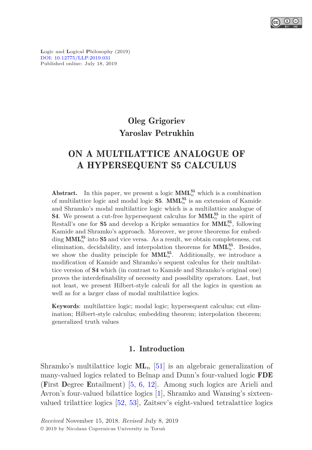

**L**ogic and **L**ogical **P**hilosophy (2019) [DOI: 10.12775/LLP.2019.031](http://dx.doi.org/10.12775/LLP.2019.031) Published online: July 18, 2019

# Oleg Grigoriev Yaroslav Petrukhin

# ON A MULTILATTICE ANALOGUE OF A HYPERSEQUENT S5 CALCULUS

Abstract. In this paper, we present a logic  $\text{MML}_{n}^{S5}$  which is a combination of multilattice logic and modal logic **S5**.  $\text{MML}_{n}^{\text{S5}}$  is an extension of Kamide and Shramko's modal multilattice logic which is a multilattice analogue of **S4**. We present a cut-free hypersequent calculus for  $\text{MML}_{n}^{\text{S5}}$  in the spirit of Restall's one for **S5** and develop a Kripke semantics for  $\text{MML}_{n}^{\text{S5}}$ , following Kamide and Shramko's approach. Moreover, we prove theorems for embedding  $\text{MML}_{n}^{\text{S5}}$  into  $\text{S5}$  and vice versa. As a result, we obtain completeness, cut elimination, decidability, and interpolation theorems for  $\text{MML}_{n}^{\text{S5}}$ . Besides, we show the duality principle for  $\text{MML}_{n}^{S5}$ . Additionally, we introduce a modification of Kamide and Shramko's sequent calculus for their multilattice version of S4 which (in contrast to Kamide and Shramko's original one) proves the interdefinability of necessity and possibility operators. Last, but not least, we present Hilbert-style calculi for all the logics in question as well as for a larger class of modal multilattice logics.

Keywords: multilattice logic; modal logic; hypersequent calculus; cut elimination; Hilbert-style calculus; embedding theorem; interpolation theorem; generalized truth values

#### 1. Introduction

Shramko's multilattice logic  $ML_n$  [\[51\]](#page-46-0) is an algebraic generalization of many-valued logics related to Belnap and Dunn's four-valued logic FDE (First Degree Entailment) [\[5,](#page-43-0) [6,](#page-43-1) [12\]](#page-43-2). Among such logics are Arieli and Avron's four-valued bilattice logics [\[1\]](#page-43-3), Shramko and Wansing's sixteenvalued trilattice logics [\[52,](#page-46-1) [53\]](#page-46-2), Zaitsev's eight-valued tetralattice logics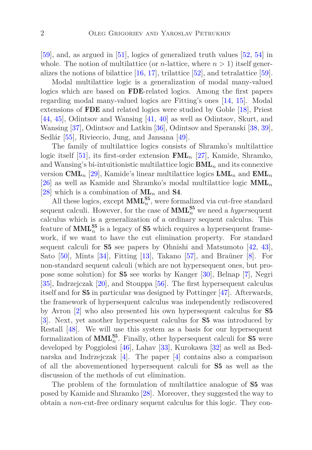[\[59\]](#page-47-0), and, as argued in [\[51\]](#page-46-0), logics of generalized truth values [\[52,](#page-46-1) [54\]](#page-46-3) in whole. The notion of multilattice (or *n*-lattice, where  $n > 1$ ) itself generalizes the notions of bilattice  $[16, 17]$  $[16, 17]$ , trilattice  $[52]$ , and tetralattice  $[59]$ .

Modal multilattice logic is a generalization of modal many-valued logics which are based on **FDE**-related logics. Among the first papers regarding modal many-valued logics are Fitting's ones [\[14,](#page-44-2) [15\]](#page-44-3). Modal extensions of FDE and related logics were studied by Goble [\[18\]](#page-44-4), Priest [\[44,](#page-46-4) [45\]](#page-46-5), Odintsov and Wansing [\[41,](#page-45-0) [40\]](#page-45-1) as well as Odintsov, Skurt, and Wansing [\[37\]](#page-45-2), Odintsov and Latkin [\[36\]](#page-45-3), Odintsov and Speranski [\[38,](#page-45-4) [39\]](#page-45-5), Sedlár [\[55\]](#page-46-6), Rivieccio, Jung, and Jansana [\[49\]](#page-46-7).

The family of multilattice logics consists of Shramko's multilattice logic itself [\[51\]](#page-46-0), its first-order extension FML*<sup>n</sup>* [\[27\]](#page-44-5), Kamide, Shramko, and Wansing's bi-intuitionistic multilattice logic  $\mathbf{BML}_n$  and its connexive version CML*<sup>n</sup>* [\[29\]](#page-44-6), Kamide's linear multilattice logics LML*<sup>n</sup>* and EML*<sup>n</sup>* [\[26\]](#page-44-7) as well as Kamide and Shramko's modal multilattice logic MML*<sup>n</sup>* [\[28\]](#page-44-8) which is a combination of  $ML_n$  and **S4**.

All these logics, except  $\text{MML}_{n}^{\text{S5}}$ , were formalized via cut-free standard sequent calculi. However, for the case of  $\text{MML}_{n}^{\text{S5}}$  we need a *hypersequent* calculus which is a generalization of a ordinary sequent calculus. This feature of  $\text{MML}_{n}^{\text{S5}}$  is a legacy of **S5** which requires a hypersequent framework, if we want to have the cut elimination property. For standard sequent calculi for  $S5$  see papers by Ohnishi and Matsumoto  $|42, 43|$ , Sato [\[50\]](#page-46-8), Mints [\[34\]](#page-45-8), Fitting [\[13\]](#page-43-4), Takano [\[57\]](#page-46-9), and Braüner [\[8\]](#page-43-5). For non-standard sequent calculi (which are not hypersequent ones, but propose some solution) for S5 see works by Kanger [\[30\]](#page-45-9), Belnap [\[7\]](#page-43-6), Negri [\[35\]](#page-45-10), Indrzejczak [\[20\]](#page-44-9), and Stouppa [\[56\]](#page-46-10). The first hypersequent calculus itself and for S5 in particular was designed by Pottinger [\[47\]](#page-46-11). Afterwards, the framework of hypersequent calculus was independently rediscovered by Avron [\[2\]](#page-43-7) who also presented his own hypersequent calculus for S5 [\[3\]](#page-43-8). Next, yet another hypersequent calculus for S5 was introduced by Restall [\[48\]](#page-46-12). We will use this system as a basis for our hypersequent formalization of  $\text{MML}_{n}^{\text{S5}}$ . Finally, other hypersequent calculi for **S5** were developed by Poggiolesi [\[46\]](#page-46-13), Lahav [\[33\]](#page-45-11), Kurokawa [\[32\]](#page-45-12) as well as Bednarska and Indrzejczak [\[4\]](#page-43-9). The paper [\[4\]](#page-43-9) contains also a comparison of all the abovementioned hypersequent calculi for S5 as well as the discussion of the methods of cut elimination.

The problem of the formulation of multilattice analogue of S5 was posed by Kamide and Shramko [\[28\]](#page-44-8). Moreover, they suggested the way to obtain a *non*-cut-free ordinary sequent calculus for this logic. They con-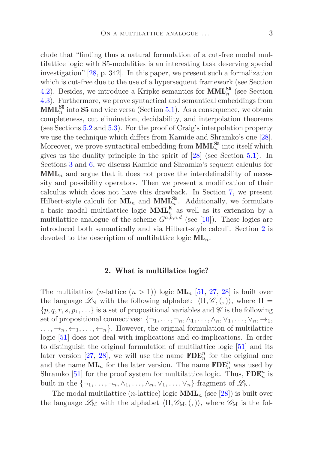clude that "finding thus a natural formulation of a cut-free modal multilattice logic with S5-modalities is an interesting task deserving special investigation" [\[28,](#page-44-8) p. 342]. In this paper, we present such a formalization which is cut-free due to the use of a hypersequent framework (see Section [4.2\)](#page-12-0). Besides, we introduce a Kripke semantics for  $\text{MML}_{n}^{S5}$  (see Section [4.3\)](#page-13-0). Furthermore, we prove syntactical and semantical embeddings from  $\text{MML}_{n}^{\text{S5}}$  into S5 and vice versa (Section [5.1\)](#page-15-0). As a consequence, we obtain completeness, cut elimination, decidability, and interpolation theorems (see Sections [5.2](#page-26-0) and [5.3\)](#page-29-0). For the proof of Craig's interpolation property we use the technique which differs from Kamide and Shramko's one [\[28\]](#page-44-8). Moreover, we prove syntactical embedding from  $\text{MML}_{n}^{\text{S5}}$  into itself which gives us the duality principle in the spirit of [\[28\]](#page-44-8) (see Section [5.1\)](#page-15-0). In Sections [3](#page-8-0) and [6,](#page-32-0) we discuss Kamide and Shramko's sequent calculus for  $\text{MML}_n$  and argue that it does not prove the interdefinability of necessity and possibility operators. Then we present a modification of their calculus which does not have this drawback. In Section [7,](#page-37-0) we present Hilbert-style calculi for  $\text{ML}_n$  and  $\text{MML}_{n}^{\text{S5}}$ . Additionally, we formulate a basic modal multilattice logic  $\text{MML}_n^{\mathbf{K}}$  as well as its extension by a multilattice analogue of the scheme  $G^{a,b,c,d}$  (see [\[10\]](#page-43-10)). These logics are introduced both semantically and via Hilbert-style calculi. Section [2](#page-2-0) is devoted to the description of multilattice logic ML*n*.

#### 2. What is multillatice logic?

<span id="page-2-0"></span>The multilattice  $(n\text{-}lattice (n>1))$  logic  $ML_n$  [\[51,](#page-46-0) [27,](#page-44-5) [28\]](#page-44-8) is built over the language  $\mathscr{L}_N$  with the following alphabet:  $\langle \Pi, \mathscr{C}, \langle , \rangle \rangle$ , where  $\Pi =$  $\{p, q, r, s, p_1, \ldots\}$  is a set of propositional variables and  $\mathscr C$  is the following set of propositional connectives:  $\{\neg_1, \ldots, \neg_n, \land_1, \ldots, \land_n, \lor_1, \ldots, \lor_n, \rightarrow_1,$  $\ldots, \rightarrow_n, \leftarrow_1, \ldots, \leftarrow_n$ . However, the original formulation of multilattice logic [\[51\]](#page-46-0) does not deal with implications and co-implications. In order to distinguish the original formulation of multilattice logic [\[51\]](#page-46-0) and its later version [\[27,](#page-44-5) [28\]](#page-44-8), we will use the name  $\mathbf{FDE}_{n}^{n}$  for the original one and the name  $\textbf{ML}_n$  for the later version. The name  $\textbf{FDE}_n^n$  was used by Shramko [\[51\]](#page-46-0) for the proof system for multilattice logic. Thus,  $\mathbf{FDE}_{n}^{n}$  is built in the  $\{\neg_1, \ldots, \neg_n, \wedge_1, \ldots, \wedge_n, \vee_1, \ldots, \vee_n\}$ -fragment of  $\mathscr{L}_N$ .

The modal multilattice  $(n\text{-lattice})$  logic  $\text{MML}_n$  (see [\[28\]](#page-44-8)) is built over the language  $\mathscr{L}_{M}$  with the alphabet  $\langle \Pi, \mathscr{C}_{M}, (, \rangle)$ , where  $\mathscr{C}_{M}$  is the fol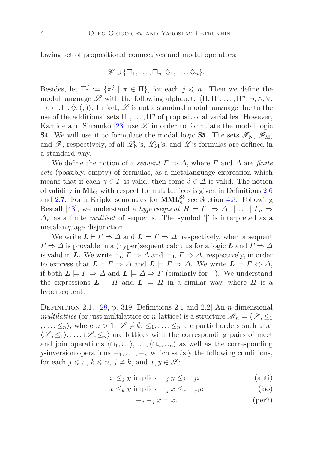lowing set of propositional connectives and modal operators:

$$
\mathscr{C} \cup \{\Box_1,\ldots,\Box_n,\Diamond_1,\ldots,\Diamond_n\}.
$$

Besides, let  $\Pi^j := {\pi^j \mid \pi \in \Pi}$ , for each  $j \leq n$ . Then we define the modal language  $\mathscr L$  with the following alphabet:  $\langle \Pi, \Pi^1, \ldots, \Pi^n, \neg, \wedge, \vee, \rangle$  $\rightarrow, \leftarrow, \Box, \Diamond, (,)$ . In fact,  $\mathscr L$  is not a standard modal language due to the use of the additional sets  $\Pi^1, \ldots, \Pi^n$  of propositional variables. However, Kamide and Shramko [\[28\]](#page-44-8) use  $\mathscr L$  in order to formulate the modal logic **S4**. We will use it to formulate the modal logic **S5**. The sets  $\mathscr{F}_{N}$ ,  $\mathscr{F}_{M}$ , and  $\mathscr{F}$ , respectively, of all  $\mathscr{L}_N$ 's,  $\mathscr{L}_M$ 's, and  $\mathscr{L}$ 's formulas are defined in a standard way.

We define the notion of a *sequent*  $\Gamma \Rightarrow \Delta$ , where  $\Gamma$  and  $\Delta$  are *finite sets* (possibly, empty) of formulas, as a metalanguage expression which means that if each  $\gamma \in \Gamma$  is valid, then some  $\delta \in \Delta$  is valid. The notion of validity in  $ML_n$  with respect to multilattices is given in Definitions [2.6](#page-5-0) and [2.7.](#page-5-1) For a Kripke semantics for  $\text{MML}_{n}^{\text{S5}}$  see Section [4.3.](#page-13-0) Following Restall [\[48\]](#page-46-12), we understand a *hypersequent*  $H = \Gamma_1 \Rightarrow \Delta_1 \mid \ldots \mid \Gamma_n \Rightarrow$  $\Delta_n$  as a finite *multiset* of sequents. The symbol '|' is interpreted as a metalanguage disjunction.

We write  $L \vdash \Gamma \Rightarrow \Delta$  and  $L \models \Gamma \Rightarrow \Delta$ , respectively, when a sequent  $\Gamma \Rightarrow \Delta$  is provable in a (hyper)sequent calculus for a logic *L* and  $\Gamma \Rightarrow \Delta$ is valid in *L*. We write  $\vdash_L \Gamma \Rightarrow \Delta$  and  $\models_L \Gamma \Rightarrow \Delta$ , respectively, in order to express that  $L \vdash \Gamma \Rightarrow \Delta$  and  $L \models \Gamma \Rightarrow \Delta$ . We write  $L \models \Gamma \Leftrightarrow \Delta$ , if both  $L \models \Gamma \Rightarrow \Delta$  and  $L \models \Delta \Rightarrow \Gamma$  (similarly for  $\vdash$ ). We understand the expressions  $L \vdash H$  and  $L \models H$  in a similar way, where *H* is a hypersequent.

Definition 2.1. [\[28,](#page-44-8) p. 319, Definitions 2.1 and 2.2] An *n*-dimensional *multilattice* (or just multilattice or *n*-lattice) is a structure  $\mathcal{M}_n = \langle \mathcal{S}, \leq_1 \rangle$  $, \ldots, \leq_n$ , where  $n > 1, \mathscr{S} \neq \emptyset, \leq_1, \ldots, \leq_n$  are partial orders such that  $\langle \mathcal{S}, \leq_1 \rangle, \ldots, \langle \mathcal{S}, \leq_n \rangle$  are lattices with the corresponding pairs of meet and join operations  $\langle \cap_1, \cup_1 \rangle, \ldots, \langle \cap_n, \cup_n \rangle$  as well as the corresponding *j*-inversion operations  $-1, \ldots, -n$  which satisfy the following conditions, for each  $j \leq n, k \leq n, j \neq k$ , and  $x, y \in \mathcal{S}$ :

- $x \leq j$  *y* implies  $-i$  *y*  $\leq j$  −*jx*; (anti)
- $x \leq_k y$  implies  $-\frac{y}{x} \leq_k -\frac{y}{y}$ ; (iso)

$$
-j - j x = x.
$$
 (per2)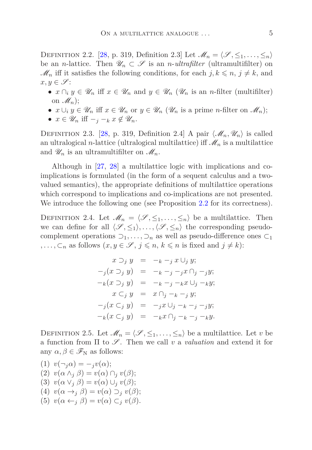DEFINITION 2.2. [\[28,](#page-44-8) p. 319, Definition 2.3] Let  $\mathcal{M}_n = \langle \mathcal{S}, \leq_1, \ldots, \leq_n \rangle$ be an *n*-lattice. Then  $\mathscr{U}_n \subset \mathscr{S}$  is an *n*-*ultrafilter* (ultramultifilter) on  $\mathcal{M}_n$  iff it satisfies the following conditions, for each  $j, k \leq n, j \neq k$ , and  $x, y \in \mathscr{S}$ :

- $x \cap_i y \in \mathscr{U}_n$  iff  $x \in \mathscr{U}_n$  and  $y \in \mathscr{U}_n$  ( $\mathscr{U}_n$  is an *n*-filter (multifilter) on  $\mathscr{M}_n$ ;
- $x \cup_i y \in \mathscr{U}_n$  iff  $x \in \mathscr{U}_n$  or  $y \in \mathscr{U}_n$  ( $\mathscr{U}_n$  is a prime *n*-filter on  $\mathscr{M}_n$ );
- $x \in \mathscr{U}_n$  iff  $-\frac{1}{2} k x \notin \mathscr{U}_n$ .

DEFINITION 2.3. [\[28,](#page-44-8) p. 319, Definition 2.4] A pair  $\langle \mathcal{M}_n, \mathcal{U}_n \rangle$  is called an ultralogical *n*-lattice (ultralogical multilattice) if  $\mathcal{M}_n$  is a multilattice and  $\mathscr{U}_n$  is an ultramultifilter on  $\mathscr{M}_n$ .

Although in [\[27,](#page-44-5) [28\]](#page-44-8) a multilattice logic with implications and coimplications is formulated (in the form of a sequent calculus and a twovalued semantics), the appropriate definitions of multilattice operations which correspond to implications and co-implications are not presented. We introduce the following one (see Proposition [2.2](#page-7-0) for its correctness).

DEFINITION 2.4. Let  $\mathcal{M}_n = \langle \mathcal{S}, \leq_1, \ldots, \leq_n \rangle$  be a multilattice. Then we can define for all  $\langle \mathcal{S}, \leq_1 \rangle, \ldots, \langle \mathcal{S}, \leq_n \rangle$  the corresponding pseudocomplement operations  $\supset_1, \dots, \supset_n$  as well as pseudo-difference ones  $\subset_1$ *,...,*  $\subset_n$  as follows  $(x, y \in \mathcal{S}, j \leq n, k \leq n$  is fixed and  $j \neq k$ ):

$$
x \supset_j y = -k - j x \cup_j y;
$$
  
\n
$$
-j(x \supset_j y) = -k - j - j x \cap_j - j y;
$$
  
\n
$$
-k(x \supset_j y) = -k - j - k x \cup_j - k y;
$$
  
\n
$$
x \subseteq_j y = x \cap_j - k - j y;
$$
  
\n
$$
-j(x \subseteq_j y) = -j x \cup_j - k - j - j y;
$$
  
\n
$$
-k(x \subseteq_j y) = -k x \cap_j - k - j - k y.
$$

<span id="page-4-0"></span>DEFINITION 2.5. Let  $\mathcal{M}_n = \langle \mathcal{S}, \leq_1, \ldots, \leq_n \rangle$  be a multilattice. Let *v* be a function from  $\Pi$  to  $\mathscr{S}$ . Then we call *v* a *valuation* and extend it for any  $\alpha, \beta \in \mathscr{F}_{N}$  as follows:

- $v(\neg_i \alpha) = -i v(\alpha);$ (2)  $v(\alpha \wedge_i \beta) = v(\alpha) \cap_i v(\beta);$ (3)  $v(\alpha \vee_j \beta) = v(\alpha) \cup_j v(\beta);$ (4)  $v(\alpha \rightarrow_i \beta) = v(\alpha) \supset_i v(\beta);$
- (5)  $v(\alpha \leftarrow_i \beta) = v(\alpha) \subset_i v(\beta)$ .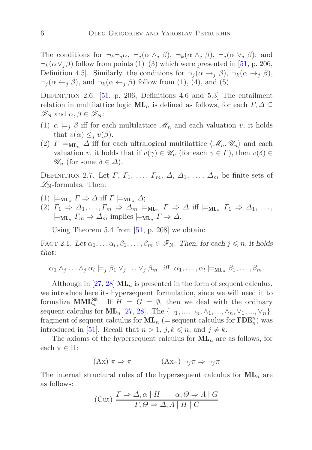The conditions for  $\neg_k \neg_i \alpha$ ,  $\neg_i (\alpha \wedge_i \beta)$ ,  $\neg_k (\alpha \wedge_i \beta)$ ,  $\neg_i (\alpha \vee_i \beta)$ , and  $\neg_k(\alpha \vee_j \beta)$  follow from points (1)–(3) which were presented in [\[51,](#page-46-0) p. 206, Definition 4.5]. Similarly, the conditions for  $\neg_j(\alpha \rightarrow_j \beta)$ ,  $\neg_k(\alpha \rightarrow_j \beta)$ ,  $\neg_i(\alpha \leftarrow_j \beta)$ , and  $\neg_k(\alpha \leftarrow_j \beta)$  follow from (1), (4), and (5).

<span id="page-5-0"></span>DEFINITION 2.6.  $[51, p. 206,$  $[51, p. 206,$  Definitions 4.6 and 5.3 The entailment relation in multilattice logic  $ML_n$  is defined as follows, for each  $\Gamma, \Delta \subseteq$  $\mathscr{F}_{N}$  and  $\alpha, \beta \in \mathscr{F}_{N}$ :

- (1)  $\alpha \models_i \beta$  iff for each multilattice  $\mathcal{M}_n$  and each valuation *v*, it holds that  $v(\alpha) \leq_i v(\beta)$ .
- (2)  $\Gamma \models_{ML_n} \Delta$  iff for each ultralogical multilattice  $\langle \mathcal{M}_n, \mathcal{U}_n \rangle$  and each valuation *v*, it holds that if  $v(\gamma) \in \mathscr{U}_n$  (for each  $\gamma \in \Gamma$ ), then  $v(\delta) \in$  $\mathscr{U}_n$  (for some  $\delta \in \Delta$ ).

<span id="page-5-1"></span>DEFINITION 2.7. Let  $\Gamma$ ,  $\Gamma$ <sub>1</sub>, ...,  $\Gamma$ <sub>*m*</sub>,  $\Delta$ ,  $\Delta$ <sub>1</sub>, ...,  $\Delta$ <sub>*m*</sub> be finite sets of  $\mathscr{L}_{\text{N}}$ -formulas. Then:

- $(1) \models_{ML_n} \Gamma \Rightarrow \Delta \text{ iff } \Gamma \models_{ML_n} \Delta;$
- (2) *Γ*<sup>1</sup> ⇒ *∆*1*, . . ., Γ<sup>m</sup>* ⇒ *∆<sup>m</sup>* |=ML*<sup>n</sup> Γ* ⇒ *∆* iff |=ML*<sup>n</sup> Γ*<sup>1</sup> ⇒ *∆*1, . . . ,  $\models$ **ML**<sub>n</sub></sub>  $\Gamma_m \Rightarrow \Delta_m$  implies  $\models$ **ML**<sub>n</sub>  $\Gamma \Rightarrow \Delta$ .

Using Theorem 5.4 from [\[51,](#page-46-0) p. 208] we obtain:

FACT 2.1. Let  $\alpha_1, \ldots, \alpha_l, \beta_1, \ldots, \beta_m \in \mathscr{F}_N$ . Then, for each  $j \leq n$ , it holds that:

$$
\alpha_1 \wedge_j \ldots \wedge_j \alpha_l \models_j \beta_1 \vee_j \ldots \vee_j \beta_m \text{ iff } \alpha_1, \ldots, \alpha_l \models_{\text{ML}_n} \beta_1, \ldots, \beta_m.
$$

Although in  $[27, 28]$  $[27, 28]$   $ML_n$  is presented in the form of sequent calculus, we introduce here its hypersequent formulation, since we will need it to formalize **MML**<sup>55</sup><sub>*n*</sub>. If  $H = G = \emptyset$ , then we deal with the ordinary sequent calculus for  $ML_n$  [\[27,](#page-44-5) [28\]](#page-44-8). The  $\{\neg_1, ..., \neg_n, \land_1, ..., \land_n, \lor_1, ..., \lor_n\}$ fragment of sequent calculus for  $ML_n$  (= sequent calculus for  $\mathbf{FDE}_n^n$ ) was introduced in [\[51\]](#page-46-0). Recall that  $n > 1$ ,  $j, k \leq n$ , and  $j \neq k$ .

The axioms of the hypersequent calculus for  $ML_n$  are as follows, for each  $\pi \in \Pi$ :

$$
(\mathbf{A}\mathbf{x})\ \pi \Rightarrow \pi \qquad (\mathbf{A}\mathbf{x}_{\neg})\ \neg_j \pi \Rightarrow \neg_j \pi
$$

The internal structural rules of the hypersequent calculus for  $ML_n$  are as follows:

$$
\text{(Cut)} \frac{\Gamma \Rightarrow \Delta, \alpha \mid H \qquad \alpha, \Theta \Rightarrow \Lambda \mid G}{\Gamma, \Theta \Rightarrow \Delta, \Lambda \mid H \mid G}
$$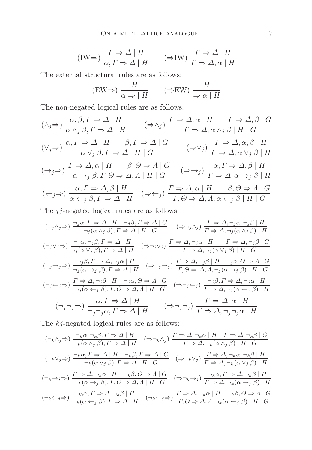$$
(\text{IW} \Rightarrow) \frac{\Gamma \Rightarrow \Delta \mid H}{\alpha, \Gamma \Rightarrow \Delta \mid H} \qquad (\Rightarrow \text{IW}) \frac{\Gamma \Rightarrow \Delta \mid H}{\Gamma \Rightarrow \Delta, \alpha \mid H}
$$

The external structural rules are as follows:

$$
(\text{EW}\Rightarrow) \frac{H}{\alpha \Rightarrow |H} \qquad (\Rightarrow \text{EW}) \frac{H}{\Rightarrow \alpha |H}
$$

The non-negated logical rules are as follows:

$$
(\wedge_{j} \Rightarrow) \frac{\alpha, \beta, \Gamma \Rightarrow \Delta \mid H}{\alpha \wedge_{j} \beta, \Gamma \Rightarrow \Delta \mid H} \qquad (\Rightarrow \wedge_{j}) \frac{\Gamma \Rightarrow \Delta, \alpha \mid H \qquad \Gamma \Rightarrow \Delta, \beta \mid G}{\Gamma \Rightarrow \Delta, \alpha \wedge_{j} \beta \mid H \mid G}
$$
  

$$
(\vee_{j} \Rightarrow) \frac{\alpha, \Gamma \Rightarrow \Delta \mid H \qquad \beta, \Gamma \Rightarrow \Delta \mid G}{\alpha \vee_{j} \beta, \Gamma \Rightarrow \Delta \mid H \mid G} \qquad (\Rightarrow \vee_{j}) \frac{\Gamma \Rightarrow \Delta, \alpha, \beta \mid H}{\Gamma \Rightarrow \Delta, \alpha \vee_{j} \beta \mid H}
$$
  

$$
(\rightarrow_{j} \Rightarrow) \frac{\Gamma \Rightarrow \Delta, \alpha \mid H \qquad \beta, \Theta \Rightarrow \Delta \mid G}{\alpha \rightarrow_{j} \beta, \Gamma, \Theta \Rightarrow \Delta, \Delta \mid H \mid G} \qquad (\Rightarrow \rightarrow_{j}) \frac{\alpha, \Gamma \Rightarrow \Delta, \beta \mid H}{\Gamma \Rightarrow \Delta, \alpha \rightarrow_{j} \beta \mid H}
$$
  

$$
(\leftarrow_{j} \Rightarrow) \frac{\alpha, \Gamma \Rightarrow \Delta, \beta \mid H}{\alpha \leftarrow_{j} \beta, \Gamma \Rightarrow \Delta \mid H} \qquad (\Rightarrow \leftarrow_{j}) \frac{\Gamma \Rightarrow \Delta, \alpha \mid H \qquad \beta, \Theta \Rightarrow \Delta \mid G}{\Gamma, \Theta \Rightarrow \Delta, \Delta, \alpha \leftarrow_{j} \beta \mid H \mid G}
$$

The *jj*-negated logical rules are as follows:

$$
(\neg_j \land_j \Rightarrow) \frac{\neg_j \alpha, \Gamma \Rightarrow \Delta \mid H \quad \neg_j \beta, \Gamma \Rightarrow \Delta \mid G}{\neg_j(\alpha \land_j \beta), \Gamma \Rightarrow \Delta \mid H \mid G} \quad (\Rightarrow \neg_j \land_j) \frac{\Gamma \Rightarrow \Delta, \neg_j \alpha, \neg_j \beta \mid H}{\Gamma \Rightarrow \Delta, \neg_j(\alpha \land_j \beta) \mid H}
$$
  

$$
(\neg_j \lor_j \Rightarrow) \frac{\neg_j \alpha, \neg_j \beta, \Gamma \Rightarrow \Delta \mid H}{\neg_j(\alpha \lor_j \beta), \Gamma \Rightarrow \Delta \mid H} \quad (\Rightarrow \neg_j \lor_j) \frac{\Gamma \Rightarrow \Delta, \neg_j \alpha \mid H \quad \Gamma \Rightarrow \Delta, \neg_j \beta \mid G}{\Gamma \Rightarrow \Delta, \neg_j(\alpha \lor_j \beta) \mid H \mid G}
$$
  

$$
(\neg_j \rightarrow_j \Rightarrow) \frac{\neg_j \beta, \Gamma \Rightarrow \Delta, \neg_j \alpha \mid H}{\neg_j(\alpha \rightarrow_j \beta), \Gamma \Rightarrow \Delta \mid H} \quad (\Rightarrow \neg_j \rightarrow_j) \frac{\Gamma \Rightarrow \Delta, \neg_j \beta \mid H \quad \neg_j \alpha, \Theta \Rightarrow \Lambda \mid G}{\Gamma, \Theta \Rightarrow \Delta, \Lambda, \neg_j(\alpha \rightarrow_j \beta) \mid H \mid G}
$$
  

$$
(\neg_j \leftarrow_j \Rightarrow) \frac{\Gamma \Rightarrow \Delta, \neg_j \beta \mid H \quad \neg_j \alpha, \Theta \Rightarrow \Lambda \mid G}{\neg_j(\alpha \leftarrow_j \beta), \Gamma, \Theta \Rightarrow \Delta, \Lambda \mid H \mid G} \quad (\Rightarrow \neg_j \leftarrow_j) \frac{\neg_j \beta, \Gamma \Rightarrow \Delta, \neg_j \alpha \mid H}{\Gamma \Rightarrow \Delta, \neg_j(\alpha \leftarrow_j \beta) \mid H}
$$
  

$$
(\neg_j \neg_j \Rightarrow) \frac{\alpha, \Gamma \Rightarrow \Delta \mid H}{\neg_j \neg_j \alpha, \Gamma \Rightarrow \Delta \mid H} \quad (\Rightarrow \neg_j \neg_j \gamma) \frac{\Gamma \Rightarrow \Delta, \alpha \mid H}{\Gamma \Rightarrow \Delta, \neg_j \neg_j \alpha \mid H}
$$

The *kj*-negated logical rules are as follows:

$$
(\neg_k \land_j \Rightarrow) \frac{\neg_k \alpha, \neg_k \beta, \Gamma \Rightarrow \Delta \mid H}{\neg_k(\alpha \land_j \beta), \Gamma \Rightarrow \Delta \mid H} \quad (\Rightarrow \neg_k \land_j) \frac{\Gamma \Rightarrow \Delta, \neg_k \alpha \mid H \quad \Gamma \Rightarrow \Delta, \neg_k \beta \mid G}{\Gamma \Rightarrow \Delta, \neg_k(\alpha \land_j \beta) \mid H \mid G}
$$
  

$$
(\neg_k \lor_j \Rightarrow) \frac{\neg_k \alpha, \Gamma \Rightarrow \Delta \mid H \quad \neg_k \beta, \Gamma \Rightarrow \Delta \mid G}{\neg_k(\alpha \lor_j \beta), \Gamma \Rightarrow \Delta \mid H \mid G} \quad (\Rightarrow \neg_k \lor_j) \frac{\Gamma \Rightarrow \Delta, \neg_k \alpha, \neg_k \beta \mid H}{\Gamma \Rightarrow \Delta, \neg_k(\alpha \lor_j \beta) \mid H}
$$
  

$$
(\neg_k \rightarrow_j \Rightarrow) \frac{\Gamma \Rightarrow \Delta, \neg_k \alpha \mid H \quad \neg_k \beta, \Theta \Rightarrow \Lambda \mid G}{\neg_k(\alpha \rightarrow_j \beta), \Gamma, \Theta \Rightarrow \Delta, \Lambda \mid H \mid G} \quad (\Rightarrow \neg_k \rightarrow_j) \frac{\neg_k \alpha, \Gamma \Rightarrow \Delta, \neg_k \beta \mid H}{\Gamma \Rightarrow \Delta, \neg_k(\alpha \rightarrow_j \beta) \mid H}
$$
  

$$
(\neg_k \leftrightarrow_j \Rightarrow) \frac{\neg_k \alpha, \Gamma \Rightarrow \Delta, \neg_k \beta \mid H}{\neg_k(\alpha \leftrightarrow_j \beta), \Gamma \Rightarrow \Delta \mid H} \quad (\neg_k \leftarrow_j \Rightarrow) \frac{\Gamma \Rightarrow \Delta, \neg_k \alpha \mid H \quad \neg_k \beta, \Theta \Rightarrow \Lambda \mid G}{\Gamma, \Theta \Rightarrow \Delta, \Lambda, \neg_k(\alpha \leftarrow_j \beta) \mid H \mid G}
$$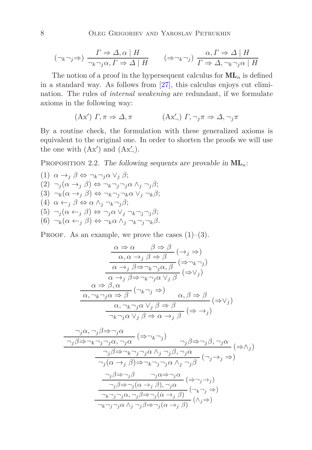$$
(\neg_k \neg_j \Rightarrow) \frac{\Gamma \Rightarrow \Delta, \alpha \mid H}{\neg_k \neg_j \alpha, \Gamma \Rightarrow \Delta \mid H} \qquad (\Rightarrow \neg_k \neg_j) \frac{\alpha, \Gamma \Rightarrow \Delta \mid H}{\Gamma \Rightarrow \Delta, \neg_k \neg_j \alpha \mid H}
$$

The notion of a proof in the hypersequent calculus for  $ML_n$  is defined in a standard way. As follows from [\[27\]](#page-44-5), this calculus enjoys cut elimination. The rules of *internal weakening* are redundant, if we formulate axioms in the following way:

$$
(\mathbf{A}\mathbf{x}') \; \Gamma, \pi \Rightarrow \Delta, \pi \qquad (\mathbf{A}\mathbf{x}'') \; \Gamma, \neg_j \pi \Rightarrow \Delta, \neg_j \pi
$$

By a routine check, the formulation with these generalized axioms is equivalent to the original one. In order to shorten the proofs we will use the one with  $(Ax')$  and  $(Ax'_{-})$ .

<span id="page-7-0"></span>PROPOSITION 2.2. The following sequents are provable in  $ML_n$ :

(1) 
$$
\alpha \rightarrow_j \beta \Leftrightarrow \neg_k \neg_j \alpha \lor_j \beta;
$$
  
\n(2)  $\neg_j(\alpha \rightarrow_j \beta) \Leftrightarrow \neg_k \neg_j \neg_j \alpha \land_j \neg_j \beta;$   
\n(3)  $\neg_k(\alpha \rightarrow_j \beta) \Leftrightarrow \neg_k \neg_j \neg_k \alpha \lor_j \neg_k \beta;$   
\n(4)  $\alpha \leftarrow_j \beta \Leftrightarrow \alpha \land_j \neg_k \neg_j \beta;$   
\n(5)  $\neg_j(\alpha \leftarrow_j \beta) \Leftrightarrow \neg_j \alpha \lor_j \neg_k \neg_j \neg_j \beta;$   
\n(6)  $\neg_k(\alpha \leftarrow_j \beta) \Leftrightarrow \neg_k \alpha \land_j \neg_k \neg_j \neg_k \beta.$ 

PROOF. As an example, we prove the cases  $(1)$ – $(3)$ .

$$
\frac{\alpha \Rightarrow \alpha \qquad \beta \Rightarrow \beta}{\alpha, \alpha \rightarrow_j \beta \Rightarrow \beta} (\rightarrow_j \Rightarrow)
$$

$$
\frac{\alpha \Rightarrow \alpha \qquad \beta \Rightarrow \beta}{\alpha \rightarrow_j \beta \Rightarrow \neg_k \neg_j \alpha, \beta} (\Rightarrow \neg_k \neg_j)
$$

$$
\frac{\alpha \Rightarrow \beta, \alpha}{\alpha \rightarrow_j \beta \Rightarrow \neg_k \neg_j \alpha \vee_j \beta} (\Rightarrow \vee_j)
$$

$$
\frac{\alpha \Rightarrow \beta, \alpha}{\alpha, \neg_k \neg_j \alpha \Rightarrow \beta} (\neg_k \neg_j \Rightarrow \alpha, \beta \Rightarrow \beta}{\alpha, \beta \Rightarrow \beta} (\Rightarrow \vee_j)
$$

$$
\frac{\alpha, \neg_k \neg_j \alpha \vee_j \beta \Rightarrow \beta}{\neg_k \neg_j \alpha \vee_j \beta \Rightarrow \alpha \rightarrow_j \beta} (\Rightarrow \rightarrow_j)
$$

$$
\frac{\gamma_j \alpha, \gamma_j \beta \Rightarrow \gamma_j \alpha}{\gamma_j \beta \Rightarrow \gamma_j \alpha, \gamma_j \alpha} \Rightarrow (\Rightarrow \neg_k \neg_j) \qquad \gamma_j \beta \Rightarrow \gamma_j \beta, \neg_j \alpha}{\gamma_j \beta \Rightarrow \neg_k \neg_j \neg_j \alpha \land_j \neg_j \beta, \neg_j \alpha} \Rightarrow (\Rightarrow \land_j)
$$
\n
$$
\frac{\gamma_j \beta \Rightarrow \neg_k \neg_j \neg_j \alpha \land_j \neg_j \beta}{\gamma_j (\alpha \Rightarrow_j \beta) \Rightarrow \neg_k \neg_j \neg_j \alpha \land_j \neg_j \beta} \Rightarrow (\neg_j \rightarrow_j \Rightarrow)}
$$
\n
$$
\frac{\neg_j \beta \Rightarrow \neg_j \beta \qquad \neg_j \alpha \Rightarrow \neg_j \alpha}{\neg_j \beta \Rightarrow \neg_j (\alpha \Rightarrow_j \beta), \neg_j \alpha} \Rightarrow (\Rightarrow \neg_j \Rightarrow_j \Rightarrow \neg_j \alpha \Rightarrow \neg_j \alpha \Rightarrow \neg_j \alpha \Rightarrow \neg_j \alpha \Rightarrow \neg_j \alpha \Rightarrow \neg_j \alpha \Rightarrow \neg_j \alpha \Rightarrow \neg_j \alpha \Rightarrow \neg_j \alpha \Rightarrow \neg_j \alpha \Rightarrow \neg_j \alpha \Rightarrow \neg_j \alpha \Rightarrow \neg_j \alpha \Rightarrow \neg_j \alpha \Rightarrow \neg_j \alpha \Rightarrow \neg_j \alpha \Rightarrow \neg_j \alpha \Rightarrow \neg_j \alpha \Rightarrow \neg_j \alpha \Rightarrow \neg_j \alpha \Rightarrow \neg_j \alpha \Rightarrow \neg_j \alpha \Rightarrow \neg_j \alpha \Rightarrow \neg_j \alpha \Rightarrow \neg_j \alpha \Rightarrow \neg_j \alpha \Rightarrow \neg_j \alpha \Rightarrow \neg_j \alpha \Rightarrow \neg_j \alpha \Rightarrow \neg_j \alpha \Rightarrow \neg_j \alpha \Rightarrow \neg_j \alpha \Rightarrow \neg_j \alpha \Rightarrow \neg_j \alpha \Rightarrow \neg_j \alpha \Rightarrow \neg_j \alpha \Rightarrow \neg_j \alpha \Rightarrow \neg_j \alpha \Rightarrow \neg_j \alpha \Rightarrow \neg_j \alpha \Rightarrow \neg_j \alpha \Rightarrow \neg_j \alpha \Rightarrow \neg_j \alpha \Rightarrow \neg_j \alpha \Rightarrow \neg_j \alpha \Rightarrow \neg_j \alpha \Rightarrow \neg_j \alpha \Rightarrow \neg_j \alpha \Rightarrow \neg_j \alpha \Rightarrow \neg_j \alpha \Rightarrow \neg_j \alpha \Rightarrow \neg_j \alpha \Rightarrow \neg_j \alpha \Rightarrow \neg_j \alpha \Rightarrow \neg_j \alpha \Rightarrow \neg_j \alpha \Rightarrow \neg_j \alpha \Rightarrow \neg_j \alpha \Rightarrow \neg_j \alpha \Rightarrow \neg_j \alpha \Rightarrow \neg_j \alpha \Rightarrow \neg_j \alpha \Rightarrow \neg_j \alpha \Rightarrow \neg_j \alpha \Rightarrow \neg_j \alpha \Rightarrow \neg_j \alpha \Rightarrow \neg_j \alpha \Rightarrow \neg_j \alpha \Rightarrow \neg_j \alpha \Rightarrow \neg_j \alpha \Rightarrow \
$$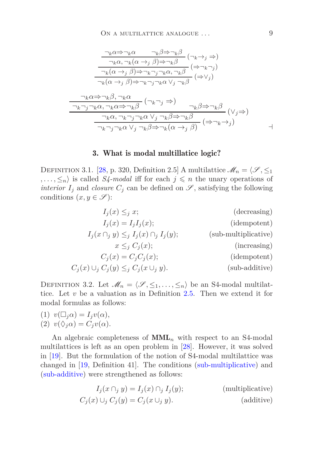$$
\frac{\neg_k \alpha \Rightarrow \neg_k \alpha \qquad \neg_k \beta \Rightarrow \neg_k \beta}{\neg_k \alpha, \neg_k (\alpha \to_j \beta) \Rightarrow \neg_k \beta} (\neg_k \to_j \Rightarrow)
$$
\n
$$
\frac{\neg_k (\alpha \to_j \beta) \Rightarrow \neg_k \neg_j \neg_k \alpha, \neg_k \beta}{\neg_k (\alpha \to_j \beta) \Rightarrow \neg_k \neg_j \neg_k \alpha, \neg_k \beta} (\Rightarrow \vee_j)
$$
\n
$$
\frac{\neg_k \alpha \Rightarrow \neg_k \beta, \neg_k \alpha}{\neg_k \alpha \Rightarrow \neg_k \beta} (\Rightarrow \vee_j \Rightarrow \neg_k \alpha \lor_j \neg_k \beta}
$$
\n
$$
\frac{\neg_k \alpha \Rightarrow \neg_k \beta, \neg_k \alpha}{\neg_k \neg_j \neg_k \alpha, \neg_k \alpha \Rightarrow \neg_k \beta} (\neg_k \neg_j \Rightarrow \neg_k \beta \Rightarrow \neg_k \beta}{\neg_k \neg_j \neg_k \alpha \lor_j \neg_k \beta \Rightarrow \neg_k (\alpha \to_j \beta)} (\Rightarrow \neg_k \to_j)
$$

#### 3. What is modal multillatice logic?

<span id="page-8-0"></span>DEFINITION 3.1. [\[28,](#page-44-8) p. 320, Definition 2.5] A multilattice  $\mathcal{M}_n = \{\mathcal{S}, \leq_1\}$ *,...,*  $\leq_n$  is called *S4-modal* iff for each  $j \leq n$  the unary operations of *interior*  $I_j$  and *closure*  $C_j$  can be defined on  $\mathscr{S}$ , satisfying the following conditions  $(x, y \in \mathscr{S})$ :

<span id="page-8-2"></span><span id="page-8-1"></span>
$$
I_j(x) \leq_j x;
$$
 (decreasing)  
\n
$$
I_j(x) = I_j I_j(x);
$$
 (idempotent)  
\n
$$
I_j(x \cap_j y) \leq_j I_j(x) \cap_j I_j(y);
$$
 (sub-multiplicative)  
\n
$$
x \leq_j C_j(x);
$$
 (increasing)  
\n
$$
C_j(x) \cup_j C_j(y) \leq_j C_j(x \cup_j y).
$$
 (sub-additive)

DEFINITION 3.2. Let  $\mathcal{M}_n = \langle \mathcal{S}, \leq_1, \ldots, \leq_n \rangle$  be an S4-modal multilattice. Let *v* be a valuation as in Definition [2.5.](#page-4-0) Then we extend it for modal formulas as follows:

(1) 
$$
v(\Box_j \alpha) = I_j v(\alpha),
$$
  
(2)  $v(\land \alpha) = C_v(\alpha).$ 

(2) 
$$
v(\Diamond_j \alpha) = C_j v(\alpha)
$$
.

An algebraic completeness of  $\text{MML}_n$  with respect to an S4-modal multilattices is left as an open problem in [\[28\]](#page-44-8). However, it was solved in [\[19\]](#page-44-10). But the formulation of the notion of S4-modal multilattice was changed in [\[19,](#page-44-10) Definition 41]. The conditions [\(sub-multiplicative\)](#page-8-1) and [\(sub-additive\)](#page-8-2) were strengthened as follows:

$$
I_j(x \cap_j y) = I_j(x) \cap_j I_j(y);
$$
 (multiplicative)  

$$
C_j(x) \cup_j C_j(y) = C_j(x \cup_j y).
$$
 (additive)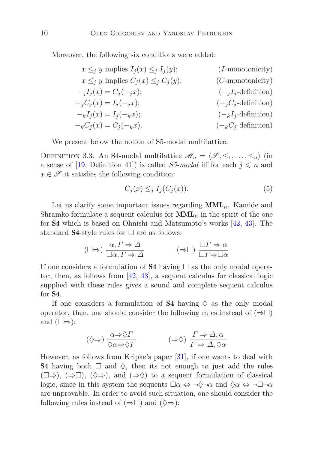Moreover, the following six conditions were added:

$$
x \leq_j y \text{ implies } I_j(x) \leq_j I_j(y); \qquad (I\text{-monotonicity})
$$
  
\n
$$
x \leq_j y \text{ implies } C_j(x) \leq_j C_j(y); \qquad (C\text{-monotonicity})
$$
  
\n
$$
-jI_j(x) = C_j(-jx); \qquad (-jI_j\text{-definition})
$$
  
\n
$$
-jC_j(x) = I_j(-jx); \qquad (-jC_j\text{-definition})
$$
  
\n
$$
-kI_j(x) = I_j(-kx); \qquad (-kI_j\text{-definition})
$$
  
\n
$$
-kC_j(x) = C_j(-kx).
$$
  
\n
$$
(-kC_j\text{-definition})
$$

We present below the notion of S5-modal multilattice.

DEFINITION 3.3. An S4-modal multilattice  $\mathcal{M}_n = \langle \mathcal{S}, \leq_1, \ldots, \leq_n \rangle$  (in a sense of [\[19,](#page-44-10) Definition 41]) is called *S5-modal* iff for each  $j \leq n$  and  $x \in \mathscr{S}$  it satisfies the following condition:

$$
C_j(x) \leq_j I_j(C_j(x)).\tag{5}
$$

Let us clarify some important issues regarding MML*n*. Kamide and Shramko formulate a sequent calculus for  $\text{MML}_n$  in the spirit of the one for S4 which is based on Ohnishi and Matsumoto's works [\[42,](#page-45-6) [43\]](#page-45-7). The standard **S4**-style rules for  $\Box$  are as follows:

$$
(\Box \Rightarrow) \frac{\alpha, \Gamma \Rightarrow \Delta}{\Box \alpha, \Gamma \Rightarrow \Delta} \qquad (\Rightarrow \Box) \frac{\Box \Gamma \Rightarrow \alpha}{\Box \Gamma \Rightarrow \Box \alpha}
$$

If one considers a formulation of **S4** having  $\Box$  as the only modal operator, then, as follows from [\[42,](#page-45-6) [43\]](#page-45-7), a sequent calculus for classical logic supplied with these rules gives a sound and complete sequent calculus for S4.

If one considers a formulation of **S4** having  $\Diamond$  as the only modal operator, then, one should consider the following rules instead of  $(\Rightarrow \Box)$ and  $(\square \Rightarrow)$ :

$$
(\Diamond \Rightarrow) \frac{\alpha \Rightarrow \Diamond \Gamma}{\Diamond \alpha \Rightarrow \Diamond \Gamma} \qquad (\Rightarrow \Diamond) \frac{\Gamma \Rightarrow \Delta, \alpha}{\Gamma \Rightarrow \Delta, \Diamond \alpha}
$$

However, as follows from Kripke's paper [\[31\]](#page-45-13), if one wants to deal with **S4** having both  $\Box$  and  $\Diamond$ , then its not enough to just add the rules  $(\Box \Rightarrow), (\Rightarrow \Box), (\Diamond \Rightarrow), \text{ and } (\Rightarrow \Diamond)$  to a sequent formulation of classical logic, since in this system the sequents  $\Box \alpha \Leftrightarrow \neg \Diamond \neg \alpha$  and  $\Diamond \alpha \Leftrightarrow \neg \Box \neg \alpha$ are unprovable. In order to avoid such situation, one should consider the following rules instead of  $(\Rightarrow \Box)$  and  $(\Diamond \Rightarrow)$ :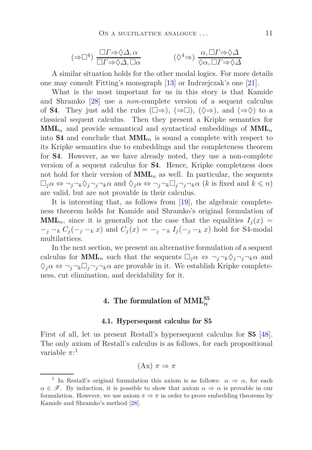$$
(\Rightarrow \Box^4) \frac{\Box \Gamma \Rightarrow \Diamond \Delta, \alpha}{\Box \Gamma \Rightarrow \Diamond \Delta, \Box \alpha} \qquad (\Diamond^4 \Rightarrow) \frac{\alpha, \Box \Gamma \Rightarrow \Diamond \Delta}{\Diamond \alpha, \Box \Gamma \Rightarrow \Diamond \Delta}
$$

A similar situation holds for the other modal logics. For more details one may consult Fitting's monograph [\[13\]](#page-43-4) or Indrzejczak's one [\[21\]](#page-44-11).

What is the most important for us in this story is that Kamide and Shramko [\[28\]](#page-44-8) use a *non*-complete version of a sequent calculus of S4. They just add the rules  $(\Box \Rightarrow), (\Rightarrow \Box), (\Diamond \Rightarrow), \text{ and } (\Rightarrow \Diamond)$  to a classical sequent calculus. Then they present a Kripke semantics for MML*<sup>n</sup>* and provide semantical and syntactical embeddings of MML*<sup>n</sup>* into **S4** and conclude that  $MML_n$  is sound a complete with respect to its Kripke semantics due to embeddings and the completeness theorem for S4. However, as we have already noted, they use a non-complete version of a sequent calculus for S4. Hence, Kripke completness does not hold for their version of  $\text{MML}_n$  as well. In particular, the sequents  $\Box_j \alpha \Leftrightarrow \neg_j \neg_k \Diamond_j \neg_j \neg_k \alpha$  and  $\Diamond_j \alpha \Leftrightarrow \neg_j \neg_k \Box_j \neg_j \neg_k \alpha$  (*k* is fixed and  $k \leq n$ ) are valid, but are not provable in their calculus.

It is interesting that, as follows from [\[19\]](#page-44-10), the algebraic completeness theorem holds for Kamide and Shramko's original formulation of  $\text{MML}_n$ , since it is generally not the case that the equalities  $I_i(x)$  $-$ *j* −*k*  $C_j$  (−*j* −*k x*) and  $C_j$  (*x*) = −*j* −*k*  $I_j$  (−*j* −*k x*) hold for S4-modal multilattices.

In the next section, we present an alternative formulation of a sequent calculus for **MML**<sub>n</sub> such that the sequents  $\Box_j \alpha \Leftrightarrow \neg_j \neg_k \Diamond_j \neg_j \neg_k \alpha$  and  $\Diamond_i \alpha \Leftrightarrow \neg_i \neg_k \Box_i \neg_j \neg_k \alpha$  are provable in it. We establish Kripke completeness, cut elimination, and decidability for it.

## $4.$  The formulation of  $\mathrm{MML}_n^\mathrm{S5}$

#### 4.1. Hypersequent calculus for S5

First of all, let us present Restall's hypersequent calculus for S5 [\[48\]](#page-46-12). The only axiom of Restall's calculus is as follows, for each propositional variable  $\pi$ <sup>:[1](#page-10-0)</sup>

(Ax) *π* ⇒ *π*

<span id="page-10-0"></span><sup>&</sup>lt;sup>1</sup> In Restall's original formulation this axiom is as follows:  $\alpha \Rightarrow \alpha$ , for each  $\alpha \in \mathscr{F}$ . By induction, it is possible to show that axiom  $\alpha \Rightarrow \alpha$  is provable in our formulation. However, we use axiom  $\pi \Rightarrow \pi$  in order to prove embedding theorems by Kamide and Shramko's method [\[28\]](#page-44-8).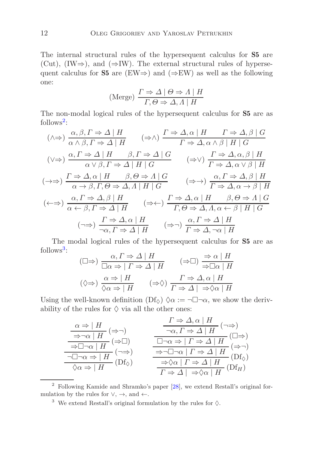The internal structural rules of the hypersequent calculus for S5 are (Cut), (IW $\Rightarrow$ ), and ( $\Rightarrow$ IW). The external structural rules of hypersequent calculus for **S5** are (EW⇒) and ( $\Rightarrow$ EW) as well as the following one:

(Merge) 
$$
\frac{\Gamma \Rightarrow \Delta \mid \Theta \Rightarrow \Lambda \mid H}{\Gamma, \Theta \Rightarrow \Delta, \Lambda \mid H}
$$

The non-modal logical rules of the hypersequent calculus for S5 are as follows<sup>[2](#page-11-0)</sup>:

$$
(\wedge \Rightarrow) \frac{\alpha, \beta, \Gamma \Rightarrow \Delta \mid H}{\alpha \wedge \beta, \Gamma \Rightarrow \Delta \mid H} \qquad (\Rightarrow \wedge) \frac{\Gamma \Rightarrow \Delta, \alpha \mid H \qquad \Gamma \Rightarrow \Delta, \beta \mid G}{\Gamma \Rightarrow \Delta, \alpha \wedge \beta \mid H \mid G}
$$

$$
(\vee \Rightarrow) \frac{\alpha, \Gamma \Rightarrow \Delta \mid H \qquad \beta, \Gamma \Rightarrow \Delta \mid G}{\alpha \vee \beta, \Gamma \Rightarrow \Delta \mid H \mid G} \qquad (\Rightarrow \vee) \frac{\Gamma \Rightarrow \Delta, \alpha, \beta \mid H}{\Gamma \Rightarrow \Delta, \alpha \vee \beta \mid H}
$$

$$
(\rightarrow \Rightarrow) \frac{\Gamma \Rightarrow \Delta, \alpha \mid H \qquad \beta, \Theta \Rightarrow \Delta \mid G}{\alpha \Rightarrow \beta, \Gamma, \Theta \Rightarrow \Delta, \Delta \mid H \mid G} \qquad (\Rightarrow \rightarrow) \frac{\alpha, \Gamma \Rightarrow \Delta, \beta \mid H}{\Gamma \Rightarrow \Delta, \alpha \rightarrow \beta \mid H}
$$

$$
(\leftarrow \Rightarrow) \frac{\alpha, \Gamma \Rightarrow \Delta, \beta \mid H}{\alpha \leftarrow \beta, \Gamma \Rightarrow \Delta \mid H} \qquad (\Rightarrow \leftarrow) \frac{\Gamma \Rightarrow \Delta, \alpha \mid H \qquad \beta, \Theta \Rightarrow \Delta \mid G}{\Gamma, \Theta \Rightarrow \Delta, \Delta, \alpha \leftarrow \beta \mid H \mid G}
$$

$$
(\rightarrow \Rightarrow) \frac{\Gamma \Rightarrow \Delta, \alpha \mid H}{\neg \alpha, \Gamma \Rightarrow \Delta \mid H} \qquad (\Rightarrow \leftarrow) \frac{\alpha, \Gamma \Rightarrow \Delta \mid H}{\Gamma \Rightarrow \Delta, \neg \alpha \mid H}
$$

The modal logical rules of the hypersequent calculus for S5 are as  $follows<sup>3</sup>$  $follows<sup>3</sup>$  $follows<sup>3</sup>$ : *α, Γ* ⇒ *∆* | *H* ⇒ *α* | *H*

$$
(\Box \Rightarrow) \frac{\alpha, \Gamma \Rightarrow \Delta \mid H}{\Box \alpha \Rightarrow \Gamma \Rightarrow \Delta \mid H} \qquad (\Rightarrow \Box) \frac{\Rightarrow \alpha \mid H}{\Rightarrow \Box \alpha \mid H}
$$

$$
(\Diamond \Rightarrow) \frac{\alpha \Rightarrow \mid H}{\Diamond \alpha \Rightarrow \mid H} \qquad (\Rightarrow \Diamond) \frac{\Gamma \Rightarrow \Delta, \alpha \mid H}{\Gamma \Rightarrow \Delta \mid \Rightarrow \Diamond \alpha \mid H}
$$

Using the well-known definition  $(Df_{\Diamond}) \Diamond \alpha := \neg \Box \neg \alpha$ , we show the derivability of the rules for  $\diamond$  via all the other ones:

$$
\frac{\alpha \Rightarrow |H}{\Rightarrow \neg \alpha | H} (\Rightarrow \neg) \qquad \frac{\Gamma \Rightarrow \Delta, \alpha | H}{\neg \alpha, \Gamma \Rightarrow \Delta | H} (\neg \Rightarrow) \n\Rightarrow \Box \neg \alpha | H} (\Rightarrow \Box) \qquad \frac{\Box \neg \alpha \Rightarrow |\Gamma \Rightarrow \Delta | H} (\Box \Rightarrow) \n\frac{\Box \neg \alpha \Rightarrow |\Gamma \Rightarrow \Delta | H} (\Rightarrow \neg) \n\frac{\Box \neg \alpha \Rightarrow |\Gamma \Rightarrow \Delta | H} (\Rightarrow \neg) \n\Rightarrow \Box \neg \alpha | \Gamma \Rightarrow \Delta | H} (\text{Df}_{\Diamond}) \n\frac{\Rightarrow \Diamond \alpha | \Gamma \Rightarrow \Delta | H} (\text{Df}_{\Diamond})
$$

<sup>2</sup> Following Kamide and Shramko's paper [\[28\]](#page-44-8), we extend Restall's original formulation by the rules for  $\vee$ ,  $\rightarrow$ , and  $\leftarrow$ .

<span id="page-11-1"></span><span id="page-11-0"></span><sup>3</sup> We extend Restall's original formulation by the rules for  $\Diamond$ .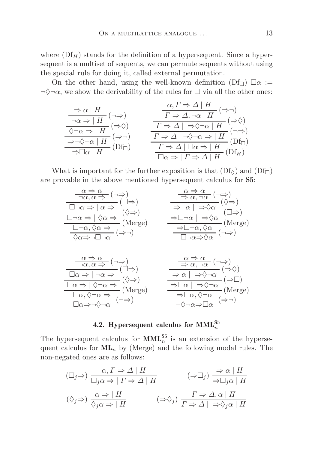where  $(Df_H)$  stands for the definition of a hypersequent. Since a hypersequent is a multiset of sequents, we can permute sequents without using the special rule for doing it, called external permutation.

On the other hand, using the well-known definition  $(Df_{\Box})$   $\square \alpha :=$  $\neg \Diamond \neg \alpha$ , we show the derivability of the rules for  $\Box$  via all the other ones:

$$
\frac{\Rightarrow \alpha \mid H}{\neg \alpha \Rightarrow \mid H} (\neg \Rightarrow) \qquad \frac{\alpha, \Gamma \Rightarrow \Delta \mid H}{\Gamma \Rightarrow \Delta, \neg \alpha \mid H} (\Rightarrow \neg) \n\frac{\Diamond \neg \alpha \Rightarrow \mid H}{\Diamond \neg \alpha \Rightarrow \mid H} (\Rightarrow \Diamond) \n\frac{\neg \neg \Diamond \neg \alpha \mid H}{\Diamond \neg \Diamond \neg \alpha \mid H} (\Rightarrow \neg) \n\frac{\neg \Diamond \neg \alpha \mid H}{\Diamond \neg \Diamond \neg \alpha \mid H} (\neg \Rightarrow) \n\frac{\Gamma \Rightarrow \Delta \mid \neg \Diamond \neg \alpha \Rightarrow \mid H}{\Gamma \Rightarrow \Delta \mid \neg \Diamond \neg \alpha \Rightarrow \mid H} (\Box f_{\Box}) \n\frac{\Gamma \Rightarrow \Delta \mid \Box \alpha \Rightarrow \mid H}{\Box \alpha \Rightarrow \mid H} (\Box f_{H})
$$

What is important for the further exposition is that  $(Df_{\circ})$  and  $(Df_{\Box})$ are provable in the above mentioned hypersequent calculus for S5:

| $\frac{\alpha \Rightarrow \alpha}{\neg \alpha, \alpha \Rightarrow} (\neg \Rightarrow)$ $\frac{\Box \neg \alpha \Rightarrow \alpha \Rightarrow}{\Box \neg \alpha \Rightarrow \alpha \Rightarrow} (\Box \Rightarrow)$<br>$\begin{array}{c}\n\overbrace{\Box \neg \alpha \Rightarrow  \ \Diamond \alpha \Rightarrow} (\Diamond \Rightarrow) \\ \overbrace{\Box \neg \alpha, \Diamond \alpha \Rightarrow} (\text{Merge}) \\ \overbrace{\Diamond \alpha \Rightarrow \neg \Box \neg \alpha} (\Rightarrow \neg)\n\end{array}$ | $\begin{array}{c}\n\frac{\alpha \Rightarrow \alpha}{\Rightarrow \alpha, \neg \alpha} (\neg \Rightarrow) \\ \hline\n\frac{}{\Rightarrow \neg \alpha} \Rightarrow \frac{}{\Rightarrow \Diamond \alpha} (\Diamond \Rightarrow) \\ \hline\n\frac{}{\Rightarrow \Box \neg \alpha} \Rightarrow \Diamond \alpha} (\Box \Rightarrow) \\ \hline\n\frac{}{\Rightarrow \Box \neg \alpha, \Diamond \alpha} (\text{Merge}) \\ \hline\n\frac{}{\neg \Box \neg \alpha \Rightarrow \Diamond \alpha} (\neg \Rightarrow)\n\end{array}$                                  |
|------------------------------------------------------------------------------------------------------------------------------------------------------------------------------------------------------------------------------------------------------------------------------------------------------------------------------------------------------------------------------------------------------------------------------------------------------------------------------------------------------------------------|-------------------------------------------------------------------------------------------------------------------------------------------------------------------------------------------------------------------------------------------------------------------------------------------------------------------------------------------------------------------------------------------------------------------------------------------------------------------------------------------------------------------------------------------------------|
| $\frac{\alpha \Rightarrow \alpha}{\neg \alpha, \alpha \Rightarrow} (\neg \Rightarrow)$<br>$\frac{\Box \alpha \Rightarrow \neg \Diamond \Rightarrow}{\Box \alpha \Rightarrow  \neg \alpha \Rightarrow} (\Box \Rightarrow)$ $\frac{\Box \alpha \Rightarrow  \Diamond \neg \alpha \Rightarrow}{\Box \alpha, \Diamond \neg \alpha \Rightarrow} (\Diamond \Rightarrow)$ $\frac{\Box \alpha, \Diamond \neg \alpha \Rightarrow}{\Box \alpha \Rightarrow \neg \Diamond \neg \alpha} (\neg \Rightarrow)$                        | $\begin{array}{c}\n\frac{\alpha \Rightarrow \alpha}{\Rightarrow \alpha, \neg \alpha} (\neg \Rightarrow) \\ \hline\n\Rightarrow \alpha   \Rightarrow \Diamond \neg \alpha} (\Rightarrow \Diamond) \\ \hline\n\Rightarrow \Box \alpha   \Rightarrow \Diamond \neg \alpha (\Rightarrow \Box) \\ \hline\n\Rightarrow \Box \alpha, \Diamond \neg \alpha \quad (\text{Merge}) \\ \hline\n\Rightarrow \Box \alpha, \Diamond \neg \alpha \quad (\Rightarrow \neg) \\ \hline\n\land \neg \alpha \Rightarrow \Box \alpha \quad (\Rightarrow \neg)\n\end{array}$ |

## 4.2. Hypersequent calculus for  $\text{MML}_n^{\text{S5}}$

<span id="page-12-0"></span>The hypersequent calculus for  $\text{MML}_{n}^{S5}$  is an extension of the hypersequent calculus for  $ML_n$  by (Merge) and the following modal rules. The non-negated ones are as follows:

$$
(\Box_j \Rightarrow) \frac{\alpha, \Gamma \Rightarrow \Delta \mid H}{\Box_j \alpha \Rightarrow \Gamma \Rightarrow \Delta \mid H} \qquad (\Rightarrow \Box_j) \frac{\Rightarrow \alpha \mid H}{\Rightarrow \Box_j \alpha \mid H}
$$
  

$$
(\Diamond_j \Rightarrow) \frac{\alpha \Rightarrow \mid H}{\Diamond_j \alpha \Rightarrow \mid H} \qquad (\Rightarrow \Diamond_j) \frac{\Gamma \Rightarrow \Delta, \alpha \mid H}{\Gamma \Rightarrow \Delta \mid \Rightarrow \Diamond_j \alpha \mid H}
$$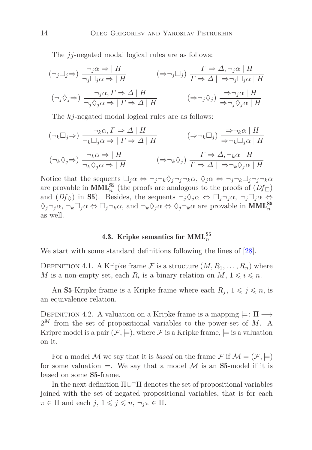The *jj*-negated modal logical rules are as follows:

$$
(\neg_j \Box_j \Rightarrow) \frac{\neg_j \alpha \Rightarrow | H}{\neg_j \Box_j \alpha \Rightarrow | H} \qquad (\Rightarrow \neg_j \Box_j) \frac{\Gamma \Rightarrow \Delta, \neg_j \alpha | H}{\Gamma \Rightarrow \Delta | \Rightarrow \neg_j \Box_j \alpha | H}
$$
  

$$
(\neg_j \Diamond_j \Rightarrow) \frac{\neg_j \alpha, \Gamma \Rightarrow \Delta | H}{\neg_j \Diamond_j \alpha \Rightarrow | \Gamma \Rightarrow \Delta | H} \qquad (\Rightarrow \neg_j \Diamond_j) \frac{\Rightarrow \neg_j \alpha | H}{\Rightarrow \neg_j \Diamond_j \alpha | H}
$$

The *kj*-negated modal logical rules are as follows:

$$
(\neg_k \Box_j \Rightarrow) \frac{\neg_k \alpha, \Gamma \Rightarrow \Delta \mid H}{\neg_k \Box_j \alpha \Rightarrow \Gamma \Rightarrow \Delta \mid H} \qquad (\Rightarrow \neg_k \Box_j) \frac{\Rightarrow \neg_k \alpha \mid H}{\Rightarrow \neg_k \Box_j \alpha \mid H}
$$
  

$$
(\neg_k \Diamond_j \Rightarrow) \frac{\neg_k \alpha \Rightarrow \mid H}{\neg_k \Diamond_j \alpha \Rightarrow \mid H} \qquad (\Rightarrow \neg_k \Diamond_j) \frac{\Gamma \Rightarrow \Delta, \neg_k \alpha \mid H}{\Gamma \Rightarrow \Delta \mid \Rightarrow \neg_k \Diamond_j \alpha \mid H}
$$

<span id="page-13-0"></span>Notice that the sequents  $\Box_j \alpha \Leftrightarrow \neg_j \neg_k \Diamond_j \neg_j \neg_k \alpha$ ,  $\Diamond_j \alpha \Leftrightarrow \neg_j \neg_k \Box_j \neg_j \neg_k \alpha$ are provable in  $\text{MML}_{n}^{\text{S5}}$  (the proofs are analogous to the proofs of  $(Df_{\Box})$ ) and  $(Df_{\Diamond})$  in **S5**). Besides, the sequents  $\neg_j \Diamond_j \alpha \Leftrightarrow \Box_j \neg_j \alpha$ ,  $\neg_j \Box_j \alpha \Leftrightarrow \Box_j \neg_j \alpha$  $\Diamond_j \neg_j \alpha$ ,  $\neg_k \Box_j \alpha \Leftrightarrow \Box_j \neg_k \alpha$ , and  $\neg_k \Diamond_j \alpha \Leftrightarrow \Diamond_j \neg_k \alpha$  are provable in  $\text{MML}_n^{\text{S5}}$ as well.

## 4.3. Kripke semantics for  $\text{MML}_n^{\text{S5}}$

We start with some standard definitions following the lines of [\[28\]](#page-44-8).

DEFINITION 4.1. A Kripke frame F is a structure  $(M, R_1, \ldots, R_n)$  where *M* is a non-empty set, each  $R_i$  is a binary relation on  $M$ ,  $1 \leq i \leq n$ .

An S5-Kripke frame is a Kripke frame where each  $R_j$ ,  $1 \leq j \leq n$ , is an equivalence relation.

DEFINITION 4.2. A valuation on a Kripke frame is a mapping  $\models: \Pi \rightarrow$ 2*<sup>M</sup>* from the set of propositional variables to the power-set of *M*. A Kripre model is a pair  $(\mathcal{F}, \models)$ , where  $\mathcal F$  is a Kripke frame,  $\models$  is a valuation on it.

For a model M we say that it is *based* on the frame F if  $M = (\mathcal{F}, \models)$ for some valuation  $\models$ . We say that a model M is an **S5**-model if it is based on some S5-frame.

In the next definition  $\Pi \cup \neg \Pi$  denotes the set of propositional variables joined with the set of negated propositional variables, that is for each  $\pi \in \Pi$  and each  $j, 1 \leq j \leq n, \pi \in \Pi$ .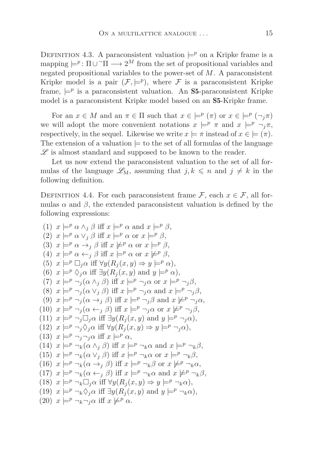DEFINITION 4.3. A paraconsistent valuation  $\models^p$  on a Kripke frame is a mapping  $\models^p: \Pi \cup \neg \Pi \longrightarrow 2^M$  from the set of propositional variables and negated propositional variables to the power-set of *M*. A paraconsistent Kripke model is a pair  $(\mathcal{F}, \models^p)$ , where  $\mathcal F$  is a paraconsistent Kripke frame,  $\models^p$  is a paraconsistent valuation. An **S5**-paraconsistent Kripke model is a paraconsistent Kripke model based on an S5-Kripke frame.

For an  $x \in M$  and an  $\pi \in \Pi$  such that  $x \in \models^p (\pi)$  or  $x \in \models^p (\neg_j \pi)$ we will adopt the more convenient notations  $x \models^p \pi$  and  $x \models^p \neg_j \pi$ , respectively, in the sequel. Likewise we write  $x \models \pi$  instead of  $x \in \models (\pi)$ . The extension of a valuation  $\models$  to the set of all formulas of the language  $\mathscr L$  is almost standard and supposed to be known to the reader.

Let us now extend the paraconsistent valuation to the set of all formulas of the language  $\mathscr{L}_{M}$ , assuming that  $j, k \leq n$  and  $j \neq k$  in the following definition.

<span id="page-14-0"></span>DEFINITION 4.4. For each paraconsistent frame  $\mathcal{F}$ , each  $x \in \mathcal{F}$ , all formulas  $\alpha$  and  $\beta$ , the extended paraconsistent valuation is defined by the following expressions:

(1) 
$$
x \models^p \alpha \wedge_j \beta
$$
 iff  $x \models^p \alpha$  and  $x \models^p \beta$ ,  
\n(2)  $x \models^p \alpha \vee_j \beta$  iff  $x \models^p \alpha$  or  $x \models^p \beta$ ,  
\n(3)  $x \models^p \alpha \rightarrow_j \beta$  iff  $x \not\models^p \alpha$  or  $x \models^p \beta$ ,  
\n(4)  $x \models^p \alpha \leftarrow_j \beta$  iff  $x \not\models^p \alpha$  or  $x \not\models^p \beta$ ,  
\n(5)  $x \models^p \Box_j \alpha$  iff  $\forall y (R_j(x, y) \Rightarrow y \models^p \alpha)$ ,  
\n(6)  $x \models^p \Diamond_j \alpha$  iff  $\exists y (R_j(x, y) \text{ and } y \models^p \alpha)$ ,  
\n(7)  $x \models^p \neg_j (\alpha \wedge_j \beta)$  iff  $x \models^p \neg_j \alpha$  or  $x \models^p \neg_j \beta$ ,  
\n(8)  $x \models^p \neg_j (\alpha \vee_j \beta)$  iff  $x \models^p \neg_j \alpha$  and  $x \models^p \neg_j \beta$ ,  
\n(9)  $x \models^p \neg_j (\alpha \rightarrow_j \beta)$  iff  $x \models^p \neg_j \alpha$  or  $x \not\models^p \neg_j \alpha$ ,  
\n(10)  $x \models^p \neg_j (\alpha \leftarrow_j \beta)$  iff  $x \models^p \neg_j \alpha$  or  $x \not\models^p \neg_j \alpha$ ,  
\n(11)  $x \models^p \neg_j \Box_j \alpha$  iff  $\exists y (R_j(x, y) \text{ and } y \models^p \neg_j \alpha)$ ,  
\n(12)  $x \models^p \neg_j \Box_j \alpha$  iff  $x \not\models^p \alpha$ ,  
\n(13)  $x \models^p \neg_j \Diamond_j \alpha$  iff  $x \models^p \alpha$ ,  
\n(14)  $x \models^p \neg_k (\alpha \wedge_j \beta)$  iff  $x \models^p \neg_k \alpha$  and  $x \models^p \neg_k \beta$ ,  
\n(15)  $x \models^p \neg_k (\alpha \vee_j \beta)$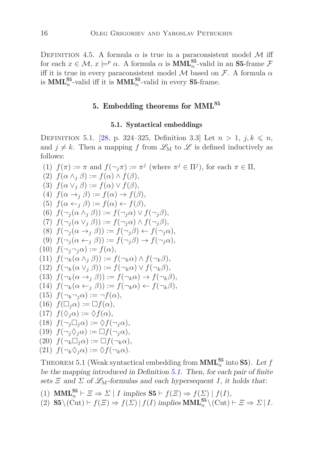DEFINITION 4.5. A formula  $\alpha$  is true in a paraconsistent model M iff for each  $x \in \mathcal{M}$ ,  $x \models^p \alpha$ . A formula  $\alpha$  is **MML**<sub>n</sub><sup>55</sup>-valid in an **S5**-frame  $\mathcal{F}$ iff it is true in every paraconsistent model  $M$  based on  $\mathcal{F}$ . A formula  $\alpha$ is  $\text{MML}_{n}^{S5}$ -valid iff it is  $\text{MML}_{n}^{S5}$ -valid in every S5-frame.

## 5. Embedding theorems for MML<sup>S5</sup>

#### 5.1. Syntactical embeddings

<span id="page-15-1"></span><span id="page-15-0"></span>DEFINITION 5.1. [\[28,](#page-44-8) p. 324–325, Definition 3.3] Let  $n > 1$ ,  $j, k \le n$ , and  $j \neq k$ . Then a mapping f from  $\mathscr{L}_{M}$  to  $\mathscr L$  is defined inductively as follows:

(1) 
$$
f(\pi) := \pi
$$
 and  $f(\neg_j \pi) := \pi^j$  (where  $\pi^j \in \Pi^j$ ), for each  $\pi \in \Pi$ ,  
\n(2)  $f(\alpha \wedge_j \beta) := f(\alpha) \wedge f(\beta)$ ,  
\n(3)  $f(\alpha \vee_j \beta) := f(\alpha) \vee f(\beta)$ ,  
\n(4)  $f(\alpha \rightarrow_j \beta) := f(\alpha) \rightarrow f(\beta)$ ,  
\n(5)  $f(\alpha \leftarrow_j \beta) := f(\alpha) \leftarrow f(\beta)$ ,  
\n(6)  $f(\neg_j(\alpha \wedge_j \beta)) := f(\neg_j \alpha) \vee f(\neg_j \beta)$ ,  
\n(7)  $f(\neg_j(\alpha \vee_j \beta)) := f(\neg_j \alpha) \wedge f(\neg_j \beta)$ ,  
\n(8)  $f(\neg_j(\alpha \rightarrow_j \beta)) := f(\neg_j \beta) \leftarrow f(\neg_j \alpha)$ ,  
\n(9)  $f(\neg_j(\alpha \leftarrow_j \beta)) := f(\neg_j \beta) \rightarrow f(\neg_j \alpha)$ ,  
\n(10)  $f(\neg_j \neg_j \alpha) := f(\alpha)$ ,  
\n(11)  $f(\neg_k(\alpha \wedge_j \beta)) := f(\neg_k \alpha) \wedge f(\neg_k \beta)$ ,  
\n(12)  $f(\neg_k(\alpha \vee_j \beta)) := f(\neg_k \alpha) \vee f(\neg_k \beta)$ ,  
\n(13)  $f(\neg_k(\alpha \rightarrow_j \beta)) := f(\neg_k \alpha) \rightarrow f(\neg_k \beta)$ ,  
\n(14)  $f(\neg_k(\alpha \leftarrow_j \beta)) := f(\neg_k \alpha) \leftarrow f(\neg_k \beta)$ ,  
\n(15)  $f(\neg_k \neg_j \alpha) := \neg f(\alpha)$ ,  
\n(16)  $f(\Box_j \alpha) := \Box f(\alpha)$ ,  
\n(17)  $f(\Diamond_j \alpha) := \Diamond f(\neg_j \alpha)$ ,  
\n(18)  $f(\neg_j \Box_j \alpha) := \Diamond f(\neg_j \alpha)$ ,  
\n(19)  $f(\neg_j \Diamond_j \alpha) := \Box f(\neg_k \alpha)$ ,  
\n(20)  $f(\neg_k \Box_j \alpha) := \Box f(\neg_k \alpha)$ ,  
\n(21)  $f(\neg_k \Diamond_j \alpha) := \Diamond f(\neg_k \$ 

<span id="page-15-2"></span>THEOREM 5.1 (Weak syntactical embedding from  $\text{MML}_n^{\text{S5}}$  into **S5**). Let *f* be the mapping introduced in Definition [5.1.](#page-15-1) Then, for each pair of finite sets  $\Xi$  and  $\Sigma$  of  $\mathscr{L}_{M}$ -formulas and each hypersequent *I*, it holds that:

- (1) **MML**<sup><sup>55</sup><sub>*n*</sub>  $\vdash$   $\Xi \Rightarrow \Sigma \mid I$  *implies* **S5**  $\vdash$  *f*( $\Xi$ )  $\Rightarrow$  *f*( $\sum$ ) | *f*(*I*),</sup>
- $(2)$  **S5** \(Cut) ⊢  $f(\Xi)$   $\Rightarrow$   $f(\Sigma) | f(I)$  implies **MML**<sub>n</sub><sup>55</sup> \(Cut) ⊢  $\Xi \Rightarrow \Sigma | I$ .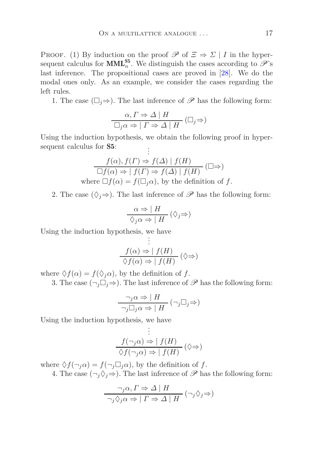PROOF. (1) By induction on the proof  $\mathscr P$  of  $\Xi \Rightarrow \Sigma | I$  in the hypersequent calculus for **MML**<sup>55</sup><sub>*n*</sub>. We distinguish the cases according to  $\mathscr{P}$ 's last inference. The propositional cases are proved in [\[28\]](#page-44-8). We do the modal ones only. As an example, we consider the cases regarding the left rules.

1. The case  $(\square_i \Rightarrow)$ . The last inference of  $\mathscr P$  has the following form:

$$
\frac{\alpha, \Gamma \Rightarrow \Delta \mid H}{\Box_j \alpha \Rightarrow \mid \Gamma \Rightarrow \Delta \mid H} \left( \Box_j \Rightarrow \right)
$$

Using the induction hypothesis, we obtain the following proof in hypersequent calculus for **S5**: . .

$$
\frac{f(\alpha), f(\Gamma) \Rightarrow f(\Delta) \mid f(H)}{\Box f(\alpha) \Rightarrow \mid f(\Gamma) \Rightarrow f(\Delta) \mid f(H)} (\Box \Rightarrow)
$$
  
where  $\Box f(\alpha) = f(\Box_j \alpha)$ , by the definition of f.

2. The case  $(\Diamond_j \Rightarrow)$ . The last inference of  $\mathscr P$  has the following form:

$$
\frac{\alpha \Rightarrow | \ H}{\Diamond_j \alpha \Rightarrow | \ H} \ (\Diamond_j \Rightarrow)
$$

Using the induction hypothesis, we have .

$$
\vdots
$$
\n
$$
f(\alpha) \Rightarrow | f(H) \quad (\Diamond \Rightarrow)
$$
\n
$$
\Diamond f(\alpha) \Rightarrow | f(H) \quad (\Diamond \Rightarrow)
$$

where  $\Diamond f(\alpha) = f(\Diamond_j \alpha)$ , by the definition of *f*.

3. The case  $(\neg_j \Box_j \Rightarrow)$ . The last inference of  $\mathscr P$  has the following form:

$$
\frac{\neg_j \alpha \Rightarrow |H|}{\neg_j \Box_j \alpha \Rightarrow |H|} (\neg_j \Box_j \Rightarrow)
$$

Using the induction hypothesis, we have .

$$
\vdots
$$
\n
$$
f(\neg_j \alpha) \Rightarrow | f(H)
$$
\n
$$
\Diamond f(\neg_j \alpha) \Rightarrow | f(H) \quad (\Diamond \Rightarrow)
$$

where  $\Diamond f(\neg_i \alpha) = f(\neg_j \Box_j \alpha)$ , by the definition of *f*.

4. The case  $(\neg_j \Diamond_j \Rightarrow)$ . The last inference of  $\mathscr P$  has the following form:

$$
\frac{\neg_j \alpha, \Gamma \Rightarrow \Delta \mid H}{\neg_j \Diamond_j \alpha \Rightarrow \mid \Gamma \Rightarrow \Delta \mid H} (\neg_j \Diamond_j \Rightarrow)
$$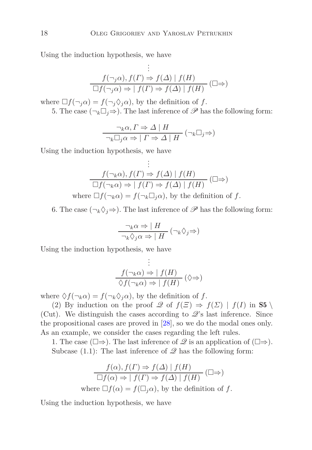Using the induction hypothesis, we have

$$
\vdots
$$
\n
$$
f(\neg_j \alpha), f(\Gamma) \Rightarrow f(\Delta) | f(H)
$$
\n
$$
\Box f(\neg_j \alpha) \Rightarrow | f(\Gamma) \Rightarrow f(\Delta) | f(H)
$$
\n
$$
\Box f(\Gamma) \Rightarrow f(\Gamma) \Rightarrow f(\Gamma) \Rightarrow f(\Gamma) \Rightarrow f(\Gamma) \Rightarrow f(\Gamma) \Rightarrow f(\Gamma) \Rightarrow f(\Gamma) \Rightarrow f(\Gamma) \Rightarrow f(\Gamma) \Rightarrow f(\Gamma) \Rightarrow f(\Gamma) \Rightarrow f(\Gamma) \Rightarrow f(\Gamma) \Rightarrow f(\Gamma) \Rightarrow f(\Gamma) \Rightarrow f(\Gamma) \Rightarrow f(\Gamma) \Rightarrow f(\Gamma) \Rightarrow f(\Gamma) \Rightarrow f(\Gamma) \Rightarrow f(\Gamma) \Rightarrow f(\Gamma) \Rightarrow f(\Gamma) \Rightarrow f(\Gamma) \Rightarrow f(\Gamma) \Rightarrow f(\Gamma) \Rightarrow f(\Gamma) \Rightarrow f(\Gamma) \Rightarrow f(\Gamma) \Rightarrow f(\Gamma) \Rightarrow f(\Gamma) \Rightarrow f(\Gamma) \Rightarrow f(\Gamma) \Rightarrow f(\Gamma) \Rightarrow f(\Gamma) \Rightarrow f(\Gamma) \Rightarrow f(\Gamma) \Rightarrow f(\Gamma) \Rightarrow f(\Gamma) \Rightarrow f(\Gamma) \Rightarrow f(\Gamma) \Rightarrow f(\Gamma) \Rightarrow f(\Gamma) \Rightarrow f(\Gamma) \Rightarrow f(\Gamma) \Rightarrow f(\Gamma) \Rightarrow f(\Gamma) \Rightarrow f(\Gamma) \Rightarrow f(\Gamma) \Rightarrow f(\Gamma) \Rightarrow f(\Gamma) \Rightarrow f(\Gamma) \Rightarrow f(\Gamma) \Rightarrow f(\Gamma) \Rightarrow f(\Gamma) \Rightarrow f(\Gamma) \Rightarrow f(\Gamma) \Rightarrow f(\Gamma) \Rightarrow f(\Gamma) \Rightarrow f(\Gamma) \Rightarrow f(\Gamma) \Rightarrow f(\Gamma) \Rightarrow f(\Gamma) \Rightarrow f(\Gamma) \Rightarrow f(\Gamma) \Rightarrow f(\Gamma) \Rightarrow f(\Gamma) \Rightarrow f(\Gamma) \Rightarrow f(\Gamma) \Rightarrow f(\Gamma) \Rightarrow f(\Gamma) \Rightarrow f(\Gamma) \Rightarrow f(\Gamma) \Rightarrow f(\Gamma) \Rightarrow f(\Gamma) \Rightarrow f(\Gamma) \Rightarrow f(\Gamma) \Rightarrow f(\Gamma) \Rightarrow f(\Gamma) \Rightarrow f(\Gamma) \Rightarrow f(\Gamma) \Rightarrow f(\Gamma) \Rightarrow f(\Gamma) \Rightarrow f(\Gamma) \Rightarrow f(\Gamma) \Rightarrow f(\Gamma) \Rightarrow f(\Gamma) \Rightarrow f(\Gamma) \Rightarrow f(\Gamma) \Rightarrow f(\Gamma) \Rightarrow f(\Gamma) \Rightarrow f(\Gamma) \Rightarrow f(\Gamma) \Rightarrow f(\Gamma) \Rightarrow f(\Gamma) \Rightarrow f(\Gamma) \Rightarrow f(\Gamma) \Rightarrow f(\Gamma) \Rightarrow f(\Gamma) \Rightarrow f(\Gamma) \Rightarrow f(\Gamma) \Rightarrow f(\Gamma) \Rightarrow f(\Gamma) \Rightarrow f(\Gamma) \Rightarrow f(\Gamma) \Rightarrow f(\Gamma) \Rightarrow f(\Gamma) \Rightarrow f(\Gamma) \Rightarrow f(\Gamma) \Rightarrow f(\Gamma) \Rightarrow f(\Gamma) \Rightarrow f(\Gamma) \Rightarrow f(\Gamma)
$$

where  $\Box f(\neg_i \alpha) = f(\neg_i \Diamond_i \alpha)$ , by the definition of *f*. 5. The case  $(\neg_k \Box_j \Rightarrow)$ . The last inference of  $\mathscr P$  has the following form:

$$
\frac{\neg_k \alpha, \Gamma \Rightarrow \Delta \mid H}{\neg_k \Box_j \alpha \Rightarrow \mid \Gamma \Rightarrow \Delta \mid H} (\neg_k \Box_j \Rightarrow)
$$

Using the induction hypothesis, we have

$$
\vdots
$$
\n
$$
f(\neg_k \alpha), f(\Gamma) \Rightarrow f(\Delta) | f(H)
$$
\n
$$
\Box f(\neg_k \alpha) \Rightarrow | f(\Gamma) \Rightarrow f(\Delta) | f(H)
$$
\nwhere  $\Box f(\neg_k \alpha) = f(\neg_k \Box_j \alpha)$ , by the definition of  $f$ .

6. The case  $(\neg_k \Diamond_j \Rightarrow)$ . The last inference of  $\mathscr P$  has the following form:

$$
\frac{\neg_k \alpha \Rightarrow | H}{\neg_k \Diamond_j \alpha \Rightarrow | H} (\neg_k \Diamond_j \Rightarrow)
$$

Using the induction hypothesis, we have

$$
\vdots
$$
\n
$$
f(\neg_k \alpha) \Rightarrow | f(H) \qquad (\Diamond \Rightarrow)
$$
\n
$$
\Diamond f(\neg_k \alpha) \Rightarrow | f(H) \quad (\Diamond \Rightarrow)
$$

where  $\Diamond f(\neg_k \alpha) = f(\neg_k \Diamond_i \alpha)$ , by the definition of *f*.

(2) By induction on the proof  $\mathscr Q$  of  $f(\Xi) \Rightarrow f(\Sigma) | f(I)$  in S5 (Cut). We distinguish the cases according to  $\mathscr{Q}$ 's last inference. Since the propositional cases are proved in [\[28\]](#page-44-8), so we do the modal ones only. As an example, we consider the cases regarding the left rules.

1. The case  $(\Box \Rightarrow)$ . The last inference of  $\mathscr Q$  is an application of  $(\Box \Rightarrow)$ . Subcase  $(1.1)$ : The last inference of  $\mathscr Q$  has the following form:

$$
f(\alpha), f(\Gamma) \Rightarrow f(\Delta) | f(H)
$$
  
\n
$$
\Box f(\alpha) \Rightarrow | f(\Gamma) \Rightarrow f(\Delta) | f(H)
$$
  
\nwhere  $\Box f(\alpha) = f(\Box_j \alpha)$ , by the definition of f.

Using the induction hypothesis, we have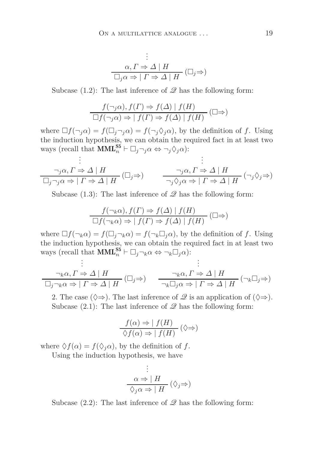$$
\vdots
$$
  
\n
$$
\alpha, \Gamma \Rightarrow \Delta \mid H
$$
  
\n
$$
\Box_j \alpha \Rightarrow \mid \Gamma \Rightarrow \Delta \mid H \quad (\Box_j \Rightarrow)
$$

Subcase  $(1.2)$ : The last inference of  $\mathscr Q$  has the following form:

$$
\frac{f(\neg_j \alpha), f(\Gamma) \Rightarrow f(\Delta) \mid f(H)}{\Box f(\neg_j \alpha) \Rightarrow \mid f(\Gamma) \Rightarrow f(\Delta) \mid f(H)} (\Box \Rightarrow)
$$

where  $\Box f(\neg_i \alpha) = f(\Box_i \neg_j \alpha) = f(\neg_i \Diamond_i \alpha)$ , by the definition of *f*. Using the induction hypothesis, we can obtain the required fact in at least two ways (recall that  $\text{MML}_n^{\mathbf{S5}} \vdash \Box_j \neg_j \alpha \Leftrightarrow \neg_j \Diamond_j \alpha$ ): . .

$$
\vdots
$$
\n
$$
\frac{\neg_j \alpha, \Gamma \Rightarrow \Delta \mid H}{\Box_j \neg_j \alpha \Rightarrow \mid \Gamma \Rightarrow \Delta \mid H} (\Box_j \Rightarrow) \qquad \frac{\neg_j \alpha, \Gamma \Rightarrow \Delta \mid H}{\neg_j \Diamond_j \alpha \Rightarrow \mid \Gamma \Rightarrow \Delta \mid H} (\neg_j \Diamond_j \Rightarrow)
$$

Subcase (1.3): The last inference of  $\mathscr Q$  has the following form:

$$
\frac{f(\neg_k \alpha), f(\Gamma) \Rightarrow f(\Delta) \mid f(H)}{\Box f(\neg_k \alpha) \Rightarrow \mid f(\Gamma) \Rightarrow f(\Delta) \mid f(H)} (\Box \Rightarrow)
$$

where  $\Box f(\neg_k \alpha) = f(\Box_j \neg_k \alpha) = f(\neg_k \Box_j \alpha)$ , by the definition of *f*. Using the induction hypothesis, we can obtain the required fact in at least two ways (recall that  $\text{MML}_n^{\text{S5}} \vdash \Box_j \neg_k \alpha \Leftrightarrow \neg_k \Box_j \alpha$ ): .

$$
\vdots
$$
\n
$$
\frac{\neg_k \alpha, \Gamma \Rightarrow \Delta \mid H}{\Box_j \neg_k \alpha \Rightarrow \Gamma \Rightarrow \Delta \mid H} (\Box_j \Rightarrow) \qquad \frac{\neg_k \alpha, \Gamma \Rightarrow \Delta \mid H}{\neg_k \Box_j \alpha \Rightarrow \Gamma \Rightarrow \Delta \mid H} (\neg_k \Box_j \Rightarrow)
$$

2. The case ( $\diamond \Rightarrow$ ). The last inference of  $\mathscr Q$  is an application of ( $\diamond \Rightarrow$ ). Subcase  $(2.1)$ : The last inference of  $\mathscr Q$  has the following form:

$$
\frac{f(\alpha) \Rightarrow |f(H)|}{\Diamond f(\alpha) \Rightarrow |f(H)|} (\Diamond \Rightarrow)
$$

where  $\Diamond f(\alpha) = f(\Diamond_i \alpha)$ , by the definition of *f*.

Using the induction hypothesis, we have

$$
\vdots
$$
\n
$$
\alpha \Rightarrow | H |
$$
\n
$$
\Diamond_j \alpha \Rightarrow | H | (\Diamond_j \Rightarrow)
$$

Subcase  $(2.2)$ : The last inference of  $\mathscr Q$  has the following form: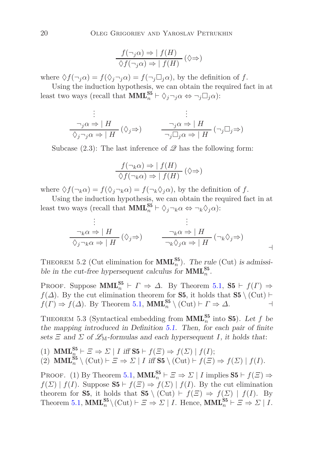$$
\frac{f(\neg_j \alpha) \Rightarrow | f(H)}{\Diamond f(\neg_j \alpha) \Rightarrow | f(H)} (\Diamond \Rightarrow)
$$

where  $\Diamond f(\neg_i \alpha) = f(\Diamond_i \neg_j \alpha) = f(\neg_i \Box_j \alpha)$ , by the definition of *f*.

Using the induction hypothesis, we can obtain the required fact in at least two ways (recall that  $\text{MML}_{n}^{\text{S5}} \vdash \Diamond_j \neg_j \alpha \Leftrightarrow \neg_j \Box_j \alpha$ ):

$$
\vdots
$$
\n
$$
\frac{\neg_j \alpha \Rightarrow | H}{\Diamond_j \neg_j \alpha \Rightarrow | H} (\Diamond_j \Rightarrow) \qquad \frac{\neg_j \alpha \Rightarrow | H}{\neg_j \Box_j \alpha \Rightarrow | H} (\neg_j \Box_j \Rightarrow)
$$

Subcase  $(2.3)$ : The last inference of  $\mathscr Q$  has the following form:

$$
\frac{f(\neg_k \alpha) \Rightarrow | f(H)}{\Diamond f(\neg_k \alpha) \Rightarrow | f(H)} (\Diamond \Rightarrow)
$$

where  $\Diamond f(\neg_k \alpha) = f(\Diamond_i \neg_k \alpha) = f(\neg_k \Diamond_i \alpha)$ , by the definition of *f*.

Using the induction hypothesis, we can obtain the required fact in at least two ways (recall that  $\text{MML}_{n}^{\text{S5}} \vdash \Diamond_j \neg_k \alpha \Leftrightarrow \neg_k \Diamond_j \alpha$ ):

$$
\vdots
$$
\n
$$
\frac{\neg_k \alpha \Rightarrow \mid H}{\Diamond_j \neg_k \alpha \Rightarrow \mid H} (\Diamond_j \Rightarrow) \qquad \frac{\neg_k \alpha \Rightarrow \mid H}{\neg_k \Diamond_j \alpha \Rightarrow \mid H} (\neg_k \Diamond_j \Rightarrow)
$$

<span id="page-19-1"></span>THEOREM 5.2 (Cut elimination for  $\text{MML}_n^{S5}$ ). The rule (Cut) is admissible in the cut-free hypersequent calculus for  $\text{MML}_{n}^{\text{S5}}$ .

PROOF. Suppose  $\text{MML}_{n}^{\text{S5}} \vdash \Gamma \Rightarrow \Delta$ . By Theorem [5.1,](#page-15-2) S5  $\vdash f(\Gamma) \Rightarrow$ *f*( $\Delta$ ). By the cut elimination theorem for **S5**, it holds that **S5** \ (Cut) ⊢  $f(\Gamma) \Rightarrow f(\Delta)$ . By Theorem [5.1,](#page-15-2) **MML**<sub>n</sub><sup>55</sup> \ (Cut) ⊢ *Γ*  $\Rightarrow \Delta$ .

<span id="page-19-0"></span>THEOREM 5.3 (Syntactical embedding from  $\text{MML}_n^{\text{S5}}$  into **S5**). Let *f* be the mapping introduced in Definition [5.1.](#page-15-1) Then, for each pair of finite sets  $\Xi$  and  $\Sigma$  of  $\mathscr{L}_{M}$ -formulas and each hypersequent *I*, it holds that:

(1) **MML**<sup>*n***</sup><sub>***n***</sub>** $\leq$   $\Rightarrow$   $\sum |I \text{ iff } S5 \vdash f(\Xi) \Rightarrow f(\Sigma) | f(I);$ </sup>  $(2)$  **MML**<sup>S5</sup><sub>*n*</sub></sup>  $\setminus$   $(\text{Cut}) \vdash \Xi \Rightarrow \Sigma \mid I \text{ iff } S5 \setminus (\text{Cut}) \vdash f(\Xi) \Rightarrow f(\Sigma) \mid f(I).$ 

PROOF. (1) By Theorem [5.1,](#page-15-2)  $\text{MML}_n^{\text{S5}} \vdash \Xi \Rightarrow \Sigma \mid I \text{ implies } \text{S5} \vdash f(\Xi) \Rightarrow$  $f(\Sigma) | f(I)$ . Suppose  $S5 \vdash f(\Xi) \Rightarrow f(\Sigma) | f(I)$ . By the cut elimination theorem for **S5**, it holds that **S5** \ (Cut)  $\vdash$  *f*(*Ξ*)  $\Rightarrow$  *f*(*Σ*) | *f*(*I*). By Theorem [5.1,](#page-15-2)  $\text{MML}_{n}^{\text{S5}} \setminus (\text{Cut}) \vdash \Xi \Rightarrow \Sigma \mid I$ . Hence,  $\text{MML}_{n}^{\text{S5}} \vdash \Xi \Rightarrow \Sigma \mid I$ .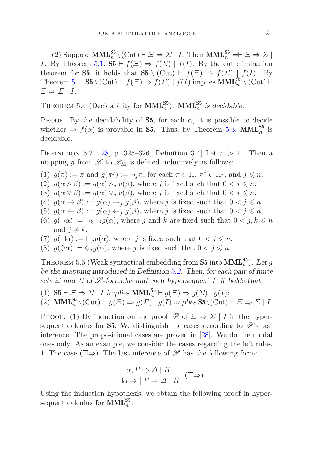$(2)$  Suppose  $\text{MML}_{n}^{\text{S5}} \setminus (\text{Cut}) \vdash \Xi \Rightarrow \Sigma \mid I$ . Then  $\text{MML}_{n}^{\text{S5}} \models \Xi \Rightarrow \Sigma \mid I$ . *I*. By Theorem [5.1,](#page-15-2)  $S5 \vdash f(\Xi) \Rightarrow f(\Sigma) \mid f(I)$ . By the cut elimination theorem for **S5**, it holds that **S5** \ (Cut)  $\vdash f(\Xi) \Rightarrow f(\Sigma) \mid f(I)$ . By Theorem [5.1,](#page-15-2) **S5** \ (Cut)  $\vdash$   $f(\Xi) \Rightarrow f(\Sigma) | f(I)$  implies **MML**<sub>n</sub><sup>55</sup> \ (Cut)  $\vdash$  $\Xi \Rightarrow \Sigma \mid I.$  ⊣

THEOREM 5.4 (Decidability for  $\text{MML}_n^{\text{S5}}$ ).  $\text{MML}_n^{\text{S5}}$  is decidable.

PROOF. By the decidability of **S5**, for each  $\alpha$ , it is possible to decide whether  $\Rightarrow f(\alpha)$  is provable in **S5**. Thus, by Theorem [5.3,](#page-19-0) **MML**<sup>55</sup><sup>5</sup> is decidable.

<span id="page-20-0"></span>DEFINITION 5.2. [\[28,](#page-44-8) p. 325–326, Definition 3.4] Let  $n > 1$ . Then a mapping  $g$  from  $\mathscr L$  to  $\mathscr L_M$  is defined inductively as follows:

- (1)  $g(\pi) := \pi$  and  $g(\pi^j) := \neg_j \pi$ , for each  $\pi \in \Pi$ ,  $\pi^j \in \Pi^j$ , and  $j \leq n$ ,
- (2)  $g(\alpha \wedge \beta) := g(\alpha) \wedge_i g(\beta)$ , where *j* is fixed such that  $0 < j \leq n$ ,
- (3)  $g(\alpha \vee \beta) := g(\alpha) \vee_j g(\beta)$ , where *j* is fixed such that  $0 < j \leq n$ ,
- (4)  $g(\alpha \to \beta) := g(\alpha) \to_j g(\beta)$ , where *j* is fixed such that  $0 < j \leq n$ ,
- (5)  $g(\alpha \leftarrow \beta) := g(\alpha) \leftarrow_j g(\beta)$ , where *j* is fixed such that  $0 < j \leq n$ ,
- (6)  $g(\neg \alpha) := \neg_k \neg_j g(\alpha)$ , where *j* and *k* are fixed such that  $0 < j, k \le n$ and  $j \neq k$ ,
- (7)  $g(\Box \alpha) := \Box_i g(\alpha)$ , where *j* is fixed such that  $0 < j \leq n$ ;
- <span id="page-20-1"></span>(8)  $g(\Diamond \alpha) := \Diamond_j g(\alpha)$ , where *j* is fixed such that  $0 < j \leq n$ .

THEOREM 5.5 (Weak syntactical embedding from **S5** into  $\text{MML}_n^{\text{S5}}$ ). Let g be the mapping introduced in Definition [5.2.](#page-20-0) Then, for each pair of finite sets  $\Xi$  and  $\Sigma$  of  $\mathscr L$ -formulas and each hypersequent *I*, it holds that:

(1)  $\mathbf{S5} \vdash \Xi \Rightarrow \Sigma \mid I \text{ implies } \mathbf{MML}_{n}^{\mathbf{S5}} \vdash g(\Xi) \Rightarrow g(\Sigma) \mid g(I);$ 

l,

(2) 
$$
\text{MML}_{n}^{\text{S5}}(\text{Cut}) \vdash g(\Xi) \Rightarrow g(\Sigma) \mid g(I) \text{ implies } \text{S5}(\text{Cut}) \vdash \Xi \Rightarrow \Sigma \mid I.
$$

PROOF. (1) By induction on the proof  $\mathscr P$  of  $\Xi \Rightarrow \Sigma | I$  in the hypersequent calculus for **S5**. We distinguish the cases according to  $\mathscr{P}$ 's last inference. The propositional cases are proved in [\[28\]](#page-44-8). We do the modal ones only. As an example, we consider the cases regarding the left rules. 1. The case  $(\Box \Rightarrow)$ . The last inference of  $\mathscr P$  has the following form:

$$
\frac{\alpha, \Gamma \Rightarrow \Delta \mid H}{\Box \alpha \Rightarrow \mid \Gamma \Rightarrow \Delta \mid H} (\Box \Rightarrow)
$$

Using the induction hypothesis, we obtain the following proof in hypersequent calculus for  $\text{MML}_{n}^{\text{S5}}$ :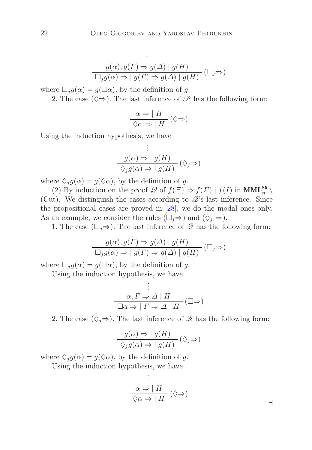$$
\vdots
$$
  
 
$$
g(\alpha), g(\Gamma) \Rightarrow g(\Delta) \mid g(H)
$$
  
\n
$$
\Box_j g(\alpha) \Rightarrow \mid g(\Gamma) \Rightarrow g(\Delta) \mid g(H) \quad (\Box_j \Rightarrow)
$$

where  $\Box_i g(\alpha) = g(\Box \alpha)$ , by the definition of *g*.

2. The case  $(\Diamond \Rightarrow)$ . The last inference of  $\mathscr P$  has the following form:

$$
\frac{\alpha \Rightarrow |H|}{\Diamond \alpha \Rightarrow |H|} (\Diamond \Rightarrow)
$$

Using the induction hypothesis, we have

$$
\vdots
$$
\n
$$
g(\alpha) \Rightarrow | g(H) \qquad (\Diamond_j \Rightarrow)
$$
\n
$$
\Diamond_j g(\alpha) \Rightarrow | g(H) \quad (\Diamond_j \Rightarrow)
$$

where  $\Diamond_{i}g(\alpha) = g(\Diamond \alpha)$ , by the definition of *g*.

(2) By induction on the proof  $\mathscr Q$  of  $f(\Xi) \Rightarrow f(\Sigma) | f(I)$  in  $\text{MML}_n^{\mathbf{S}_5} \setminus$ (Cut). We distinguish the cases according to  $\mathscr{Q}$ 's last inference. Since the propositional cases are proved in [\[28\]](#page-44-8), we do the modal ones only. As an example, we consider the rules  $(\Box_i \Rightarrow)$  and  $(\Diamond_i \Rightarrow)$ .

1. The case  $(\Box_i \Rightarrow)$ . The last inference of  $\mathscr Q$  has the following form:

$$
\frac{g(\alpha), g(\Gamma) \Rightarrow g(\Delta) \mid g(H)}{\square_j g(\alpha) \Rightarrow \mid g(\Gamma) \Rightarrow g(\Delta) \mid g(H)} \quad (\square_j \Rightarrow)
$$

where  $\Box_j g(\alpha) = g(\Box \alpha)$ , by the definition of *g*.

Using the induction hypothesis, we have

$$
\vdots
$$
  
\n
$$
\alpha, \Gamma \Rightarrow \Delta \mid H
$$
  
\n
$$
\Box \alpha \Rightarrow \mid \Gamma \Rightarrow \Delta \mid H
$$
  $(\Box \Rightarrow)$ 

2. The case  $(\Diamond_i \Rightarrow)$ . The last inference of  $\mathscr Q$  has the following form:

$$
\frac{g(\alpha) \Rightarrow |g(H)|}{\Diamond_j g(\alpha) \Rightarrow |g(H)|} (\Diamond_j \Rightarrow)
$$

where  $\Diamond_i g(\alpha) = g(\Diamond \alpha)$ , by the definition of *g*.

<span id="page-21-0"></span>Using the induction hypothesis, we have

$$
\vdots
$$
\n
$$
\alpha \Rightarrow | H
$$
\n
$$
\Diamond \alpha \Rightarrow | H
$$
\n
$$
\Diamond \Rightarrow )
$$
\n
$$
\rightarrow
$$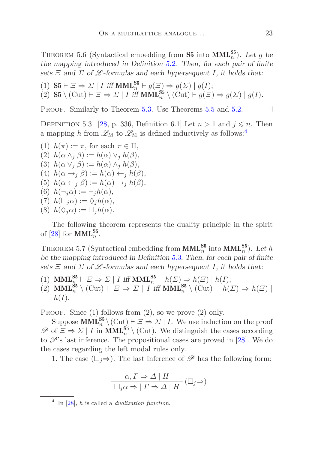THEOREM 5.6 (Syntactical embedding from **S5** into  $\text{MML}_n^{S5}$ ). Let *g* be the mapping introduced in Definition [5.2.](#page-20-0) Then, for each pair of finite sets  $\Xi$  and  $\Sigma$  of  $\mathscr L$ -formulas and each hypersequent *I*, it holds that:

(1)  $\mathbf{S5} \vdash \Xi \Rightarrow \Sigma \mid I \text{ iff } \mathbf{MML}_{n}^{\mathbf{S5}} \vdash g(\Xi) \Rightarrow g(\Sigma) \mid g(I);$ 

 $(2)$  **S5** \  $(\text{Cut}) \vdash \Xi \Rightarrow \Sigma \mid I \text{ iff } \text{MML}_{n}^{\text{S5}} \setminus (\text{Cut}) \vdash g(\Xi) \Rightarrow g(\Sigma) \mid g(I).$ 

<span id="page-22-1"></span>PROOF. Similarly to Theorem [5.3.](#page-19-0) Use Theorems [5.5](#page-20-1) and [5.2.](#page-19-1)  $\Box$ 

DEFINITION 5.3. [\[28,](#page-44-8) p. 336, Definition 6.1] Let  $n > 1$  and  $j \leq n$ . Then a mapping h from  $\mathscr{L}_{M}$  to  $\mathscr{L}_{M}$  is defined inductively as follows:<sup>[4](#page-22-0)</sup>

- (1)  $h(\pi) := \pi$ , for each  $\pi \in \Pi$ ,
- (2) *h*(*α* ∧*<sup>j</sup> β*) := *h*(*α*) ∨*<sup>j</sup> h*(*β*)*,*
- (3) *h*(*α* ∨*<sup>j</sup> β*) := *h*(*α*) ∧*<sup>j</sup> h*(*β*)*,*
- (4) *h*(*α* →*<sup>j</sup> β*) := *h*(*α*) ←*<sup>j</sup> h*(*β*)*,*
- (5) *h*(*α* ←*<sup>j</sup> β*) := *h*(*α*) →*<sup>j</sup> h*(*β*)*,*
- $h(\neg_i \alpha) := \neg_i h(\alpha)$ ,
- $(7)$   $h(\Box_i \alpha) := \Diamond_i h(\alpha),$
- $(8)$   $h(\Diamond_i \alpha) := \Box_i h(\alpha).$

The following theorem represents the duality principle in the spirit of  $[28]$  for **MML**<sup>S5</sup><sub>n</sub>.

THEOREM 5.7 (Syntactical embedding from  $\text{MML}_{n}^{\text{S5}}$  into  $\text{MML}_{n}^{\text{S5}}$ ). Let *h* be the mapping introduced in Definition [5.3.](#page-22-1) Then, for each pair of finite sets  $\Xi$  and  $\Sigma$  of  $\mathscr L$ -formulas and each hypersequent *I*, it holds that:

- $(1)$  **MML**<sup> $55$ </sup> $\vdash E \Rightarrow \Sigma \mid I$  iff **MML**<sup> $55$ </sup> $\vdash h(\Sigma) \Rightarrow h(\Xi) \mid h(I);$
- $(2)$  **MML**<sup>S5</sup><sub>*n*</sub></sup>  $\setminus$   $(\text{Cut}) \vdash \Xi \Rightarrow \Sigma \mid I \text{ iff } \text{MML}_{n}^{\text{S5}} \setminus (\text{Cut}) \vdash h(\Sigma) \Rightarrow h(\Xi) \mid$  $h(I).$

PROOF. Since  $(1)$  follows from  $(2)$ , so we prove  $(2)$  only.

Suppose  $\text{MML}_{n}^{\text{S5}} \setminus (\text{Cut}_{\ell}) \vdash \Xi \Rightarrow \Sigma \mid I$ . We use induction on the proof  $\mathscr{P}$  of  $\Xi \Rightarrow \Sigma \mid I$  in **MML**<sup>S5</sup><sub>n</sub></sub> \ (Cut). We distinguish the cases according to  $\mathscr{P}$ 's last inference. The propositional cases are proved in [\[28\]](#page-44-8). We do the cases regarding the left modal rules only.

1. The case  $(\Box_i \Rightarrow)$ . The last inference of  $\mathscr P$  has the following form:

$$
\frac{\alpha, \Gamma \Rightarrow \Delta \mid H}{\Box_j \alpha \Rightarrow \mid \Gamma \Rightarrow \Delta \mid H} (\Box_j \Rightarrow)
$$

<span id="page-22-0"></span><sup>4</sup> In [\[28\]](#page-44-8), *h* is called a *dualization function*.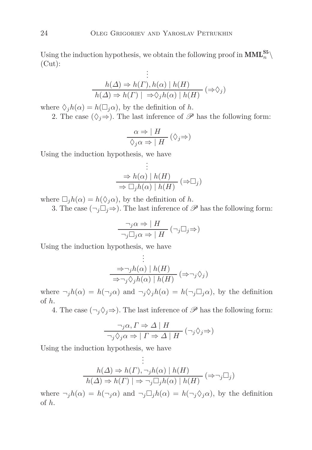Using the induction hypothesis, we obtain the following proof in  $\text{MML}_{n}^{\text{S5}} \setminus$ (Cut): .

$$
\vdots
$$
\n
$$
h(\Delta) \Rightarrow h(\Gamma), h(\alpha) | h(H)
$$
\n
$$
h(\Delta) \Rightarrow h(\Gamma) | \Rightarrow \Diamond_j h(\alpha) | h(H) \quad (\Rightarrow \Diamond_j)
$$

where  $\Diamond_j h(\alpha) = h(\Box_j \alpha)$ , by the definition of *h*.

2. The case  $(\Diamond_j \Rightarrow)$ . The last inference of  $\mathscr P$  has the following form:

$$
\frac{\alpha \Rightarrow | H}{\Diamond_j \alpha \Rightarrow | H} (\Diamond_j \Rightarrow)
$$

Using the induction hypothesis, we have

$$
\vdots
$$
\n
$$
\Rightarrow h(\alpha) | h(H)
$$
\n
$$
\Rightarrow \Box_j h(\alpha) | h(H) \quad (\Rightarrow \Box_j)
$$

.

where  $\Box_j h(\alpha) = h(\Diamond_j \alpha)$ , by the definition of *h*.

3. The case  $(\neg_i \Box_j \Rightarrow)$ . The last inference of  $\mathscr P$  has the following form:

$$
\frac{\neg_j \alpha \Rightarrow | H}{\neg_j \Box_j \alpha \Rightarrow | H} (\neg_j \Box_j \Rightarrow)
$$

Using the induction hypothesis, we have

$$
\vdots
$$
\n
$$
\frac{\Rightarrow \neg_j h(\alpha) \mid h(H)}{\Rightarrow \neg_j \Diamond_j h(\alpha) \mid h(H)} (\Rightarrow \neg_j \Diamond_j)
$$

where  $\neg_j h(\alpha) = h(\neg_j \alpha)$  and  $\neg_j \Diamond_j h(\alpha) = h(\neg_j \Box_j \alpha)$ , by the definition of *h*.

4. The case  $(\neg_i \Diamond_i \Rightarrow)$ . The last inference of  $\mathscr P$  has the following form:

$$
\frac{\neg_j \alpha, \Gamma \Rightarrow \Delta \mid H}{\neg_j \Diamond_j \alpha \Rightarrow \mid \Gamma \Rightarrow \Delta \mid H} (\neg_j \Diamond_j \Rightarrow)
$$

Using the induction hypothesis, we have

þ,

$$
\vdots
$$
  
\n
$$
h(\Delta) \Rightarrow h(\Gamma), \neg_j h(\alpha) \mid h(H)
$$
  
\n
$$
h(\Delta) \Rightarrow h(\Gamma) \mid \Rightarrow \neg_j \Box_j h(\alpha) \mid h(H) \quad (\Rightarrow \neg_j \Box_j)
$$

where  $\neg_j h(\alpha) = h(\neg_j \alpha)$  and  $\neg_j \Box_j h(\alpha) = h(\neg_j \Diamond_j \alpha)$ , by the definition of *h*.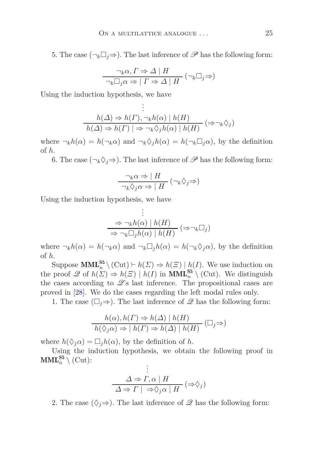5. The case  $(\neg_k \Box_j \Rightarrow)$ . The last inference of  $\mathscr P$  has the following form:

$$
\frac{\neg_k \alpha, \Gamma \Rightarrow \Delta \mid H}{\neg_k \Box_j \alpha \Rightarrow \mid \Gamma \Rightarrow \Delta \mid H} (\neg_k \Box_j \Rightarrow)
$$

Using the induction hypothesis, we have

$$
\vdots
$$
  
\n
$$
h(\Delta) \Rightarrow h(\Gamma), \neg_k h(\alpha) \mid h(H)
$$
  
\n
$$
h(\Delta) \Rightarrow h(\Gamma) \mid \Rightarrow \neg_k \Diamond_j h(\alpha) \mid h(H) \quad (\Rightarrow \neg_k \Diamond_j)
$$

where  $\neg_k h(\alpha) = h(\neg_k \alpha)$  and  $\neg_k \Diamond_j h(\alpha) = h(\neg_k \Box_j \alpha)$ , by the definition of *h*.

6. The case  $(\neg_k \Diamond_j \Rightarrow)$ . The last inference of  $\mathscr P$  has the following form:

$$
\frac{\neg_k \alpha \Rightarrow | H}{\neg_k \Diamond_j \alpha \Rightarrow | H} (\neg_k \Diamond_j \Rightarrow)
$$

Using the induction hypothesis, we have

$$
\vdots
$$
\n
$$
\Rightarrow \neg_k h(\alpha) \mid h(H)
$$
\n
$$
\Rightarrow \neg_k \Box_j h(\alpha) \mid h(H) \quad (\Rightarrow \neg_k \Box_j)
$$

where  $\neg_k h(\alpha) = h(\neg_k \alpha)$  and  $\neg_k \Box_j h(\alpha) = h(\neg_k \Diamond_j \alpha)$ , by the definition of *h*.

Suppose  $\text{MML}_{n}^{\text{S5}} \setminus (\text{Cut}) \vdash h(\Sigma) \Rightarrow h(\Xi) \mid h(I)$ . We use induction on the proof  $\mathscr Q$  of  $h(\Sigma) \Rightarrow h(\Xi) \mid h(I)$  in  $\text{MML}_n^{\text{S5}} \setminus (\text{Cut})$ . We distinguish the cases according to  $\mathscr{Q}$ 's last inference. The propositional cases are proved in [\[28\]](#page-44-8). We do the cases regarding the left modal rules only.

1. The case  $(\square_i \Rightarrow)$ . The last inference of  $\mathscr Q$  has the following form:

$$
\frac{h(\alpha), h(\Gamma) \Rightarrow h(\Delta) \mid h(H)}{h(\Diamond_j \alpha) \Rightarrow \mid h(\Gamma) \Rightarrow h(\Delta) \mid h(H)} \quad (\Box_j \Rightarrow)
$$

where  $h(\Diamond_i \alpha) = \Box_i h(\alpha)$ , by the definition of *h*.

Using the induction hypothesis, we obtain the following proof in  $\textbf{MML}_n^{\mathbf{S5}} \setminus (\text{Cut})$ : .

$$
\begin{array}{c}\n\vdots \\
\Delta \Rightarrow \Gamma, \alpha \mid H \\
\hline\n\Delta \Rightarrow \Gamma \mid \Rightarrow \Diamond_j \alpha \mid H\n\end{array} (\Rightarrow \Diamond_j)
$$

2. The case  $(\Diamond_j \Rightarrow)$ . The last inference of  $\mathscr Q$  has the following form: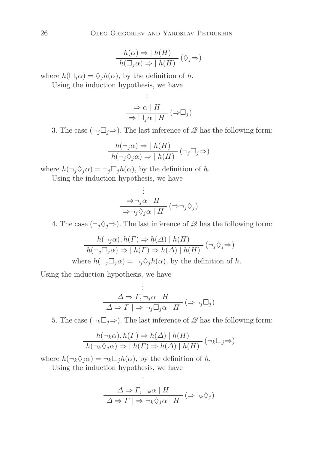$$
\frac{h(\alpha) \Rightarrow \mid h(H)}{h(\Box_j \alpha) \Rightarrow \mid h(H)} (\Diamond_j \Rightarrow)
$$

where  $h(\Box_j \alpha) = \Diamond_j h(\alpha)$ , by the definition of *h*.

Using the induction hypothesis, we have

$$
\begin{array}{c}\n\vdots \\
\Rightarrow \alpha \mid H \\
\hline\n\Rightarrow \Box_j \alpha \mid H\n\end{array} (\Rightarrow \Box_j)
$$

3. The case  $(\neg_j \Box_j \Rightarrow)$ . The last inference of  $\mathscr Q$  has the following form:

$$
\frac{h(\neg_j \alpha) \Rightarrow |h(H)}{h(\neg_j \Diamond_j \alpha) \Rightarrow |h(H)} (\neg_j \Box_j \Rightarrow)
$$

where  $h(\neg_j \Diamond_j \alpha) = \neg_j \Box_j h(\alpha)$ , by the definition of *h*.

Using the induction hypothesis, we have

$$
\vdots
$$
\n
$$
\Rightarrow \neg_j \alpha \mid H
$$
\n
$$
\Rightarrow \neg_j \Diamond_j \alpha \mid H
$$
\n
$$
\Rightarrow \neg_j \Diamond_j \alpha \mid H
$$

4. The case  $(\neg_j \Diamond_j \Rightarrow)$ . The last inference of  $\mathscr Q$  has the following form:

$$
\frac{h(\neg_j \alpha), h(\Gamma) \Rightarrow h(\Delta) \mid h(H)}{h(\neg_j \Box_j \alpha) \Rightarrow \mid h(\Gamma) \Rightarrow h(\Delta) \mid h(H)} (\neg_j \Diamond_j \Rightarrow)
$$
  
where  $h(\neg_j \Box_j \alpha) = \neg_j \Diamond_j h(\alpha)$ , by the definition of h.

Using the induction hypothesis, we have

Ĭ.

$$
\vdots
$$
\n
$$
\Delta \Rightarrow \Gamma, \neg_j \alpha \mid H
$$
\n
$$
\Delta \Rightarrow \Gamma \mid \Rightarrow \neg_j \Box_j \alpha \mid H \quad (\Rightarrow \neg_j \Box_j)
$$

5. The case  $(\neg_k \Box_j \Rightarrow)$ . The last inference of  $\mathscr Q$  has the following form:

$$
\frac{h(\neg_k \alpha), h(\Gamma) \Rightarrow h(\Delta) \mid h(H)}{h(\neg_k \Diamond_j \alpha) \Rightarrow \mid h(\Gamma) \Rightarrow h(\Delta) \mid h(H)} (\neg_k \Box_j \Rightarrow)
$$

where  $h(\neg_k \Diamond_i \alpha) = \neg_k \Box_i h(\alpha)$ , by the definition of *h*.

Using the induction hypothesis, we have

$$
\frac{\Delta \Rightarrow \Gamma, \neg_k \alpha \mid H}{\Delta \Rightarrow \Gamma \mid \Rightarrow \neg_k \Diamond_j \alpha \mid H} (\Rightarrow \neg_k \Diamond_j)
$$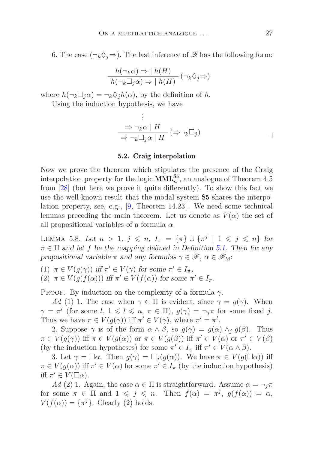6. The case  $(\neg_k \Diamond_i \Rightarrow)$ . The last inference of  $\mathscr Q$  has the following form:

$$
\frac{h(\neg_k \alpha) \Rightarrow |h(H)}{h(\neg_k \Box_j \alpha) \Rightarrow |h(H)} (\neg_k \Diamond_j \Rightarrow)
$$

where  $h(\neg_k \Box_i \alpha) = \neg_k \Diamond_i h(\alpha)$ , by the definition of *h*.

Using the induction hypothesis, we have

$$
\vdots
$$
\n
$$
\Rightarrow \neg_k \alpha \mid H
$$
\n
$$
\Rightarrow \neg_k \Box_j \alpha \mid H \quad (\Rightarrow \neg_k \Box_j)
$$

#### 5.2. Craig interpolation

<span id="page-26-0"></span>Now we prove the theorem which stipulates the presence of the Craig interpolation property for the logic  $\text{MML}_{n}^{\text{S5}}$ , an analogue of Theorem 4.5 from [\[28\]](#page-44-8) (but here we prove it quite differently). To show this fact we use the well-known result that the modal system S5 shares the interpolation property, see, e.g., [\[9,](#page-43-11) Theorem 14.23]. We need some technical lemmas preceding the main theorem. Let us denote as  $V(\alpha)$  the set of all propositional variables of a formula *α*.

<span id="page-26-1"></span>LEMMA 5.8. Let  $n > 1$ ,  $j \le n$ ,  $I_{\pi} = {\pi} \cup {\pi^{j} | 1 \le j \le n}$  for  $\pi \in \Pi$  and let *f* be the mapping defined in Definition [5.1.](#page-15-1) Then for any propositional variable  $\pi$  and any formulas  $\gamma \in \mathscr{F}$ ,  $\alpha \in \mathscr{F}_{M}$ :

(1)  $\pi \in V(g(\gamma))$  iff  $\pi' \in V(\gamma)$  for some  $\pi' \in I_{\pi}$ , (2)  $\pi \in V(g(f(\alpha)))$  iff  $\pi' \in V(f(\alpha))$  for some  $\pi' \in I_{\pi}$ .

PROOF. By induction on the complexity of a formula  $\gamma$ .

*Ad* (1) 1. The case when  $\gamma \in \Pi$  is evident, since  $\gamma = g(\gamma)$ . When  $\gamma = \pi^l$  (for some *l*,  $1 \leq l \leq n, \pi \in \Pi$ ),  $g(\gamma) = \neg_j \pi$  for some fixed *j*. Thus we have  $\pi \in V(g(\gamma))$  iff  $\pi' \in V(\gamma)$ , where  $\pi' = \pi^l$ .

2. Suppose  $\gamma$  is of the form  $\alpha \wedge \beta$ , so  $g(\gamma) = g(\alpha) \wedge_i g(\beta)$ . Thus  $\pi \in V(g(\gamma))$  iff  $\pi \in V(g(\alpha))$  or  $\pi \in V(g(\beta))$  iff  $\pi' \in V(\alpha)$  or  $\pi' \in V(\beta)$ (by the induction hypotheses) for some  $\pi' \in I_{\pi}$  iff  $\pi' \in V(\alpha \wedge \beta)$ .

3. Let  $\gamma = \Box \alpha$ . Then  $g(\gamma) = \Box_j(g(\alpha))$ . We have  $\pi \in V(g(\Box \alpha))$  iff  $\pi \in V(g(\alpha))$  iff  $\pi' \in V(\alpha)$  for some  $\pi' \in I_{\pi}$  (by the induction hypothesis) iff  $\pi' \in V(\Box \alpha)$ .

*Ad* (2) 1. Again, the case  $\alpha \in \Pi$  is straightforward. Assume  $\alpha = \neg_j \pi$ for some  $\pi \in \Pi$  and  $1 \leqslant j \leqslant n$ . Then  $f(\alpha) = \pi^j$ ,  $g(f(\alpha)) = \alpha$ ,  $V(f(\alpha)) = {\pi^{j}}$ . Clearly (2) holds.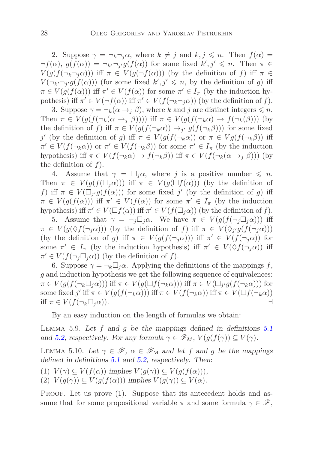2. Suppose  $\gamma = \neg_k \neg_i \alpha$ , where  $k \neq j$  and  $k, j \leq n$ . Then  $f(\alpha) =$  $\neg f(\alpha)$ ,  $g(f(\alpha)) = \neg_{k'}\neg_{j'}g(f(\alpha))$  for some fixed  $k', j' \leq n$ . Then  $\pi \in$ *V*( $g(f(\neg_k \neg_i \alpha))$ ) iff  $\pi \in V(g(\neg f(\alpha)))$  (by the definition of *f*) iff  $\pi \in$  $V(\neg_{k'}\neg_{j'}g(f(\alpha)))$  (for some fixed  $k', j' \leq n$ , by the definition of *g*) iff  $\pi \in V(g(f(\alpha)))$  iff  $\pi' \in V(f(\alpha))$  for some  $\pi' \in I_{\pi}$  (by the induction hypothesis) iff  $\pi' \in V(\neg f(\alpha))$  iff  $\pi' \in V(f(\neg_k \neg_j \alpha))$  (by the definition of *f*).

3. Suppose  $\gamma = \neg_k(\alpha \to_j \beta)$ , where *k* and *j* are distinct integers  $\leq n$ . Then  $\pi \in V(g(f(\neg_k(\alpha \to_i \beta))))$  iff  $\pi \in V(g(f(\neg_k \alpha) \to f(\neg_k(\beta)))$  (by the definition of *f*) iff  $\pi \in V(g(f(\neg_k \alpha)) \to_{j'} g(f(\neg_k \beta)))$  for some fixed *j*<sup> $j'$ </sup> (by the definition of *g*) iff *π* ∈ *V*(*g*(*f*(¬*kα*)) or *π* ∈ *Vg*(*f*(¬*k* $β$ )) iff  $\pi' \in V(f(\neg_k \alpha))$  or  $\pi' \in V(f(\neg_k \beta))$  for some  $\pi' \in I_{\pi}$  (by the induction hypothesis) iff  $\pi \in V(f(\neg_k \alpha) \to f(\neg_k \beta))$  iff  $\pi \in V(f(\neg_k(\alpha \to_i \beta)))$  (by the definition of *f*).

4. Assume that  $\gamma = \Box_i \alpha$ , where *j* is a positive number  $\leq n$ . Then  $\pi \in V(g(f(\Box_i \alpha)))$  iff  $\pi \in V(g(\Box f(\alpha)))$  (by the definition of *f*) iff  $\pi \in V(\Box_{j'} g(f(\alpha)))$  for some fixed *j*' (by the definition of *g*) iff  $\pi \in V(g(f(\alpha)))$  iff  $\pi' \in V(f(\alpha))$  for some  $\pi' \in I_{\pi}$  (by the induction hypothesis) iff  $\pi' \in V(\Box f(\alpha))$  iff  $\pi' \in V(f(\Box_j \alpha))$  (by the definition of *f*).

5. Assume that  $\gamma = \neg_j \Box_j \alpha$ . We have  $\pi \in V(g(f(\neg_j \Box_j \alpha)))$  iff  $\pi \in V(g(\Diamond f(\neg_j \alpha)))$  (by the definition of *f*) iff  $\pi \in V(\Diamond_j g(f(\neg_j \alpha)))$ (by the definition of *g*) iff  $\pi \in V(g(f(\neg_j\alpha)))$  iff  $\pi' \in V(f(\neg_j\alpha))$  for some  $\pi' \in I_{\pi}$  (by the induction hypothesis) iff  $\pi' \in V(\Diamond f(\neg_j \alpha))$  iff  $\pi' \in V(f(\neg_j \Box_j \alpha))$  (by the definition of *f*).

6. Suppose  $\gamma = \neg_k \Box_j \alpha$ . Applying the definitions of the mappings f, *g* and induction hypothesis we get the following sequence of equivalences:  $\pi \in V(g(f(\neg_k \Box_j \alpha)))$  iff  $\pi \in V(g(\Box f(\neg_k \alpha)))$  iff  $\pi \in V(\Box_{j'} g(f(\neg_k \alpha)))$  for some fixed *j*' iff  $\pi \in V(g(f(\neg_k \alpha)))$  iff  $\pi \in V(f(\neg_k \alpha))$  iff  $\pi \in V(\Box f(\neg_k \alpha))$ iff  $\pi \in V(f(\neg_k \Box_i \alpha)).$ 

<span id="page-27-0"></span>By an easy induction on the length of formulas we obtain:

Lemma 5.9. Let *f* and *g* be the mappings defined in definitions [5.1](#page-15-1) and [5.2,](#page-20-0) respectively. For any formula  $\gamma \in \mathscr{F}_M$ ,  $V(g(f(\gamma)) \subseteq V(\gamma)$ .

LEMMA 5.10. Let  $\gamma \in \mathscr{F}$ ,  $\alpha \in \mathscr{F}_{M}$  and let f and g be the mappings defined in definitions [5.1](#page-15-1) and [5.2,](#page-20-0) respectively. Then:

- (1)  $V(\gamma) \subseteq V(f(\alpha))$  implies  $V(g(\gamma)) \subseteq V(g(f(\alpha))),$
- $V(g(\gamma)) \subseteq V(g(f(\alpha)))$  implies  $V(g(\gamma)) \subseteq V(\alpha)$ .

PROOF. Let us prove (1). Suppose that its antecedent holds and assume that for some propositional variable  $\pi$  and some formula  $\gamma \in \mathscr{F}$ ,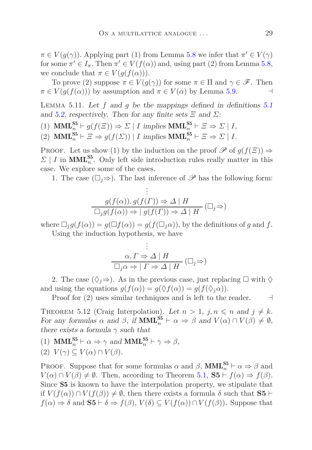$\pi \in V(g(\gamma))$ . Applying part (1) from Lemma [5.8](#page-26-1) we infer that  $\pi' \in V(\gamma)$ for some  $\pi' \in I_{\pi}$ . Then  $\pi' \in V(f(\alpha))$  and, using part (2) from Lemma [5.8,](#page-26-1) we conclude that  $\pi \in V(g(f(\alpha)))$ .

To prove (2) suppose  $\pi \in V(g(\gamma))$  for some  $\pi \in \Pi$  and  $\gamma \in \mathscr{F}$ . Then  $\pi \in V(g(f(\alpha)))$  by assumption and  $\pi \in V(\alpha)$  by Lemma [5.9.](#page-27-0)

<span id="page-28-0"></span>Lemma 5.11. Let *f* and *g* be the mappings defined in definitions [5.1](#page-15-1) and [5.2,](#page-20-0) respectively. Then for any finite sets  $\Xi$  and  $\Sigma$ :

- (1)  $\text{MML}_{n}^{\text{S5}} \vdash g(f(\Xi)) \Rightarrow \Sigma \mid I \text{ implies } \text{MML}_{n}^{\text{S5}} \vdash \Xi \Rightarrow \Sigma \mid I,$
- (2)  $\text{MML}_{n}^{\text{S5}} \vdash \Xi \Rightarrow g(f(\Sigma)) \mid I \text{ implies } \text{MML}_{n}^{\text{S5}} \vdash \Xi \Rightarrow \Sigma \mid I.$

PROOF. Let us show (1) by the induction on the proof  $\mathscr P$  of  $g(f(\Xi)) \Rightarrow$  $\sum$  | *I* in **MML**<sup>55</sup><sub>*n*</sub>. Only left side introduction rules really matter in this case. We explore some of the cases.

1. The case  $(\Box_j \Rightarrow)$ . The last inference of  $\mathscr P$  has the following form:

$$
\vdots
$$
\n
$$
g(f(\alpha)), g(f(\Gamma)) \Rightarrow \Delta | H
$$
\n
$$
\Box_j g(f(\alpha)) \Rightarrow | g(f(\Gamma)) \Rightarrow \Delta | H
$$
\n
$$
(\Box_j \Rightarrow)
$$

where  $\Box_i g(f(\alpha)) = g(\Box f(\alpha)) = g(f(\Box_i \alpha))$ , by the definitions of *g* and *f*. Using the induction hypothesis, we have

$$
\vdots
$$
\n
$$
\alpha, \Gamma \Rightarrow \Delta \mid H
$$
\n
$$
\Box_j \alpha \Rightarrow \mid \Gamma \Rightarrow \Delta \mid H \quad (\Box_j \Rightarrow)
$$

2. The case  $(\Diamond_i \Rightarrow)$ . As in the previous case, just replacing  $\Box$  with  $\Diamond$ and using the equations  $g(f(\alpha)) = g(\Diamond f(\alpha)) = g(f(\Diamond_i \alpha)).$ 

Proof for (2) uses similar techniques and is left to the reader.  $\Box$ 

THEOREM 5.12 (Craig Interpolation). Let  $n > 1$ ,  $j, n \leq n$  and  $j \neq k$ . For any formulas  $\alpha$  and  $\beta$ , if **MML**<sub> $n$ </sub><sup>55</sup>  $\vdash \alpha \Rightarrow \beta$  and  $V(\alpha) \cap V(\beta) \neq \emptyset$ , there exists a formula  $\gamma$  such that

(1) **MML**<sup>S5</sup><sup>*n*</sup>  $\vdash \alpha \Rightarrow \gamma$  and **MML**<sup>S5</sup><sup>*n*</sup>  $\vdash \gamma \Rightarrow \beta$ , (2)  $V(\gamma) \subseteq V(\alpha) \cap V(\beta)$ .

PROOF. Suppose that for some formulas  $\alpha$  and  $\beta$ , **MML**<sub>n</sub><sup>55</sup>  $\vdash \alpha \Rightarrow \beta$  and  $V(\alpha) \cap V(\beta) \neq \emptyset$ . Then, according to Theorem [5.1,](#page-15-2) **S5** ⊢  $f(\alpha) \Rightarrow f(\beta)$ . Since S5 is known to have the interpolation property, we stipulate that if  $V(f(\alpha)) \cap V(f(\beta)) \neq \emptyset$ , then there exists a formula  $\delta$  such that **S5** ⊢  $f(\alpha) \Rightarrow \delta$  and **S5** ⊢  $\delta \Rightarrow f(\beta)$ ,  $V(\delta) \subseteq V(f(\alpha)) \cap V(f(\beta))$ . Suppose that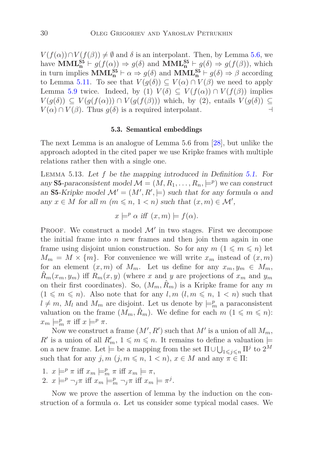$V(f(\alpha)) \cap V(f(\beta)) \neq \emptyset$  and  $\delta$  is an interpolant. Then, by Lemma [5.6,](#page-21-0) we have  $\text{MML}_{\mathbf{n}}^{\text{S5}} \vdash g(f(\alpha)) \Rightarrow g(\delta)$  and  $\text{MML}_{\mathbf{n}}^{\text{S5}} \vdash g(\delta) \Rightarrow g(f(\beta))$ , which in turn implies  $\text{MML}_{n}^{S5} \vdash \alpha \Rightarrow g(\delta)$  and  $\text{MML}_{n}^{S5} \vdash g(\delta) \Rightarrow \beta$  according to Lemma [5.11.](#page-28-0) To see that  $V(g(\delta)) \subseteq V(\alpha) \cap V(\beta)$  we need to apply Lemma [5.9](#page-27-0) twice. Indeed, by (1)  $V(\delta) \subseteq V(f(\alpha)) \cap V(f(\beta))$  implies *V*( $g(\delta)$ ) ⊆ *V*( $g(f(\alpha))$ ) ∩ *V*( $g(f(\beta))$ ) which, by (2), entails *V*( $g(\delta)$ ) ⊆  $V(\alpha) \cap V(\beta)$ . Thus  $g(\delta)$  is a required interpolant. ⊣

#### 5.3. Semantical embeddings

<span id="page-29-0"></span>The next Lemma is an analogue of Lemma 5.6 from [\[28\]](#page-44-8), but unlike the approach adopted in the cited paper we use Kripke frames with multiple relations rather then with a single one.

<span id="page-29-1"></span>Lemma 5.13. Let *f* be the mapping introduced in Definition [5.1.](#page-15-1) For any **S5**-paraconsistent model  $\mathcal{M} = (M, R_1, \dots, R_n, \models^p)$  we can construct an S5-Kripke model  $\mathcal{M}' = (M', R', \models)$  such that for any formula  $\alpha$  and any  $x \in M$  for all  $m \ (m \leqslant n, 1 \leq n)$  such that  $(x, m) \in \mathcal{M}'$ ,

$$
x \models^p \alpha
$$
 iff  $(x, m) \models f(\alpha)$ .

PROOF. We construct a model  $\mathcal{M}'$  in two stages. First we decompose the initial frame into  $n$  new frames and then join them again in one frame using disjoint union construction. So for any  $m$   $(1 \leq m \leq n)$  let  $M_m = M \times \{m\}$ . For convenience we will write  $x_m$  instead of  $(x, m)$ for an element  $(x, m)$  of  $M_m$ . Let us define for any  $x_m, y_m \in M_m$ ,  $\hat{R}_m(x_m, y_m)$  iff  $R_m(x, y)$  (where *x* and *y* are projections of  $x_m$  and  $y_m$ on their first coordinates). So,  $(M_m, R_m)$  is a Kripke frame for any m  $(1 \leq m \leq n)$ . Also note that for any  $l, m \leq n, 1 \leq n$  such that  $l \neq m$ ,  $M_l$  and  $M_m$  are disjoint. Let us denote by  $\models_m^n$  a paraconsistent valuation on the frame  $(M_m, \hat{R}_m)$ . We define for each  $m$   $(1 \leq m \leq n)$ :  $x_m \models^p_m \pi$  iff  $x \models^p \pi$ .

Now we construct a frame  $(M', R')$  such that  $M'$  is a union of all  $M_m$ ,  $R'$  is a union of all  $R'_m$ ,  $1 \leqslant m \leqslant n$ . It remains to define a valuation  $\models$ on a new frame. Let  $\models$  be a mapping from the set  $\Pi \cup \bigcup_{1 \leqslant j \leqslant n} \Pi^j$  to  $2^M$ such that for any  $j, m \ (j, m \leq n, 1 \leq n), x \in M$  and any  $\pi \in \Pi$ :

1.  $x \models^p \pi$  iff  $x_m \models^p_m \pi$  iff  $x_m \models \pi$ , 2.  $x \models^p \neg_j \pi$  iff  $x_m \models^p_m \neg_j \pi$  iff  $x_m \models \pi^j$ .

Now we prove the assertion of lemma by the induction on the construction of a formula  $\alpha$ . Let us consider some typical modal cases. We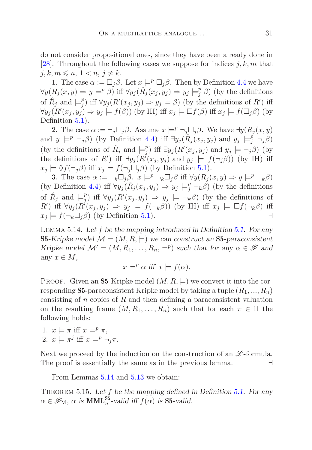do not consider propositional ones, since they have been already done in [\[28\]](#page-44-8). Throughout the following cases we suppose for indices *j, k, m* that  $j, k, m \leqslant n, 1 < n, j \neq k.$ 

1. The case  $\alpha := \Box_i \beta$ . Let  $x \models^p \Box_i \beta$ . Then by Definition [4.4](#page-14-0) we have  $\forall y (R_j(x, y) \Rightarrow y \models^p \beta)$  iff  $\forall y_j (\hat{R}_j(x_j, y_j) \Rightarrow y_j \models^p_j \beta)$  (by the definitions of  $\hat{R}_j$  and  $\models_j^p$ *f*<sup>*p*</sup></sup>) iff  $\forall y_j$  (*R'*( $x_j, y_j$ )  $\Rightarrow$   $y_j$   $\models \beta$ ) (by the definitions of *R'*) iff  $\forall y_j(R'(x_j, y_j) \Rightarrow y_j \models f(\beta))$  (by IH) iff  $x_j \models \Box f(\beta)$  iff  $x_j \models f(\Box_j \beta)$  (by Definition  $5.1$ ).

2. The case  $\alpha := \neg_i \Box_i \beta$ . Assume  $x \models^p \neg_i \Box_i \beta$ . We have  $\exists y (R_i(x, y))$ and  $y \models^p \neg_j \beta$  (by Definition [4.4\)](#page-14-0) iff  $\exists y_j(\hat{R}_j(x_j, y_j) \text{ and } y_j \models^p_j \neg_j \beta$ ) (by the definitions of  $\hat{R}_j$  and  $\models_j^p$ *f*<sup>*p*</sup></sup>) iff ∃*y*<sub>*j*</sub>(*R*′(*x*<sub>*j*</sub>, *y*<sub>*j*</sub>) and *y*<sub>*j*</sub>  $\models$  ¬*j* $\beta$ ) (by the definitions of *R*<sup>'</sup>) iff  $\exists y_j(R^i(x_j, y_j) \text{ and } y_j \models f(\neg_j \beta)$  (by IH) iff  $x_i \models \Diamond f(\neg_i \beta)$  iff  $x_j \models f(\neg_i \Box_i \beta)$  (by Definition [5.1\)](#page-15-1).

3. The case  $\alpha := \neg_k \Box_j \beta$ .  $x \models^p \neg_k \Box_j \beta$  iff  $\forall y (R_j(x, y) \Rightarrow y \models^p \neg_k \beta)$ (by Definition [4.4\)](#page-14-0) iff  $\forall y_j(\hat{R}_j(x_j, y_j) \Rightarrow y_j \models_j^p \neg_k \beta)$  (by the definitions of  $\hat{R}_j$  and  $\models_j^p$ *f*<sup>*y*</sup></sup>) iff ∀*y*<sub>*j*</sub>( $R'(x_j, y_j)$   $\Rightarrow$  *y*<sub>*j*</sub>  $\models \neg_k \beta$ ) (by the definitions of  $R'$ ) iff  $\forall y_j(R'(x_j, y_j) \Rightarrow y_j \models f(\neg_k \beta)$  (by IH) iff  $x_j \models \Box f(\neg_k \beta)$  iff  $x_j \models f(\neg_k \Box_j \beta)$  (by Definition [5.1\)](#page-15-1). ⊣

<span id="page-30-0"></span>Lemma 5.14. Let *f* be the mapping introduced in Definition [5.1.](#page-15-1) For any **S5-Kripke model**  $\mathcal{M} = (M, R, \models)$  **we can construct an S5-paraconsistent** Kripke model  $\mathcal{M}' = (M, R_1, \dots, R_n, \models^p)$  such that for any  $\alpha \in \mathcal{F}$  and any  $x \in M$ ,

$$
x \models^p \alpha
$$
 iff  $x \models f(\alpha)$ .

**PROOF.** Given an **S5**-Kripke model  $(M, R, \models)$  we convert it into the corresponding **S5**-paraconsistent Kripke model by taking a tuple  $(R_1, ..., R_n)$ consisting of *n* copies of *R* and then defining a paraconsistent valuation on the resulting frame  $(M, R_1, \ldots, R_n)$  such that for each  $\pi \in \Pi$  the following holds:

1.  $x \models \pi \text{ iff } x \models^p \pi$ , 2.  $x \models \pi^j$  iff  $x \models^p \neg_j \pi$ .

Next we proceed by the induction on the construction of an  $\mathscr{L}\text{-formula.}$ The proof is essentially the same as in the previous lemma. ⊣

<span id="page-30-1"></span>From Lemmas [5.14](#page-30-0) and [5.13](#page-29-1) we obtain:

THEOREM 5.15. Let f be the mapping defined in Definition [5.1.](#page-15-1) For any  $\alpha \in \mathscr{F}_{M}$ ,  $\alpha$  is **MML**<sup>S5</sup><sub>2</sub></sub>-valid iff  $f(\alpha)$  is **S5**-valid.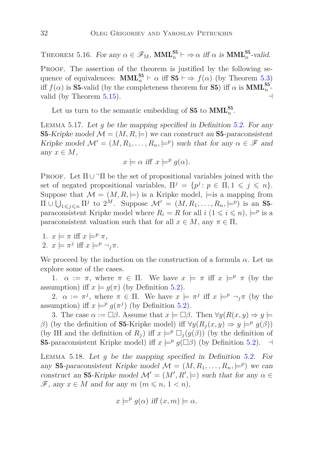THEOREM 5.16. For any  $\alpha \in \mathscr{F}_{M}$ ,  $\text{MML}_{n}^{\text{S5}} \vdash \Rightarrow \alpha$  iff  $\alpha$  is  $\text{MML}_{n}^{\text{S5}}$ -valid.

PROOF. The assertion of the theorem is justified by the following sequence of equivalences:  $\text{MML}_{n}^{\text{S5}} \vdash \alpha \text{ iff } \text{S5} \vdash \Rightarrow f(\alpha)$  (by Theorem [5.3\)](#page-19-0) iff  $f(\alpha)$  is **S5**-valid (by the completeness theorem for **S5**) iff  $\alpha$  is **MML**<sup>S5</sup><sub>n</sub><sup>-</sup> valid (by Theorem  $5.15$ ).

<span id="page-31-0"></span>Let us turn to the semantic embedding of **S5** to  $\text{MML}_{n}^{S5}$ .

Lemma 5.17. Let *g* be the mapping specified in Definition [5.2.](#page-20-0) For any **S5-Kripke model**  $\mathcal{M} = (M, R, \models)$  **we can construct an <b>S5-paraconsistent** Kripke model  $\mathcal{M}' = (M, R_1, \dots, R_n, \models^p)$  such that for any  $\alpha \in \mathcal{F}$  and any  $x \in M$ ,

$$
x \models \alpha \text{ iff } x \models^p g(\alpha).
$$

PROOF. Let  $\Pi \cup \neg \Pi$  be the set of propositional variables joined with the set of negated propositional variables,  $\Pi^j = \{p^j : p \in \Pi, 1 \leq j \leq n\}.$ Suppose that  $\mathcal{M} = (M, R, \models)$  is a Kripke model,  $\models$  is a mapping from  $\Pi \cup \bigcup_{1 \leq j \leq n} \Pi^j$  to  $2^M$ . Suppose  $\mathcal{M}' = (M, R_1, \ldots, R_n, \models^p)$  is an S5paraconsistent Kripke model where  $R_i = R$  for all  $i \ (1 \leq i \leq n)$ ,  $\models^p$  is a paraconsistent valuation such that for all  $x \in M$ , any  $\pi \in \Pi$ ,

1.  $x \models \pi$  iff  $x \models^p \pi$ , 2.  $x \models \pi^j$  iff  $x \models^p \neg_j \pi$ .

We proceed by the induction on the construction of a formula  $\alpha$ . Let us explore some of the cases.

1.  $\alpha := \pi$ , where  $\pi \in \Pi$ . We have  $x \models \pi$  iff  $x \models^p \pi$  (by the assumption) iff  $x \models g(\pi)$  (by Definition [5.2\)](#page-20-0).

2.  $\alpha := \pi^j$ , where  $\pi \in \Pi$ . We have  $x \models \pi^j$  iff  $x \models^p \neg_j \pi$  (by the assumption) iff  $x \models^p g(\pi^j)$  (by Definition [5.2\)](#page-20-0).

3. The case  $\alpha := \Box \beta$ . Assume that  $x \models \Box \beta$ . Then  $\forall y (R(x, y) \Rightarrow y \models \Box \beta)$ *β*) (by the definition of **S5**-Kripke model) iff  $\forall y (R_j(x, y) \Rightarrow y \models^p g(\beta))$ (by IH and the definition of  $R_i$ ) iff  $x \models^p \Box_i(g(\beta))$  (by the definition of S5-paraconsistent Kripke model) iff  $x \models^p g(\Box \beta)$  (by Definition [5.2\)](#page-20-0).  $\Box$ 

<span id="page-31-1"></span>Lemma 5.18. Let *g* be the mapping specified in Definition [5.2.](#page-20-0) For any **S5**-paraconsistent Kripke model  $\mathcal{M} = (M, R_1, \dots, R_n, \models^p)$  we can construct an **S5**-Kripke model  $\mathcal{M}' = (M', R', \models)$  such that for any  $\alpha \in$  $\mathscr{F}$ , any  $x \in M$  and for any  $m \ (m \leqslant n, 1 \leq n),$ 

$$
x \models^p g(\alpha) \text{ iff } (x, m) \models \alpha.
$$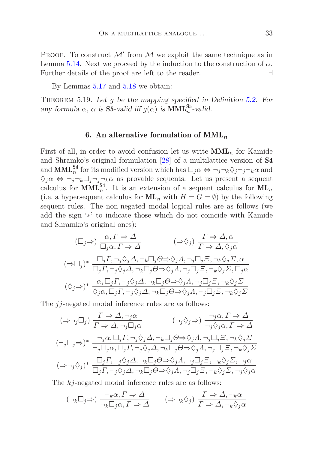PROOF. To construct  $\mathcal{M}'$  from  $\mathcal M$  we exploit the same technique as in Lemma [5.14.](#page-30-0) Next we proceed by the induction to the construction of  $\alpha$ . Further details of the proof are left to the reader. ⊣

By Lemmas [5.17](#page-31-0) and [5.18](#page-31-1) we obtain:

<span id="page-32-0"></span>THEOREM 5.19. Let *g* be the mapping specified in Definition [5.2.](#page-20-0) For any formula  $\alpha$ ,  $\alpha$  is **S5**-valid iff  $g(\alpha)$  is **MML**<sup>55</sup>-valid.

#### 6. An alternative formulation of MML*<sup>n</sup>*

First of all, in order to avoid confusion let us write  $\text{MML}_n$  for Kamide and Shramko's original formulation [\[28\]](#page-44-8) of a multilattice version of S4 and  $\text{MML}_{n}^{\text{S4}}$  for its modified version which has  $\Box_j \alpha \Leftrightarrow \neg_j \neg_k \Diamond_j \neg_j \neg_k \alpha$  and  $\Diamond_j \alpha \Leftrightarrow \neg_j \neg_k \Box_j \neg_j \neg_k \alpha$  as provable sequents. Let us present a sequent calculus for  $\text{MML}_{n}^{\text{S4}}$ . It is an extension of a sequent calculus for  $\text{ML}_{n}$ (i.e. a hypersequent calculus for  $ML_n$  with  $H = G = \emptyset$ ) by the following sequent rules. The non-negated modal logical rules are as follows (we add the sign '∗' to indicate those which do not coincide with Kamide and Shramko's original ones):

$$
(\Box_j \Rightarrow) \frac{\alpha, \Gamma \Rightarrow \Delta}{\Box_j \alpha, \Gamma \Rightarrow \Delta} \qquad (\Rightarrow \Diamond_j) \frac{\Gamma \Rightarrow \Delta, \alpha}{\Gamma \Rightarrow \Delta, \Diamond_j \alpha}
$$
  

$$
(\Rightarrow \Box_j)^* \frac{\Box_j \Gamma, \neg_j \Diamond_j \Delta, \neg_k \Box_j \Theta \Rightarrow \Diamond_j \Lambda, \neg_j \Box_j \Xi, \neg_k \Diamond_j \Sigma, \alpha}{\Box_j \Gamma, \neg_j \Diamond_j \Delta, \neg_k \Box_j \Theta \Rightarrow \Diamond_j \Lambda, \neg_j \Box_j \Xi, \neg_k \Diamond_j \Sigma, \Box_j \alpha}
$$
  

$$
(\Diamond_j \Rightarrow)^* \frac{\alpha, \Box_j \Gamma, \neg_j \Diamond_j \Delta, \neg_k \Box_j \Theta \Rightarrow \Diamond_j \Lambda, \neg_j \Box_j \Xi, \neg_k \Diamond_j \Sigma}{\Diamond_j \alpha, \Box_j \Gamma, \neg_j \Diamond_j \Delta, \neg_k \Box_j \Theta \Rightarrow \Diamond_j \Lambda, \neg_j \Box_j \Xi, \neg_k \Diamond_j \Sigma}
$$

The *jj*-negated modal inference rules are as follows:

$$
(\Rightarrow \neg_j \Box_j) \frac{\Gamma \Rightarrow \Delta, \neg_j \alpha}{\Gamma \Rightarrow \Delta, \neg_j \Box_j \alpha} \qquad (\neg_j \Diamond_j \Rightarrow) \frac{\neg_j \alpha, \Gamma \Rightarrow \Delta}{\neg_j \Diamond_j \alpha, \Gamma \Rightarrow \Delta}
$$

$$
(\neg_j \Box_j \Rightarrow)^* \frac{\neg_j \alpha, \Box_j \Gamma, \neg_j \Diamond_j \Delta, \neg_k \Box_j \Theta \Rightarrow \Diamond_j \Lambda, \neg_j \Box_j \Xi, \neg_k \Diamond_j \Sigma}{\neg_j \Box_j \alpha, \Box_j \Gamma, \neg_j \Diamond_j \Delta, \neg_k \Box_j \Theta \Rightarrow \Diamond_j \Lambda, \neg_j \Box_j \Xi, \neg_k \Diamond_j \Sigma}
$$

$$
(\Rightarrow \neg_j \Diamond_j)^* \frac{\Box_j \Gamma, \neg_j \Diamond_j \Delta, \neg_k \Box_j \Theta \Rightarrow \Diamond_j \Lambda, \neg_j \Box_j \Xi, \neg_k \Diamond_j \Sigma, \neg_j \alpha}{\Box_j \Gamma, \neg_j \Diamond_j \Delta, \neg_k \Box_j \Theta \Rightarrow \Diamond_j \Lambda, \neg_j \Box_j \Xi, \neg_k \Diamond_j \Sigma, \neg_j \Diamond_j \alpha}
$$

The *kj*-negated modal inference rules are as follows:

$$
(\neg_k \Box_j \Rightarrow) \frac{\neg_k \alpha, \Gamma \Rightarrow \Delta}{\neg_k \Box_j \alpha, \Gamma \Rightarrow \Delta} \qquad (\Rightarrow \neg_k \Diamond_j) \frac{\Gamma \Rightarrow \Delta, \neg_k \alpha}{\Gamma \Rightarrow \Delta, \neg_k \Diamond_j \alpha}
$$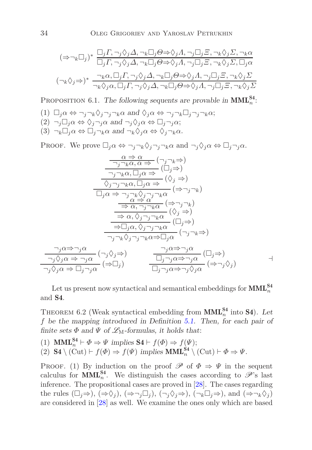$$
(\Rightarrow \neg_k \Box_j)^* \frac{\Box_j \Gamma, \neg_j \Diamond_j \Delta, \neg_k \Box_j \Theta \Rightarrow \Diamond_j \Lambda, \neg_j \Box_j \Xi, \neg_k \Diamond_j \Sigma, \neg_k \alpha}{\Box_j \Gamma, \neg_j \Diamond_j \Delta, \neg_k \Box_j \Theta \Rightarrow \Diamond_j \Lambda, \neg_j \Box_j \Xi, \neg_k \Diamond_j \Sigma, \Box_j \alpha}
$$

$$
(\neg_k \Diamond_j \Rightarrow)^* \frac{\neg_k \alpha, \Box_j \Gamma, \neg_j \Diamond_j \Delta, \neg_k \Box_j \Theta \Rightarrow \Diamond_j \Lambda, \neg_j \Box_j \Xi, \neg_k \Diamond_j \Sigma}{\neg_k \Diamond_j \alpha, \Box_j \Gamma, \neg_j \Diamond_j \Delta, \neg_k \Box_j \Theta \Rightarrow \Diamond_j \Lambda, \neg_j \Box_j \Xi, \neg_k \Diamond_j \Sigma}
$$

PROPOSITION 6.1. The following sequents are provable in  $MML_n^{S4}$ .

 $(1)$   $\Box_i \alpha \Leftrightarrow \neg_i \neg_k \Diamond_j \neg_j \neg_k \alpha$  and  $\Diamond_i \alpha \Leftrightarrow \neg_j \neg_k \Box_j \neg_j \neg_k \alpha$ ;  $(2)$   $\neg_i \Box_j \alpha \Leftrightarrow \Diamond_j \neg_j \alpha \text{ and } \neg_j \Diamond_j \alpha \Leftrightarrow \Box_j \neg_j \alpha;$  $(3) \neg_k \Box_i \alpha \Leftrightarrow \Box_i \neg_k \alpha \text{ and } \neg_k \Diamond_i \alpha \Leftrightarrow \Diamond_i \neg_k \alpha.$ 

Proof. We prove  $\Box_j \alpha \Leftrightarrow \neg_j \neg_k \Diamond_j \neg_j \neg_k \alpha$  and  $\neg_j \Diamond_j \alpha \Leftrightarrow \Box_j \neg_j \alpha$ .

$$
\frac{\alpha \Rightarrow \alpha}{\neg_j \neg_k \alpha, \alpha \Rightarrow} (\neg_j \neg_k \Rightarrow)
$$
\n
$$
\frac{\neg_j \neg_k \alpha, \Box_j \alpha \Rightarrow} (\Box_j \Rightarrow)
$$
\n
$$
\frac{\Diamond_j \neg_j \neg_k \alpha, \Box_j \alpha \Rightarrow} (\Diamond_j \Rightarrow)
$$
\n
$$
\frac{\Diamond_j \neg_j \neg_k \alpha, \Box_j \alpha \Rightarrow} (\Diamond_j \Rightarrow)
$$
\n
$$
\frac{\Diamond_j \neg_j \neg_k \alpha, \Box_j \alpha \Rightarrow} (\Diamond_j \Rightarrow)
$$
\n
$$
\frac{\alpha \Rightarrow \alpha}{\Rightarrow \alpha \Rightarrow \alpha} (\Rightarrow \neg_j \neg_k)
$$
\n
$$
\frac{\alpha \Rightarrow \alpha}{\Rightarrow \alpha, \neg_j \neg_k \alpha} (\Diamond_j \Rightarrow)
$$
\n
$$
\frac{\neg_j \alpha \Rightarrow \neg_j \alpha}{\Rightarrow \Box_j \alpha, \Diamond_j \neg_j \neg_k \alpha} (\Box_j \Rightarrow)
$$
\n
$$
\frac{\neg_j \alpha \Rightarrow \neg_j \alpha}{\neg_j \neg_k \Diamond_j \neg_j \neg_k \alpha \Rightarrow \Box_j \alpha} (\neg_j \neg_k \Rightarrow)
$$
\n
$$
\frac{\neg_j \alpha \Rightarrow \neg_j \alpha}{\neg_j \Diamond_j \alpha \Rightarrow \neg_j \alpha} (\neg_j \Diamond_j \Rightarrow)
$$
\n
$$
\frac{\neg_j \alpha \Rightarrow \neg_j \alpha}{\Box_j \neg_j \alpha \Rightarrow \neg_j \alpha} (\Box_j \Rightarrow)
$$
\n
$$
\frac{\neg_j \alpha \Rightarrow \neg_j \alpha}{\Box_j \neg_j \alpha \Rightarrow \neg_j \Diamond_j \alpha} (\Rightarrow \neg_j \Diamond_j)
$$

<span id="page-33-0"></span>Let us present now syntactical and semantical embeddings for  $\text{MML}_{n}^{\text{S4}}$ and S4.

THEOREM 6.2 (Weak syntactical embedding from  $\text{MML}_{n}^{\text{S4}}$  into **S4**). Let *f* be the mapping introduced in Definition [5.1.](#page-15-1) Then, for each pair of finite sets  $\Phi$  and  $\Psi$  of  $\mathcal{L}_M$ -formulas, it holds that:

(1) **MML**<sup>S4</sup><sup>*n*</sup>  $\vdash \Phi \Rightarrow \Psi$  implies **S4**  $\vdash f(\Phi) \Rightarrow f(\Psi)$ ; (2) S4 \ (Cut) ⊢ *f*( $\Phi$ )  $\Rightarrow$  *f*( $\Psi$ ) implies **MML**<sub>n</sub><sup>S4</sup> \ (Cut) ⊢  $\Phi \Rightarrow \Psi$ .

PROOF. (1) By induction on the proof  $\mathscr P$  of  $\Phi \Rightarrow \Psi$  in the sequent calculus for **MML**<sup>S4</sup>. We distinguish the cases according to  $\mathscr{P}$ 's last inference. The propositional cases are proved in [\[28\]](#page-44-8). The cases regarding the rules  $(\Box_i \Rightarrow), (\Rightarrow \Diamond_i), (\Rightarrow \neg_i \Box_i), (\neg_i \Diamond_i \Rightarrow), (\neg_k \Box_i \Rightarrow),$  and  $(\Rightarrow \neg_k \Diamond_i)$ are considered in [\[28\]](#page-44-8) as well. We examine the ones only which are based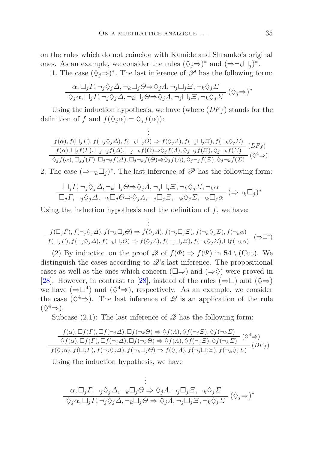on the rules which do not coincide with Kamide and Shramko's original ones. As an example, we consider the rules  $(\Diamond_j \Rightarrow)^*$  and  $(\Rightarrow \neg_k \Box_j)^*$ .

1. The case  $(\Diamond_j \Rightarrow)^*$ . The last inference of  $\mathscr P$  has the following form:

$$
\frac{\alpha, \Box_j \Gamma, \neg_j \Diamond_j \Delta, \neg_k \Box_j \Theta \Rightarrow \Diamond_j \Lambda, \neg_j \Box_j \Xi, \neg_k \Diamond_j \Sigma}{\Diamond_j \alpha, \Box_j \Gamma, \neg_j \Diamond_j \Delta, \neg_k \Box_j \Theta \Rightarrow \Diamond_j \Lambda, \neg_j \Box_j \Xi, \neg_k \Diamond_j \Sigma} (\Diamond_j \Rightarrow)^*
$$

Using the induction hypothesis, we have (where  $(DF<sub>f</sub>)$ ) stands for the definition of *f* and  $f(\Diamond_i \alpha) = \Diamond_i f(\alpha)$ :

> . .

$$
f(\alpha), f(\Box_j \Gamma), f(\neg_j \Diamond_j \Delta), f(\neg_k \Box_j \Theta) \Rightarrow f(\Diamond_j \Lambda), f(\neg_j \Box_j \Xi), f(\neg_k \Diamond_j \Sigma)
$$
  

$$
f(\alpha), \Box_j f(\Gamma), \Box_j \neg_j f(\Delta), \Box_j \neg_k f(\Theta) \Rightarrow \Diamond_j f(\Lambda), \Diamond_j \neg_j f(\Xi), \Diamond_j \neg_k f(\Sigma)
$$
  

$$
\Diamond_j f(\alpha), \Box_j f(\Gamma), \Box_j \neg_j f(\Delta), \Box_j \neg_k f(\Theta) \Rightarrow \Diamond_j f(\Lambda), \Diamond_j \neg_j f(\Xi), \Diamond_j \neg_k f(\Sigma)
$$
  

$$
(\Diamond^4 \Rightarrow)
$$

2. The case  $(\Rightarrow \neg_k \Box_j)^*$ . The last inference of  $\mathscr P$  has the following form:

$$
\frac{\Box_j \Gamma, \neg_j \Diamond_j \Delta, \neg_k \Box_j \Theta \Rightarrow \Diamond_j \Lambda, \neg_j \Box_j \Xi, \neg_k \Diamond_j \Sigma, \neg_k \alpha}{\Box_j \Gamma, \neg_j \Diamond_j \Delta, \neg_k \Box_j \Theta \Rightarrow \Diamond_j \Lambda, \neg_j \Box_j \Xi, \neg_k \Diamond_j \Sigma, \neg_k \Box_j \alpha} (\Rightarrow \neg_k \Box_j)^*
$$

Using the induction hypothesis and the definition of  $f$ , we have: .

.

$$
\frac{f(\Box_j \Gamma), f(\neg_j \Diamond_j \Delta), f(\neg_k \Box_j \Theta) \Rightarrow f(\Diamond_j \Lambda), f(\neg_j \Box_j \Xi), f(\neg_k \Diamond_j \Sigma), f(\neg_k \alpha)}{f(\Box_j \Gamma), f(\neg_j \Diamond_j \Delta), f(\neg_k \Box_j \Theta) \Rightarrow f(\Diamond_j \Lambda), f(\neg_j \Box_j \Xi), f(\neg_k \Diamond_j \Sigma), \Box f(\neg_k \alpha)} \; (\Rightarrow \Box^4)
$$

(2) By induction on the proof  $\mathscr Q$  of  $f(\Phi) \Rightarrow f(\Psi)$  in  $S4 \setminus (Cut)$ . We distinguish the cases according to  $\mathscr{Q}$ 's last inference. The propositional cases as well as the ones which concern  $(\square \Rightarrow)$  and  $(\Rightarrow \Diamond)$  were proved in [\[28\]](#page-44-8). However, in contrast to [\[28\]](#page-44-8), instead of the rules ( $\Rightarrow$  [20]) and ( $\diamond$  $\Rightarrow$ ) we have  $(\Rightarrow \Box^4)$  and  $(\Diamond^4 \Rightarrow)$ , respectively. As an example, we consider the case  $(\Diamond^4 \Rightarrow)$ . The last inference of  $\mathscr Q$  is an application of the rule  $(\Diamond^4 \Rightarrow).$ 

Subcase  $(2.1)$ : The last inference of  $\mathscr Q$  has the following form:

$$
\frac{f(\alpha), \Box f(\Gamma), \Box f(\neg_i \Delta), \Box f(\neg_k \Theta) \Rightarrow \Diamond f(\Lambda), \Diamond f(\neg_j \Xi), \Diamond f(\neg_k \Sigma)}{\Diamond f(\alpha), \Box f(\Gamma), \Box f(\neg_j \Delta), \Box f(\neg_k \Theta) \Rightarrow \Diamond f(\Lambda), \Diamond f(\neg_j \Xi), \Diamond f(\neg_k \Sigma)} \quad (\Diamond^4 \Rightarrow)
$$
  

$$
f(\Diamond_j \alpha), f(\Box_j \Gamma), f(\neg_j \Diamond_j \Delta), f(\neg_k \Box_j \Theta) \Rightarrow f(\Diamond_j \Lambda), f(\neg_j \Box_j \Xi), f(\neg_k \Diamond_j \Sigma) \quad (DF_f)
$$

Using the induction hypothesis, we have

$$
\vdots
$$
  
\n
$$
\alpha, \Box_j \Gamma, \neg_j \Diamond_j \Delta, \neg_k \Box_j \Theta \Rightarrow \Diamond_j \Lambda, \neg_j \Box_j \Xi, \neg_k \Diamond_j \Sigma
$$
  
\n
$$
\Diamond_j \alpha, \Box_j \Gamma, \neg_j \Diamond_j \Delta, \neg_k \Box_j \Theta \Rightarrow \Diamond_j \Lambda, \neg_j \Box_j \Xi, \neg_k \Diamond_j \Sigma
$$
  
\n
$$
(\Diamond_j \Rightarrow)^*
$$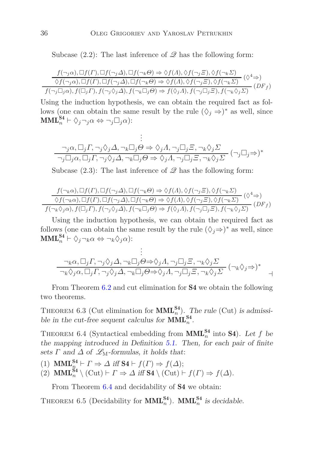Subcase  $(2.2)$ : The last inference of  $\mathscr Q$  has the following form:

$$
\frac{f(\neg_i \alpha), \Box f(\Gamma), \Box f(\neg_i \Delta), \Box f(\neg_k \Theta) \Rightarrow \Diamond f(\Lambda), \Diamond f(\neg_j \Xi), \Diamond f(\neg_k \Sigma)}{\Diamond f(\neg_j \alpha), \Box f(\Gamma), \Box f(\neg_j \Delta), \Box f(\neg_k \Theta) \Rightarrow \Diamond f(\Lambda), \Diamond f(\neg_j \Xi), \Diamond f(\neg_k \Sigma)} \quad (\Diamond^4 \Rightarrow)
$$
  

$$
f(\neg_j \Box_j \alpha), f(\Box_j \Gamma), f(\neg_j \Diamond_j \Delta), f(\neg_k \Box_j \Theta) \Rightarrow f(\Diamond_j \Lambda), f(\neg_j \Box_j \Xi), f(\neg_k \Diamond_j \Sigma) \quad (DF_f)
$$

Using the induction hypothesis, we can obtain the required fact as follows (one can obtain the same result by the rule  $(\Diamond_j \Rightarrow)^*$  as well, since  $\textbf{MML}_{n}^{\textbf{S4}} \vdash \Diamond_{j} \neg_{j} \alpha \Leftrightarrow \neg_{j} \Box_{j} \alpha$ ):

$$
\vdots
$$
  
\n
$$
\neg_j \alpha, \Box_j \Gamma, \neg_j \Diamond_j \Delta, \neg_k \Box_j \Theta \Rightarrow \Diamond_j \Lambda, \neg_j \Box_j \Xi, \neg_k \Diamond_j \Sigma
$$
  
\n
$$
\neg_j \Box_j \alpha, \Box_j \Gamma, \neg_j \Diamond_j \Delta, \neg_k \Box_j \Theta \Rightarrow \Diamond_j \Lambda, \neg_j \Box_j \Xi, \neg_k \Diamond_j \Sigma
$$
  
\n
$$
(\neg_j \Box_j \Rightarrow)^*
$$

Subcase  $(2.3)$ : The last inference of  $\mathscr Q$  has the following form:

$$
\frac{f(\neg_k \alpha), \Box f(\Gamma), \Box f(\neg_j \Delta), \Box f(\neg_k \Theta) \Rightarrow \Diamond f(\Lambda), \Diamond f(\neg_j \Xi), \Diamond f(\neg_k \Sigma)}{\Diamond f(\neg_k \alpha), \Box f(\Gamma), \Box f(\neg_j \Delta), \Box f(\neg_k \Theta) \Rightarrow \Diamond f(\Lambda), \Diamond f(\neg_j \Xi), \Diamond f(\neg_k \Sigma)} \quad (\Diamond^4 \Rightarrow)
$$
  

$$
f(\neg_k \Diamond_j \alpha), f(\Box_j \Gamma), f(\neg_j \Diamond_j \Delta), f(\neg_k \Box_j \Theta) \Rightarrow f(\Diamond_j \Lambda), f(\neg_j \Box_j \Xi), f(\neg_k \Diamond_j \Sigma) \quad (DF_f)
$$

Using the induction hypothesis, we can obtain the required fact as follows (one can obtain the same result by the rule  $(\Diamond_j \Rightarrow)^*$  as well, since  $\textbf{MML}_{n}^{\mathbf{S4}} \vdash \Diamond_j \neg_k \alpha \Leftrightarrow \neg_k \Diamond_j \alpha$ :

.

$$
\vdots
$$
  
\n
$$
\neg_k \alpha, \Box_j \Gamma, \neg_j \Diamond_j \Delta, \neg_k \Box_j \Theta \Rightarrow \Diamond_j \Lambda, \neg_j \Box_j \Xi, \neg_k \Diamond_j \Sigma
$$
  
\n
$$
\neg_k \Diamond_j \alpha, \Box_j \Gamma, \neg_j \Diamond_j \Delta, \neg_k \Box_j \Theta \Rightarrow \Diamond_j \Lambda, \neg_j \Box_j \Xi, \neg_k \Diamond_j \Sigma
$$
  
\n
$$
\neg_k \Diamond_j \alpha, \Box_j \Gamma, \neg_j \Diamond_j \Delta, \neg_k \Box_j \Theta \Rightarrow \Diamond_j \Lambda, \neg_j \Box_j \Xi, \neg_k \Diamond_j \Sigma
$$

From Theorem [6.2](#page-33-0) and cut elimination for **S4** we obtain the following two theorems.

THEOREM 6.3 (Cut elimination for  $\text{MML}_{n}^{\text{S4}}$ ). The rule (Cut) is admissible in the cut-free sequent calculus for  $\text{MML}_{n}^{\text{S4}}$ .

<span id="page-35-0"></span>THEOREM 6.4 (Syntactical embedding from  $\text{MML}_{n}^{\text{S4}}$  into **S4**). Let *f* be the mapping introduced in Definition [5.1.](#page-15-1) Then, for each pair of finite sets  $\Gamma$  and  $\Delta$  of  $\mathscr{L}_{M}$ -formulas, it holds that:

- (1) **MML**<sup>**S4</sup>** $\vdash$ *Γ* $\Rightarrow$ *Δ* **iff <b>S4** $\vdash$  *f*(*Γ*)  $\Rightarrow$  *f*(*Δ*);</sup>
- $(2)$  **MML**<sup>S4</sup><sub>n</sub></sup>  $\setminus$   $(\text{Cut}) \vdash \Gamma \Rightarrow \Delta$  iff **S4**  $\setminus$   $(\text{Cut}) \vdash f(\Gamma) \Rightarrow f(\Delta)$ .

From Theorem [6.4](#page-35-0) and decidability of **S4** we obtain:

THEOREM 6.5 (Decidability for  $\text{MML}_n^{\text{S4}}$ ).  $\text{MML}_n^{\text{S4}}$  is decidable.

÷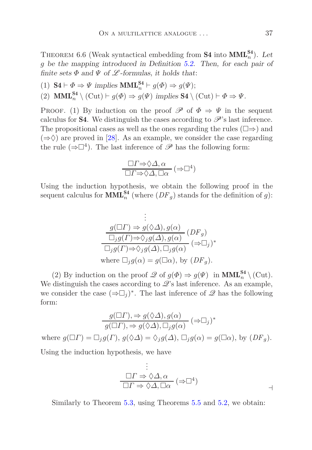THEOREM 6.6 (Weak syntactical embedding from  $S4$  into  $MML_n^{S4}$ ). Let *g* be the mapping introduced in Definition [5.2.](#page-20-0) Then, for each pair of finite sets  $\Phi$  and  $\Psi$  of  $\mathscr L$ -formulas, it holds that:

(1)  $S4 \vdash \Phi \Rightarrow \Psi \text{ implies } \text{MML}_{n}^{S4} \vdash g(\Phi) \Rightarrow g(\Psi);$ 

(2) **MML**<sup>S4</sup><sup>2</sup>  $\setminus$  (Cut)  $\vdash$  *g*( $\Phi$ )  $\Rightarrow$  *g*( $\Psi$ ) *implies* S4  $\setminus$  (Cut)  $\vdash$   $\Phi \Rightarrow \Psi$ .

PROOF. (1) By induction on the proof  $\mathscr P$  of  $\Phi \Rightarrow \Psi$  in the sequent calculus for **S4**. We distinguish the cases according to  $\mathscr{P}'$ 's last inference. The propositional cases as well as the ones regarding the rules  $(\square \Rightarrow)$  and  $(\Rightarrow \Diamond)$  are proved in [\[28\]](#page-44-8). As an example, we consider the case regarding the rule  $(\Rightarrow \Box^4)$ . The last inference of  $\mathscr P$  has the following form:

$$
\frac{\Box \varGamma \Rightarrow \Diamond \varDelta, \alpha}{\Box \varGamma \Rightarrow \Diamond \varDelta, \Box \alpha} (\Rightarrow \Box^4)
$$

Using the induction hypothesis, we obtain the following proof in the sequent calculus for  $\text{MML}_{n}^{\text{S4}}$  (where  $(DF_g)$  stands for the definition of *g*):

$$
\vdots
$$
\n
$$
\underline{g(\Box \Gamma) \Rightarrow g(\Diamond \Delta), g(\alpha)} \overline{\Box_j g(\Gamma) \Rightarrow \Diamond_j g(\Delta), g(\alpha)} (DF_g)
$$
\n
$$
\overline{\Box_j g(\Gamma) \Rightarrow \Diamond_j g(\Delta), \Box_j g(\alpha)} (\Rightarrow \Box_j)^*
$$
\nwhere  $\Box_j g(\alpha) = g(\Box \alpha)$ , by  $(DF_g)$ .

(2) By induction on the proof  $\mathscr{Q}$  of  $g(\Phi) \Rightarrow g(\Psi)$  in  $\text{MML}_{n}^{\text{S4}} \setminus (\text{Cut})$ . We distinguish the cases according to  $\mathscr{Q}$ 's last inference. As an example, we consider the case  $(\Rightarrow \Box_j)^*$ . The last inference of  $\mathscr Q$  has the following form:

$$
\frac{g(\Box \Gamma), \Rightarrow g(\Diamond \Delta), g(\alpha)}{g(\Box \Gamma), \Rightarrow g(\Diamond \Delta), \Box_j g(\alpha)} (\Rightarrow \Box_j)^*
$$
  
where  $g(\Box \Gamma) = \Box_j g(\Gamma), g(\Diamond \Delta) = \Diamond_j g(\Delta), \Box_j g(\alpha) = g(\Box \alpha),$  by  $(DF_g)$ .

Using the induction hypothesis, we have

$$
\vdots
$$
\n
$$
\Box \Gamma \Rightarrow \Diamond \Delta, \alpha
$$
\n
$$
\Box \Gamma \Rightarrow \Diamond \Delta, \Box \alpha
$$
\n
$$
\Rightarrow \Box \Box \alpha
$$

Similarly to Theorem [5.3,](#page-19-0) using Theorems [5.5](#page-20-1) and [5.2,](#page-19-1) we obtain: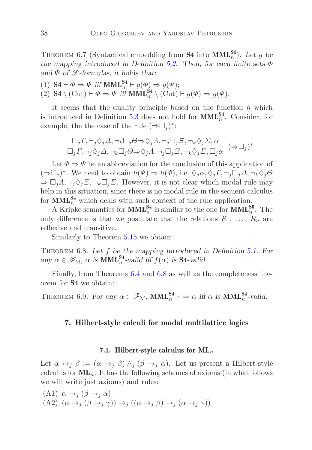THEOREM 6.7 (Syntactical embedding from **S4** into  $\text{MML}_n^{S4}$ ). Let *g* be the mapping introduced in Definition [5.2.](#page-20-0) Then, for each finite sets *Φ* and  $\Psi$  of  $\mathscr L$ -formulas, it holds that:

(1)  $S4 \vdash \Phi \Rightarrow \Psi \text{ iff } MML_n^{S4} \vdash g(\Phi) \Rightarrow g(\Psi);$ 

(2) **S4** \ (Cut)  $\vdash \Phi \Rightarrow \Psi$  iff **MML**<sup>**S4</sup> \ (Cut)**  $\vdash g(\Phi) \Rightarrow g(\Psi)$ **.</sup>** 

It seems that the duality principle based on the function *h* which is introduced in Definition [5.3](#page-22-1) does not hold for  $\text{MML}_{n}^{\text{S4}}$ . Consider, for example, the the case of the rule  $(\Rightarrow \Box_j)^*$ :

$$
\Box_j \Gamma, \neg_j \Diamond_j \Delta, \neg_k \Box_j \Theta \Rightarrow \Diamond_j \Lambda, \neg_j \Box_j \Xi, \neg_k \Diamond_j \Sigma, \alpha
$$
  

$$
\Box_j \Gamma, \neg_j \Diamond_j \Delta, \neg_k \Box_j \Theta \Rightarrow \Diamond_j \Lambda, \neg_j \Box_j \Xi, \neg_k \Diamond_j \Sigma, \Box_j \alpha
$$
 ( $\Rightarrow \Box_j$ )\*

Let  $\Phi \Rightarrow \Psi$  be an abbreviation for the conclusion of this application of  $(\Rightarrow \Box_j)^*$ . We need to obtain  $h(\Psi) \Rightarrow h(\Phi)$ , i.e.  $\Diamond_j \alpha, \Diamond_j \Gamma, \neg_j \Box_j \Delta, \neg_k \Diamond_j \Theta$  $\Rightarrow \Box_j A, \neg_j \Diamond_j \Xi, \neg_k \Box_j \Sigma$ . However, it is not clear which modal rule may help in this situation, since there is no modal rule in the sequent calculus for  $\text{MML}_{n}^{\text{S4}}$  which deals with such context of the rule application.

A Kripke semantics for  $\text{MML}_{n}^{\text{S4}}$  is similar to the one for  $\text{MML}_{n}^{\text{S5}}$ . The only difference is that we postulate that the relations  $R_1, \ldots, R_n$  are reflexive and transitive.

<span id="page-37-1"></span>Similarly to Theorem [5.15](#page-30-1) we obtain:

Theorem 6.8. Let *f* be the mapping introduced in Definition [5.1.](#page-15-1) For any  $\alpha \in \mathscr{F}_{M}$ ,  $\alpha$  is **MML**<sup>S4</sup>-valid iff  $f(\alpha)$  is **S4**-valid.

Finally, from Theorems [6.4](#page-35-0) and [6.8](#page-37-1) as well as the completeness theorem for S4 we obtain:

<span id="page-37-0"></span>THEOREM 6.9. For any  $\alpha \in \mathscr{F}_{M}$ ,  $MML_{n}^{S4} \vdash \Rightarrow \alpha$  iff  $\alpha$  is  $MML_{n}^{S4}$ -valid.

#### 7. Hilbert-style calculi for modal multilattice logics

#### 7.1. Hilbert-style calculus for ML*<sup>n</sup>*

Let  $\alpha \leftrightarrow_j \beta := (\alpha \rightarrow_j \beta) \land_j (\beta \rightarrow_j \alpha)$ . Let us present a Hilbert-style calculus for  $ML_n$ . It has the following schemes of axioms (in what follows we will write just axioms) and rules:

(A1) *α* →*<sup>j</sup>* (*β* →*<sup>j</sup> α*)  $(A2)$   $(\alpha \rightarrow_i (\beta \rightarrow_i \gamma)) \rightarrow_i ((\alpha \rightarrow_i \beta) \rightarrow_i (\alpha \rightarrow_i \gamma))$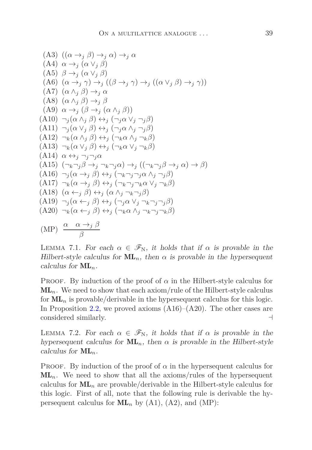(A3) 
$$
((\alpha \rightarrow_{j} \beta) \rightarrow_{j} \alpha) \rightarrow_{j} \alpha
$$
  
\n(A4) 
$$
\alpha \rightarrow_{j} (\alpha \vee_{j} \beta)
$$
  
\n(A5) 
$$
\beta \rightarrow_{j} (\alpha \vee_{j} \beta)
$$
  
\n(A6) 
$$
(\alpha \rightarrow_{j} \gamma) \rightarrow_{j} ((\beta \rightarrow_{j} \gamma) \rightarrow_{j} ((\alpha \vee_{j} \beta) \rightarrow_{j} \gamma))
$$
  
\n(A7) 
$$
(\alpha \wedge_{j} \beta) \rightarrow_{j} \alpha
$$
  
\n(A8) 
$$
(\alpha \wedge_{j} \beta) \rightarrow_{j} \beta
$$
  
\n(A9) 
$$
\alpha \rightarrow_{j} (\beta \rightarrow_{j} (\alpha \wedge_{j} \beta))
$$
  
\n(A10) 
$$
\neg_{j} (\alpha \wedge_{j} \beta) \leftrightarrow_{j} (\neg_{j} \alpha \vee_{j} \neg_{j} \beta)
$$
  
\n(A11) 
$$
\neg_{j} (\alpha \vee_{j} \beta) \leftrightarrow_{j} (\neg_{j} \alpha \wedge_{j} \neg_{j} \beta)
$$
  
\n(A12) 
$$
\neg_{k} (\alpha \wedge_{j} \beta) \leftrightarrow_{j} (\neg_{k} \alpha \wedge_{j} \neg_{k} \beta)
$$
  
\n(A13) 
$$
\neg_{k} (\alpha \vee_{j} \beta) \leftrightarrow_{j} (\neg_{k} \alpha \vee_{j} \neg_{k} \beta)
$$
  
\n(A14) 
$$
\alpha \leftrightarrow_{j} \neg_{j} \neg_{j} \alpha
$$
  
\n(A15) 
$$
(\neg_{k} \neg_{j} \beta \rightarrow_{j} \neg_{k} \neg_{j} \alpha) \rightarrow_{j} ((\neg_{k} \neg_{j} \beta \rightarrow_{j} \alpha) \rightarrow \beta)
$$
  
\n(A16) 
$$
\neg_{j} (\alpha \rightarrow_{j} \beta) \leftrightarrow_{j} (\neg_{k} \neg_{j} \neg_{j} \alpha \wedge_{j} \neg_{j} \beta)
$$
  
\n(A17) 
$$
\neg_{k} (\alpha \rightarrow_{j} \beta) \leftrightarrow_{j} (\neg_{k} \neg_{j} \neg_{k} \alpha \vee_{j} \neg_{k} \beta)
$$
  
\n(A18) 
$$
(\alpha \leftarrow_{j} \beta) \leftrightarrow_{j} (\
$$

<span id="page-38-0"></span>LEMMA 7.1. For each  $\alpha \in \mathscr{F}_{N}$ , it holds that if  $\alpha$  is provable in the Hilbert-style calculus for  $ML_n$ , then  $\alpha$  is provable in the hypersequent calculus for  $ML_n$ .

PROOF. By induction of the proof of  $\alpha$  in the Hilbert-style calculus for  $ML_n$ . We need to show that each axiom/rule of the Hilbert-style calculus for  $ML_n$  is provable/derivable in the hypersequent calculus for this logic. In Proposition [2.2,](#page-7-0) we proved axioms  $(A16)$ – $(A20)$ . The other cases are considered similarly. ⊣

<span id="page-38-1"></span>LEMMA 7.2. For each  $\alpha \in \mathscr{F}_{N}$ , it holds that if  $\alpha$  is provable in the hypersequent calculus for  $ML_n$ , then  $\alpha$  is provable in the Hilbert-style calculus for ML*n*.

PROOF. By induction of the proof of  $\alpha$  in the hypersequent calculus for  $ML_n$ . We need to show that all the axioms/rules of the hypersequent calculus for  $ML_n$  are provable/derivable in the Hilbert-style calculus for this logic. First of all, note that the following rule is derivable the hypersequent calculus for  $ML_n$  by  $(A1)$ ,  $(A2)$ , and  $(MP)$ :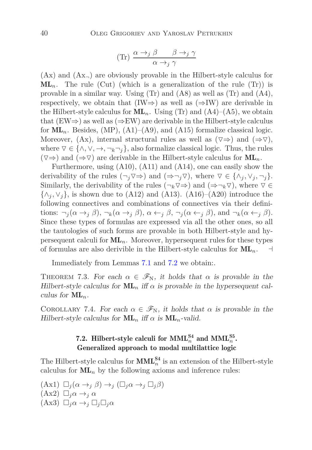$$
(\text{Tr}) \frac{\alpha \to_j \beta \qquad \beta \to_j \gamma}{\alpha \to_j \gamma}
$$

 $(Ax)$  and  $(Ax<sub>-</sub>)$  are obviously provable in the Hilbert-style calculus for  $ML_n$ . The rule (Cut) (which is a generalization of the rule (Tr)) is provable in a similar way. Using (Tr) and (A8) as well as (Tr) and (A4), respectively, we obtain that  $(IW \Rightarrow)$  as well as  $(\Rightarrow IW)$  are derivable in the Hilbert-style calculus for  $ML_n$ . Using (Tr) and  $(A4)$ – $(A5)$ , we obtain that  $(EW\Rightarrow)$  as well as  $(\Rightarrow EW)$  are derivable in the Hilbert-style calculus for  $ML_n$ . Besides,  $(MP)$ ,  $(A1)$ – $(A9)$ , and  $(A15)$  formalize classical logic. Moreover,  $(Ax)$ , internal structural rules as well as  $(\nabla \Rightarrow)$  and  $(\Rightarrow \nabla)$ , where  $\nabla \in \{\wedge, \vee, \rightarrow, \neg_k \neg_j\}$ , also formalize classical logic. Thus, the rules  $(\nabla \Rightarrow)$  and  $(\Rightarrow \nabla)$  are derivable in the Hilbert-style calculus for  $ML_n$ .

Furthermore, using (A10), (A11) and (A14), one can easily show the derivability of the rules  $(\neg_i \triangledown \Rightarrow)$  and  $(\Rightarrow \neg_j \triangledown)$ , where  $\triangledown \in \{\land_j, \lor_j, \neg_j\}.$ Similarly, the derivability of the rules  $(\neg_k \triangledown \Rightarrow)$  and  $(\Rightarrow \neg_k \triangledown)$ , where  $\triangledown \in$  $\{\wedge_i, \vee_j\}$ , is shown due to (A12) and (A13). (A16)–(A20) introduce the following connectives and combinations of connectives via their definitions:  $\neg_i(\alpha \rightarrow_j \beta), \neg_k(\alpha \rightarrow_j \beta), \alpha \leftarrow_j \beta, \neg_j(\alpha \leftarrow_j \beta), \text{and } \neg_k(\alpha \leftarrow_j \beta).$ Since these types of formulas are expressed via all the other ones, so all the tautologies of such forms are provable in both Hilbert-style and hypersequent calculi for  $ML_n$ . Moreover, hypersequent rules for these types of formulas are also derivible in the Hilbert-style calculus for  $ML_n$ .  $\vdash$ 

Immediately from Lemmas [7.1](#page-38-0) and [7.2](#page-38-1) we obtain:.

THEOREM 7.3. For each  $\alpha \in \mathscr{F}_{N}$ , it holds that  $\alpha$  is provable in the Hilbert-style calculus for  $ML_n$  iff  $\alpha$  is provable in the hypersequent calculus for  $ML_n$ .

COROLLARY 7.4. For each  $\alpha \in \mathscr{F}_{N}$ , it holds that  $\alpha$  is provable in the Hilbert-style calculus for  $\text{ML}_n$  iff  $\alpha$  is  $\text{ML}_n$ -valid.

### 7.2. Hilbert-style calculi for  $\text{MML}_{n}^{\text{S}4}$  and  $\text{MML}_{n}^{\text{S}5}$ . Generalized approach to modal multilattice logic

The Hilbert-style calculus for  $\text{MML}_{n}^{\text{S4}}$  is an extension of the Hilbert-style calculus for  $ML_n$  by the following axioms and inference rules:

 $(\text{Ax1}) \Box_j (\alpha \rightarrow_j \beta) \rightarrow_j (\Box_j \alpha \rightarrow_j \Box_j \beta)$  $(Ax2) \square_i \alpha \rightarrow_i \alpha$  $(Ax3) \Box_i \alpha \rightarrow_i \Box_i \Box_i \alpha$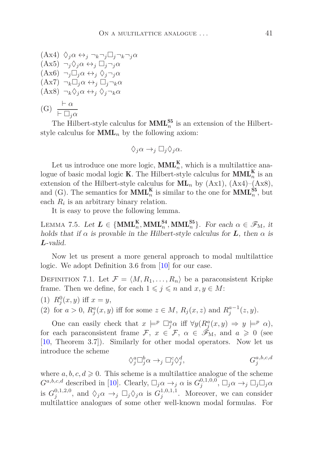$$
(Ax4) \Diamond_j \alpha \leftrightarrow_j \neg_k \neg_j \Box_j \neg_k \neg_j \alpha
$$
  
\n
$$
(Ax5) \neg_j \Diamond_j \alpha \leftrightarrow_j \Box_j \neg_j \alpha
$$
  
\n
$$
(Ax6) \neg_j \Box_j \alpha \leftrightarrow_j \Diamond_j \neg_j \alpha
$$
  
\n
$$
(Ax7) \neg_k \Box_j \alpha \leftrightarrow_j \Box_j \neg_k \alpha
$$
  
\n
$$
(Ax8) \neg_k \Diamond_j \alpha \leftrightarrow_j \Diamond_j \neg_k \alpha
$$
  
\n
$$
(G) \frac{\vdash \alpha}{\vdash \Box_j \alpha}
$$

The Hilbert-style calculus for  $\text{MML}_{n}^{\text{S5}}$  is an extension of the Hilbertstyle calculus for  $\text{MML}_n$  by the following axiom:

$$
\Diamond_j \alpha \rightarrow_j \Box_j \Diamond_j \alpha.
$$

Let us introduce one more logic,  $\text{MML}_{n}^{\text{K}}$ , which is a multilattice analogue of basic modal logic **K**. The Hilbert-style calculus for  $\text{MML}_n^{\text{K}}$  is an extension of the Hilbert-style calculus for  $ML_n$  by  $(Ax1)$ ,  $(Ax4)$ – $(Ax8)$ , and (G). The semantics for  $\text{MML}_{n}^{\text{K}}$  is similar to the one for  $\text{MML}_{n}^{\text{S5}}$ , but each  $R_i$  is an arbitrary binary relation.

It is easy to prove the following lemma.

LEMMA 7.5. Let  $L \in \{MML_n^K, MML_n^{S4}, MML_n^{S5}\}$ . For each  $\alpha \in \mathscr{F}_M$ , it holds that if  $\alpha$  is provable in the Hilbert-style calculus for **L**, then  $\alpha$  is *L*-valid.

Now let us present a more general approach to modal multilattice logic. We adopt Definition 3.6 from [\[10\]](#page-43-10) for our case.

DEFINITION 7.1. Let  $\mathcal{F} = \langle M, R_1, \ldots, R_n \rangle$  be a paraconsistent Kripke frame. Then we define, for each  $1 \leq j \leq n$  and  $x, y \in M$ :

(1)  $R_j^0(x, y)$  iff  $x = y$ ,

(2) for  $a > 0$ ,  $R_j^a(x, y)$  iff for some  $z \in M$ ,  $R_j(x, z)$  and  $R_j^{a-1}(z, y)$ .

One can easily check that  $x \models^p \Box_j^a \alpha$  iff  $\forall y (R_j^a(x, y) \Rightarrow y \models^p \alpha)$ , for each paraconsistent frame  $\mathcal{F}, x \in \mathcal{F}, \alpha \in \tilde{\mathcal{F}}_M$ , and  $a \geq 0$  (see [\[10,](#page-43-10) Theorem 3.7]). Similarly for other modal operators. Now let us introduce the scheme

<span id="page-40-0"></span>
$$
\Diamond_j^a \Box_j^b \alpha \rightarrow_j \Box_j^c \Diamond_j^d, \qquad G_j^{a,b,c,d}
$$

where  $a, b, c, d \geq 0$ . This scheme is a multilattice analogue of the scheme *G*<sup>*a*,*b,c,d*</sup> described in [\[10\]](#page-43-10). Clearly,  $\Box_j \alpha \rightarrow_j \alpha$  is  $G_j^{0,1,0,0}$ ,  $\Box_j \alpha \rightarrow_j \Box_j \Box_j \alpha$ is  $G_j^{0,1,2,0}$ , and  $\Diamond_j \alpha \to_j \Box_j \Diamond_j \alpha$  is  $G_j^{1,0,1,1}$ . Moreover, we can consider multilattice analogues of some other well-known modal formulas. For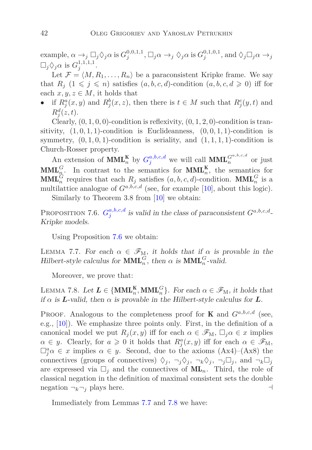example,  $\alpha \to_j \Box_j \Diamond_j \alpha$  is  $G_j^{0,0,1,1}$ ,  $\Box_j \alpha \to_j \Diamond_j \alpha$  is  $G_j^{0,1,0,1}$ , and  $\Diamond_j \Box_j \alpha \to_j$  $\Box_j \Diamond_j \alpha$  is  $G_j^{1,1,1,1}$ .

Let  $\mathcal{F} = \langle M, R_1, \ldots, R_n \rangle$  be a paraconsistent Kripke frame. We say that  $R_j$   $(1 \leq j \leq n)$  satisfies  $(a, b, c, d)$ -condition  $(a, b, c, d \geq 0)$  iff for each  $x, y, z \in M$ , it holds that

• if  $R_j^a(x, y)$  and  $R_j^b(x, z)$ , then there is  $t \in M$  such that  $R_j^c(y, t)$  and  $R_j^d(z,t)$ .

Clearly,  $(0, 1, 0, 0)$ -condition is reflexivity,  $(0, 1, 2, 0)$ -condition is transitivity,  $(1, 0, 1, 1)$ -condition is Euclideanness,  $(0, 0, 1, 1)$ -condition is symmetry,  $(0, 1, 0, 1)$ -condition is seriality, and  $(1, 1, 1, 1)$ -condition is Church-Rosser property.

An extension of  $\text{MML}_{n}^{\text{K}}$  by  $G_j^{a,b,c,d}$  $G_j^{a,b,c,d}$  $G_j^{a,b,c,d}$  we will call  $\text{MML}_{n}^{G^{a,b,c,d}}$  or just  $\text{MML}_{n}^G$ . In contrast to the semantics for  $\text{MML}_{n}^K$ , the semantics for  $\text{MML}_n^G$  requires that each  $R_j$  satisfies  $(a, b, c, d)$ -condition.  $\text{MML}_n^G$  is a multilattice analogue of  $G^{a,b,c,d}$  (see, for example [\[10\]](#page-43-10), about this logic).

<span id="page-41-0"></span>Similarly to Theorem 3.8 from [\[10\]](#page-43-10) we obtain:

Proposition 7.6.  $G_i^{a,b,c,d}$  $G_i^{a,b,c,d}$  $G_i^{a,b,c,d}$  $j^{a,b,c,d}$  is valid in the class of paraconsistent  $G^{a,b,c,d}$ . Kripke models.

<span id="page-41-1"></span>Using Proposition [7.6](#page-41-0) we obtain:

LEMMA 7.7. For each  $\alpha \in \mathscr{F}_{M}$ , it holds that if  $\alpha$  is provable in the Hilbert-style calculus for  $\text{MML}_n^G$ , then  $\alpha$  is  $\text{MML}_n^G$ -valid.

<span id="page-41-2"></span>Moreover, we prove that:

LEMMA 7.8. Let  $L \in \{MML_n^K, MML_n^G\}$ . For each  $\alpha \in \mathscr{F}_M$ , it holds that if  $\alpha$  is **L**-valid, then  $\alpha$  is provable in the Hilbert-style calculus for **L**.

PROOF. Analogous to the completeness proof for **K** and  $G^{a,b,c,d}$  (see, e.g., [\[10\]](#page-43-10)). We emphasize three points only. First, in the definition of a canonical model we put  $R_j(x, y)$  iff for each  $\alpha \in \mathscr{F}_{M}$ ,  $\Box_j \alpha \in x$  implies  $\alpha \in y$ . Clearly, for  $a \geq 0$  it holds that  $R_j^a(x, y)$  iff for each  $\alpha \in \mathscr{F}_M$ ,  $\Box_j^a \alpha \in x$  implies  $\alpha \in y$ . Second, due to the axioms (Ax4)–(Ax8) the connectives (groups of connectives)  $\Diamond_j$ ,  $\neg_j \Diamond_j$ ,  $\neg_k \Diamond_j$ ,  $\neg_j \Box_j$ , and  $\neg_k \Box_j$ are expressed via  $\Box_j$  and the connectives of  $ML_n$ . Third, the role of classical negation in the definition of maximal consistent sets the double negation  $\neg_k \neg_j$  plays here. ⊣

Immediately from Lemmas [7.7](#page-41-1) and [7.8](#page-41-2) we have: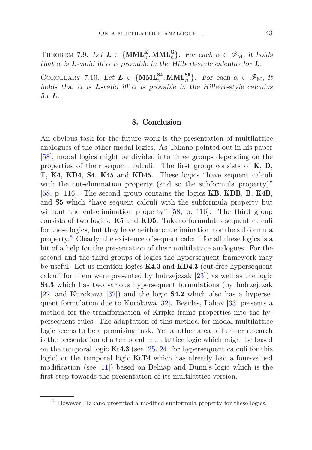THEOREM 7.9. Let  $L \in \{MML_n^K, MML_n^G\}$ . For each  $\alpha \in \mathscr{F}_M$ , it holds that  $\alpha$  is **L**-valid iff  $\alpha$  is provable in the Hilbert-style calculus for **L**.

COROLLARY 7.10. Let  $L \in \{MML_n^{S4}, MML_n^{S5}\}$ . For each  $\alpha \in \mathscr{F}_M$ , it holds that  $\alpha$  is **L**-valid iff  $\alpha$  is provable in the Hilbert-style calculus for *L*.

#### 8. Conclusion

An obvious task for the future work is the presentation of multilattice analogues of the other modal logics. As Takano pointed out in his paper [\[58\]](#page-47-1), modal logics might be divided into three groups depending on the properties of their sequent calculi. The first group consists of  $K$ ,  $D$ , T, K4, KD4, S4, K45 and KD45. These logics "have sequent calculi with the cut-elimination property (and so the subformula property)" [\[58,](#page-47-1) p. 116]. The second group contains the logics KB, KDB, B, K4B, and S5 which "have sequent calculi with the subformula property but without the cut-elimination property" [\[58,](#page-47-1) p. 116]. The third group consists of two logics: K5 and KD5. Takano formulates sequent calculi for these logics, but they have neither cut elimination nor the subformula property.[5](#page-42-0) Clearly, the existence of sequent calculi for all these logics is a bit of a help for the presentation of their multilattice analogues. For the second and the third groups of logics the hypersequent framework may be useful. Let us mention logics  $K4.3$  and  $KD4.3$  (cut-free hypersequent calculi for them were presented by Indrzejczak [\[23\]](#page-44-12)) as well as the logic S4.3 which has two various hypersequent formulations (by Indrzejczak [\[22\]](#page-44-13) and Kurokawa [\[32\]](#page-45-12)) and the logic S4.2 which also has a hypersequent formulation due to Kurokawa [\[32\]](#page-45-12). Besides, Lahav [\[33\]](#page-45-11) presents a method for the transformation of Kripke frame properties into the hypersequent rules. The adaptation of this method for modal multilattice logic seems to be a promising task. Yet another area of further research is the presentation of a temporal multilattice logic which might be based on the temporal logic  $Kt4.3$  (see [\[25,](#page-44-14) [24\]](#page-44-15) for hypersequent calculi for this logic) or the temporal logic **KtT4** which has already had a four-valued modification (see [\[11\]](#page-43-12)) based on Belnap and Dunn's logic which is the first step towards the presentation of its multilattice version.

<span id="page-42-0"></span><sup>5</sup> However, Takano presented a modified subformula property for these logics.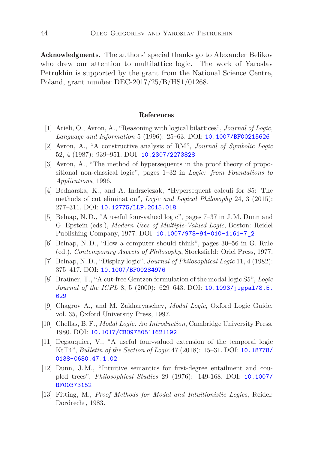Acknowledgments. The authors' special thanks go to Alexander Belikov who drew our attention to multilattice logic. The work of Yaroslav Petrukhin is supported by the grant from the National Science Centre, Poland, grant number DEC-2017/25/B/HS1/01268.

#### References

- <span id="page-43-3"></span>[1] Arieli, O., Avron, A., "Reasoning with logical bilattices", *Journal of Logic, Language and Information* 5 (1996): 25–63. DOI: [10.1007/BF00215626](http://dx.doi.org/10.1007/BF00215626)
- <span id="page-43-7"></span>[2] Avron, A., "A constructive analysis of RM", *Journal of Symbolic Logic* 52, 4 (1987): 939–951. DOI: [10.2307/2273828](http://dx.doi.org/10.2307/2273828)
- <span id="page-43-8"></span>[3] Avron, A., "The method of hypersequents in the proof theory of propositional non-classical logic", pages 1–32 in *Logic: from Foundations to Applications*, 1996.
- <span id="page-43-9"></span>[4] Bednarska, K., and A. Indrzejczak, "Hypersequent calculi for S5: The methods of cut elimination", *Logic and Logical Philosophy* 24, 3 (2015): 277–311. DOI: [10.12775/LLP.2015.018](http://dx.doi.org/10.12775/LLP.2015.018)
- <span id="page-43-0"></span>[5] Belnap, N. D., "A useful four-valued logic", pages 7–37 in J. M. Dunn and G. Epstein (eds.), *Modern Uses of Multiple-Valued Logic*, Boston: Reidel Publishing Company, 1977. DOI: [10.1007/978-94-010-1161-7\\_2](http://dx.doi.org/10.1007/978-94-010-1161-7_2)
- <span id="page-43-1"></span>[6] Belnap, N. D., "How a computer should think", pages 30–56 in G. Rule (ed.), *Contemporary Aspects of Philosophy*, Stocksfield: Oriel Press, 1977.
- <span id="page-43-6"></span>[7] Belnap, N. D., "Display logic", *Journal of Philosophical Logic* 11, 4 (1982): 375–417. DOI: [10.1007/BF00284976](http://dx.doi.org/10.1007/BF00284976)
- <span id="page-43-5"></span>[8] Braüner, T., "A cut-free Gentzen formulation of the modal logic S5", *Logic Journal of the IGPL 8, 5 (2000): 629-643. DOI: [10.1093/jigpal/8.5.](http://dx.doi.org/10.1093/jigpal/8.5.629)* [629](http://dx.doi.org/10.1093/jigpal/8.5.629)
- <span id="page-43-11"></span>[9] Chagrov A., and M. Zakharyaschev, *Modal Logic*, Oxford Logic Guide, vol. 35, Oxford University Press, 1997.
- <span id="page-43-10"></span>[10] Chellas, B. F., *Modal Logic. An Introduction*, Cambridge University Press, 1980. DOI: [10.1017/CBO9780511621192](http://dx.doi.org/10.1017/CBO9780511621192)
- <span id="page-43-12"></span>[11] Degauquier, V., "A useful four-valued extension of the temporal logic KtT4", *Bulletin of the Section of Logic* 47 (2018): 15–31. DOI: [10.18778/](http://dx.doi.org/10.18778/0138-0680.47.1.02 ) [0138-0680.47.1.02](http://dx.doi.org/10.18778/0138-0680.47.1.02 )
- <span id="page-43-2"></span>[12] Dunn, J. M., "Intuitive semantics for first-degree entailment and coupled trees", *Philosophical Studies* 29 (1976): 149-168. DOI: [10.1007/](http://dx.doi.org/10.1007/BF00373152) [BF00373152](http://dx.doi.org/10.1007/BF00373152)
- <span id="page-43-4"></span>[13] Fitting, M., *Proof Methods for Modal and Intuitionistic Logics*, Reidel: Dordrecht, 1983.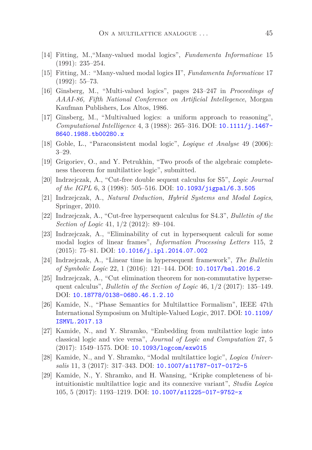- <span id="page-44-2"></span>[14] Fitting, M.,"Many-valued modal logics", *Fundamenta Informaticae* 15 (1991): 235–254.
- <span id="page-44-3"></span>[15] Fitting, M.: "Many-valued modal logics II", *Fundamenta Informaticae* 17 (1992): 55–73.
- <span id="page-44-0"></span>[16] Ginsberg, M., "Multi-valued logics", pages 243–247 in *Proceedings of AAAI-86, Fifth National Conference on Artificial Intellegence*, Morgan Kaufman Publishers, Los Altos, 1986.
- <span id="page-44-1"></span>[17] Ginsberg, M., "Multivalued logics: a uniform approach to reasoning", *Computational Intelligence* 4, 3 (1988): 265–316. DOI: [10.1111/j.1467-](http://dx.doi.org/10.1111/j.1467-8640.1988.tb00280.x) [8640.1988.tb00280.x](http://dx.doi.org/10.1111/j.1467-8640.1988.tb00280.x)
- <span id="page-44-10"></span><span id="page-44-4"></span>[18] Goble, L., "Paraconsistent modal logic", *Logique et Analyse* 49 (2006): 3–29.
- [19] Grigoriev, O., and Y. Petrukhin, "Two proofs of the algebraic completeness theorem for multilattice logic", submitted.
- <span id="page-44-9"></span>[20] Indrzejczak, A., "Cut-free double sequent calculus for S5", *Logic Journal of the IGPL* 6, 3 (1998): 505–516. DOI: [10.1093/jigpal/6.3.505](http://dx.doi.org/10.1093/jigpal/6.3.505)
- <span id="page-44-11"></span>[21] Indrzejczak, A., *Natural Deduction, Hybrid Systems and Modal Logics*, Springer, 2010.
- <span id="page-44-13"></span>[22] Indrzejczak, A., "Cut-free hypersequent calculus for S4.3", *Bulletin of the Section of Logic* 41, 1/2 (2012): 89–104.
- <span id="page-44-12"></span>[23] Indrzejczak, A., "Eliminability of cut in hypersequent calculi for some modal logics of linear frames", *Information Processing Letters* 115, 2  $(2015): 75–81. \text{ DOI: } 10.1016/j.ip1.2014.07.002$
- <span id="page-44-15"></span>[24] Indrzejczak, A., "Linear time in hypersequent framework", *The Bulletin of Symbolic Logic* 22, 1 (2016): 121–144. DOI: [10.1017/bsl.2016.2](http://dx.doi.org/10.1017/bsl.2016.2)
- <span id="page-44-14"></span>[25] Indrzejczak, A., "Cut elimination theorem for non-commutative hypersequent calculus", *Bulletin of the Section of Logic* 46, 1/2 (2017): 135–149. DOI: [10.18778/0138-0680.46.1.2.10](http://dx.doi.org/10.18778/0138-0680.46.1.2.10)
- <span id="page-44-7"></span>[26] Kamide, N., "Phase Semantics for Multilattice Formalism", IEEE 47th International Symposium on Multiple-Valued Logic, 2017. DOI: [10.1109/](http://dx.doi.org/10.1109/ISMVL.2017.13) [ISMVL.2017.13](http://dx.doi.org/10.1109/ISMVL.2017.13)
- <span id="page-44-5"></span>[27] Kamide, N., and Y. Shramko, "Embedding from multilattice logic into classical logic and vice versa", *Journal of Logic and Computation* 27, 5 (2017): 1549–1575. DOI: [10.1093/logcom/exw015](http://dx.doi.org/10.1093/logcom/exw015 )
- <span id="page-44-8"></span>[28] Kamide, N., and Y. Shramko, "Modal multilattice logic", *Logica Universalis* 11, 3 (2017): 317–343. DOI: [10.1007/s11787-017-0172-5](http://dx.doi.org/10.1007/s11787-017-0172-5)
- <span id="page-44-6"></span>[29] Kamide, N., Y. Shramko, and H. Wansing, "Kripke completeness of biintuitionistic multilattice logic and its connexive variant", *Studia Logica* 105, 5 (2017): 1193–1219. DOI: [10.1007/s11225-017-9752-x](http://dx.doi.org/10.1007/s11225-017-9752-x)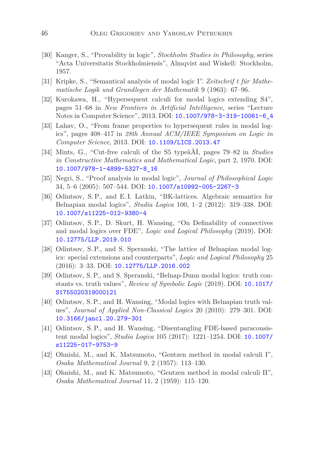- <span id="page-45-9"></span>[30] Kanger, S., "Provability in logic", *Stockholm Studies in Philosophy*, series "Acta Universitatis Stockholmiensis", Almqvist and Wiskell: Stockholm, 1957.
- <span id="page-45-13"></span>[31] Kripke, S., "Semantical analysis of modal logic I". *Zeitschrif t für Mathematische Logik und Grundlegen der Mathematik* 9 (1963): 67–96.
- <span id="page-45-12"></span>[32] Kurokawa, H., "Hypersequent calculi for modal logics extending S4", pages 51–68 in *New Frontiers in Artificial Intelligence*, series "Lecture Notes in Computer Science", 2013. DOI: [10.1007/978-3-319-10061-6\\_4](http://dx.doi.org/10.1007/978-3-319-10061-6_4)
- <span id="page-45-11"></span>[33] Lahav, O., "From frame properties to hypersequent rules in modal logics", pages 408–417 in *28th Annual ACM/IEEE Symposium on Logic in Computer Science*, 2013. DOI: [10.1109/LICS.2013.47](http://dx.doi.org/10.1109/LICS.2013.47)
- <span id="page-45-8"></span>[34] Mints, G., "Cut-free calculi of the S5 typeâĂİ, pages 79–82 in *Studies in Constructive Mathematics and Mathematical Logic*, part 2, 1970. DOI: [10.1007/978-1-4899-5327-8\\_16](http://dx.doi.org/10.1007/978-1-4899-5327-8_16)
- <span id="page-45-10"></span>[35] Negri, S., "Proof analysis in modal logic", *Journal of Philosophical Logic* 34, 5–6 (2005): 507–544. DOI: [10.1007/s10992-005-2267-3](http://dx.doi.org/10.1007/s10992-005-2267-3)
- <span id="page-45-3"></span>[36] Odintsov, S. P., and E. I. Latkin, "BK-lattices. Algebraic semantics for Belnapian modal logics", *Studia Logica* 100, 1–2 (2012): 319–338. DOI: [10.1007/s11225-012-9380-4](http://dx.doi.org/10.1007/s11225-012-9380-4)
- <span id="page-45-2"></span>[37] Odintsov, S. P., D. Skurt, H. Wansing, "On Definability of connectives and modal logics over FDE", *Logic and Logical Philosophy* (2019). DOI: [10.12775/LLP.2019.010](http://dx.doi.org/10.12775/LLP.2019.010)
- <span id="page-45-4"></span>[38] Odintsov, S.P., and S. Speranski, "The lattice of Belnapian modal logics: special extensions and counterparts", *Logic and Logical Philosophy* 25 (2016): 3–33. DOI: [10.12775/LLP.2016.002](http://dx.doi.org/10.12775/LLP.2016.002)
- <span id="page-45-5"></span>[39] Odintsov, S. P., and S. Speranski, "Belnap-Dunn modal logics: truth constants vs. truth values", *Review of Symbolic Logic* (2019). DOI: [10.1017/](http://dx.doi.org/10.1017/S1755020319000121) [S1755020319000121](http://dx.doi.org/10.1017/S1755020319000121)
- <span id="page-45-1"></span>[40] Odintsov, S. P., and H. Wansing, "Modal logics with Belnapian truth values", *Journal of Applied Non-Classical Logics* 20 (2010): 279–301. DOI: [10.3166/jancl.20.279-301](http://dx.doi.org/10.3166/jancl.20.279-301)
- <span id="page-45-0"></span>[41] Odintsov, S. P., and H. Wansing, "Disentangling FDE-based paraconsistent modal logics", *Studia Logica* 105 (2017): 1221–1254. DOI: [10.1007/](http://dx.doi.org/10.1007/s11225-017-9753-9) [s11225-017-9753-9](http://dx.doi.org/10.1007/s11225-017-9753-9)
- <span id="page-45-6"></span>[42] Ohnishi, M., and K. Matsumoto, "Gentzen method in modal calculi I", *Osaka Mathematical Journal* 9, 2 (1957): 113–130.
- <span id="page-45-7"></span>[43] Ohnishi, M., and K. Matsumoto, "Gentzen method in modal calculi II", *Osaka Mathematical Journal* 11, 2 (1959): 115–120.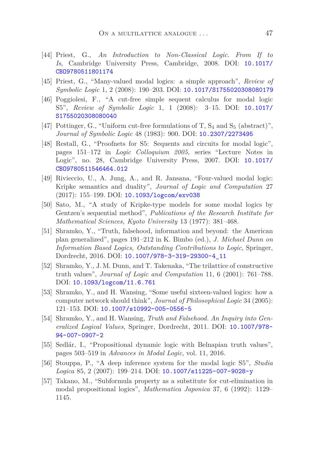- <span id="page-46-4"></span>[44] Priest, G., *An Introduction to Non-Classical Logic. From If to Is*, Cambridge University Press, Cambridge, 2008. DOI: [10.1017/](http://dx.doi.org/10.1017/CBO9780511801174) [CBO9780511801174](http://dx.doi.org/10.1017/CBO9780511801174)
- <span id="page-46-5"></span>[45] Priest, G., "Many-valued modal logics: a simple approach", *Review of Symbolic Logic* 1, 2 (2008): 190–203. DOI: [10.1017/S1755020308080179](http://dx.doi.org/10.1017/S1755020308080179)
- <span id="page-46-13"></span>[46] Poggiolesi, F., "A cut-free simple sequent calculus for modal logic S5", *Review of Symbolic Logic* 1, 1 (2008): 3–15. DOI: [10.1017/](http://dx.doi.org/10.1017/S1755020308080040) [S1755020308080040](http://dx.doi.org/10.1017/S1755020308080040)
- <span id="page-46-11"></span>[47] Pottinger, G., "Uniform cut-free formulations of T,  $S_4$  and  $S_5$  (abstract)", *Journal of Symbolic Logic* 48 (1983): 900. DOI: [10.2307/2273495](http://dx.doi.org/10.2307/2273495)
- <span id="page-46-12"></span>[48] Restall, G., "Proofnets for S5: Sequents and circuits for modal logic", pages 151–172 in *Logic Colloquium 2005*, series "Lecture Notes in Logic", no. 28, Cambridge University Press, 2007. DOI: [10.1017/](http://dx.doi.org/10.1017/CBO9780511546464.012) [CBO9780511546464.012](http://dx.doi.org/10.1017/CBO9780511546464.012)
- <span id="page-46-7"></span>[49] Rivieccio, U., A. Jung, A., and R. Jansana, "Four-valued modal logic: Kripke semantics and duality", *Journal of Logic and Computation* 27 (2017): 155–199. DOI: [10.1093/logcom/exv038](http://dx.doi.org/10.1093/logcom/exv038)
- <span id="page-46-8"></span>[50] Sato, M., "A study of Kripke-type models for some modal logics by Gentzen's sequential method", *Publications of the Research Institute for Mathematical Sciences, Kyoto University* 13 (1977): 381–468.
- <span id="page-46-0"></span>[51] Shramko, Y., "Truth, falsehood, information and beyond: the American plan generalized", pages 191–212 in K. Bimbo (ed.), *J. Michael Dunn on Information Based Logics, Outstanding Contributions to Logic*, Springer, Dordrecht, 2016. DOI: [10.1007/978-3-319-29300-4\\_11](http://dx.doi.org/10.1007/978-3-319-29300-4_11)
- <span id="page-46-1"></span>[52] Shramko, Y., J. M. Dunn, and T. Takenaka, "The trilattice of constructive truth values", *Journal of Logic and Computation* 11, 6 (2001): 761–788. DOI: [10.1093/logcom/11.6.761](http://dx.doi.org/10.1093/logcom/11.6.761)
- <span id="page-46-2"></span>[53] Shramko, Y., and H. Wansing, "Some useful sixteen-valued logics: how a computer network should think", *Journal of Philosophical Logic* 34 (2005): 121–153. DOI: [10.1007/s10992-005-0556-5](http://dx.doi.org/10.1007/s10992-005-0556-5)
- <span id="page-46-3"></span>[54] Shramko, Y., and H. Wansing, *Truth and Falsehood. An Inquiry into Generalized Logical Values*, Springer, Dordrecht, 2011. DOI: [10.1007/978-](http://dx.doi.org/10.1007/978-94-007-0907-2) [94-007-0907-2](http://dx.doi.org/10.1007/978-94-007-0907-2)
- <span id="page-46-6"></span>[55] Sedlár, I., "Propositional dynamic logic with Belnapian truth values", pages 503–519 in *Advances in Modal Logic*, vol. 11, 2016.
- <span id="page-46-10"></span>[56] Stouppa, P., "A deep inference system for the modal logic S5", *Studia Logica* 85, 2 (2007): 199–214. DOI: [10.1007/s11225-007-9028-y](http://dx.doi.org/10.1007/s11225-007-9028-y)
- <span id="page-46-9"></span>[57] Takano, M., "Subformula property as a substitute for cut-elimination in modal propositional logics", *Mathematica Japonica* 37, 6 (1992): 1129– 1145.